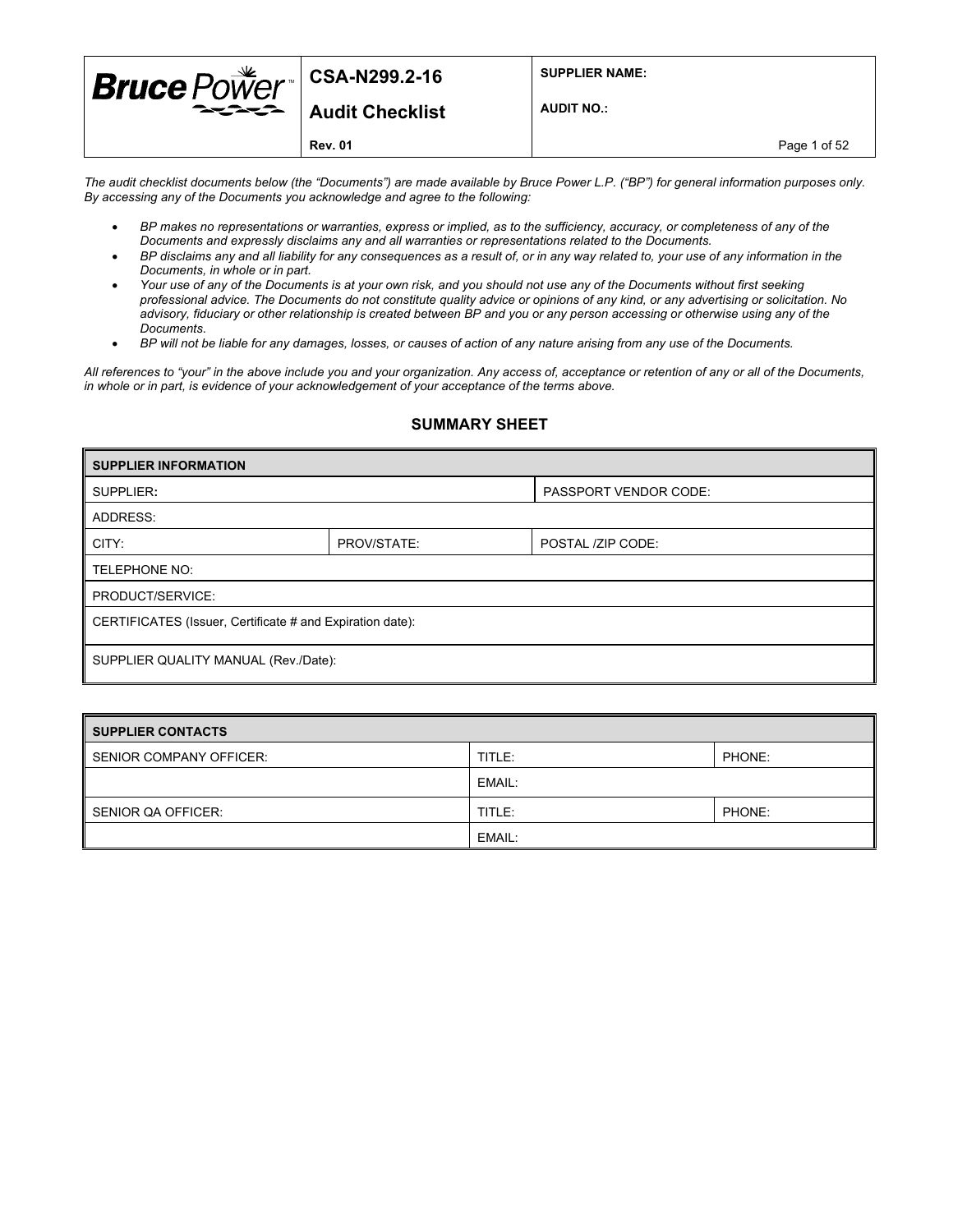| <b>Bruce</b> $PoWer$ <sup>csA-N299.2-16</sup> |                 | <b>SUPPLIER NAME:</b> |
|-----------------------------------------------|-----------------|-----------------------|
|                                               | Audit Checklist | <b>AUDIT NO.:</b>     |
|                                               | <b>Rev. 01</b>  | Page 1 of 52          |

*The audit checklist documents below (the "Documents") are made available by Bruce Power L.P. ("BP") for general information purposes only. By accessing any of the Documents you acknowledge and agree to the following:* 

- *BP makes no representations or warranties, express or implied, as to the sufficiency, accuracy, or completeness of any of the Documents and expressly disclaims any and all warranties or representations related to the Documents.*
- *BP disclaims any and all liability for any consequences as a result of, or in any way related to, your use of any information in the Documents, in whole or in part.*
- *Your use of any of the Documents is at your own risk, and you should not use any of the Documents without first seeking professional advice. The Documents do not constitute quality advice or opinions of any kind, or any advertising or solicitation. No advisory, fiduciary or other relationship is created between BP and you or any person accessing or otherwise using any of the Documents.*
- *BP will not be liable for any damages, losses, or causes of action of any nature arising from any use of the Documents.*

*All references to "your" in the above include you and your organization. Any access of, acceptance or retention of any or all of the Documents, in whole or in part, is evidence of your acknowledgement of your acceptance of the terms above.*

#### **SUMMARY SHEET**

| <b>SUPPLIER INFORMATION</b>                               |                                  |                              |  |  |  |  |
|-----------------------------------------------------------|----------------------------------|------------------------------|--|--|--|--|
| SUPPLIER:                                                 |                                  | <b>PASSPORT VENDOR CODE:</b> |  |  |  |  |
| ADDRESS:                                                  |                                  |                              |  |  |  |  |
| CITY:                                                     | PROV/STATE:<br>POSTAL /ZIP CODE: |                              |  |  |  |  |
| TELEPHONE NO:                                             |                                  |                              |  |  |  |  |
| PRODUCT/SERVICE:                                          |                                  |                              |  |  |  |  |
| CERTIFICATES (Issuer, Certificate # and Expiration date): |                                  |                              |  |  |  |  |
| SUPPLIER QUALITY MANUAL (Rev./Date):                      |                                  |                              |  |  |  |  |

| SUPPLIER CONTACTS       |        |        |  |  |  |
|-------------------------|--------|--------|--|--|--|
| SENIOR COMPANY OFFICER: | TITLE: | PHONE: |  |  |  |
|                         | EMAIL: |        |  |  |  |
| SENIOR QA OFFICER:      | TITLE: | PHONE: |  |  |  |
|                         | EMAIL: |        |  |  |  |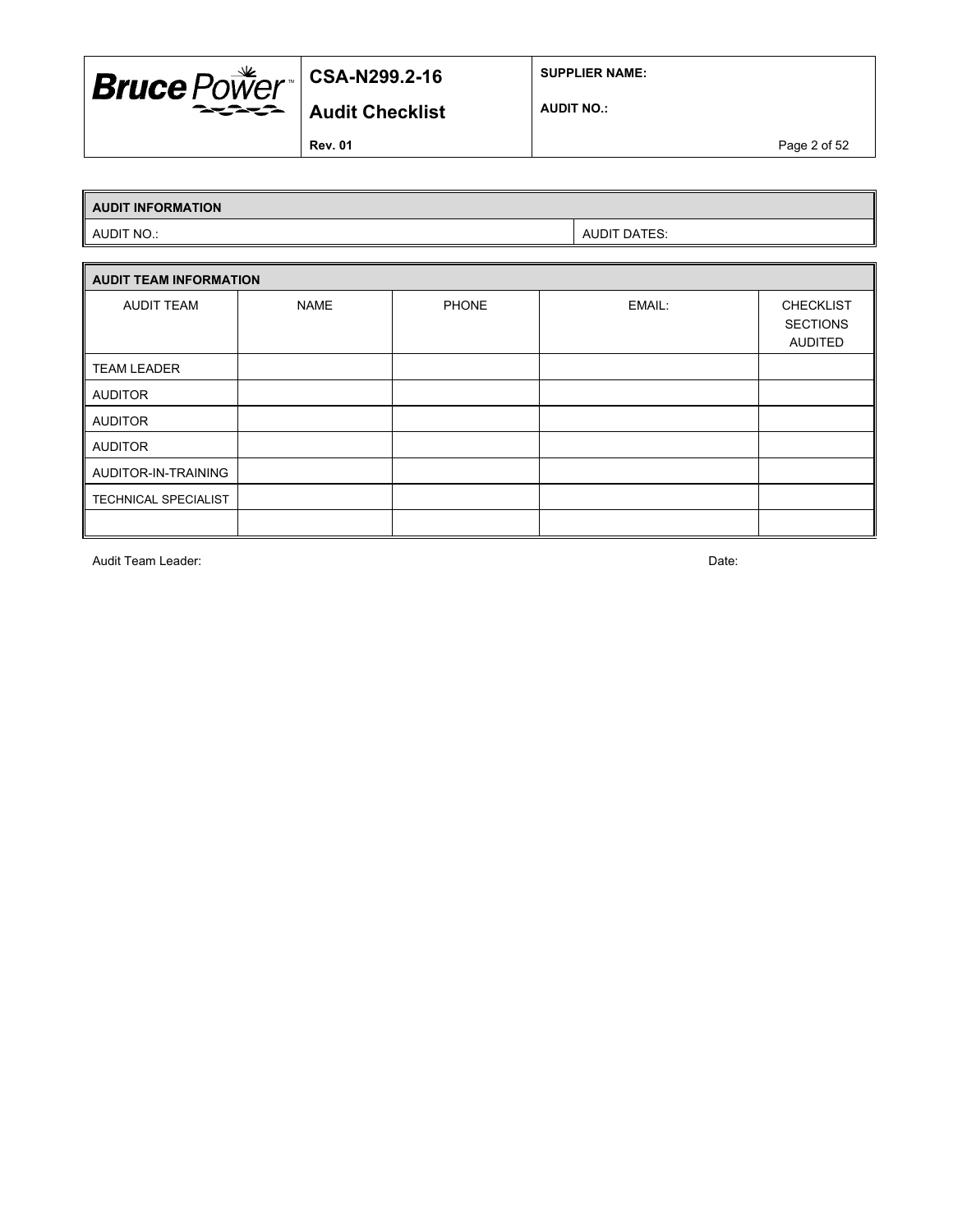

**SUPPLIER NAME:**

**AUDIT NO.:**

**Rev. 01** Page 2 of 52

# **AUDIT INFORMATION**

AUDIT NO.: AUDIT DATES:

| <b>AUDIT TEAM INFORMATION</b> |             |              |        |                                                       |  |  |  |
|-------------------------------|-------------|--------------|--------|-------------------------------------------------------|--|--|--|
| <b>AUDIT TEAM</b>             | <b>NAME</b> | <b>PHONE</b> | EMAIL: | <b>CHECKLIST</b><br><b>SECTIONS</b><br><b>AUDITED</b> |  |  |  |
| <b>TEAM LEADER</b>            |             |              |        |                                                       |  |  |  |
| <b>AUDITOR</b>                |             |              |        |                                                       |  |  |  |
| <b>AUDITOR</b>                |             |              |        |                                                       |  |  |  |
| <b>AUDITOR</b>                |             |              |        |                                                       |  |  |  |
| AUDITOR-IN-TRAINING           |             |              |        |                                                       |  |  |  |
| TECHNICAL SPECIALIST          |             |              |        |                                                       |  |  |  |
|                               |             |              |        |                                                       |  |  |  |

Audit Team Leader: Date: Date: Date: Date: Date: Date: Date: Date: Date: Date: Date: Date: Date: Date: Date: Date: Date: Date: Date: Date: Date: Date: Date: Date: Date: Date: Date: Date: Date: Date: Date: Date: Date: Date: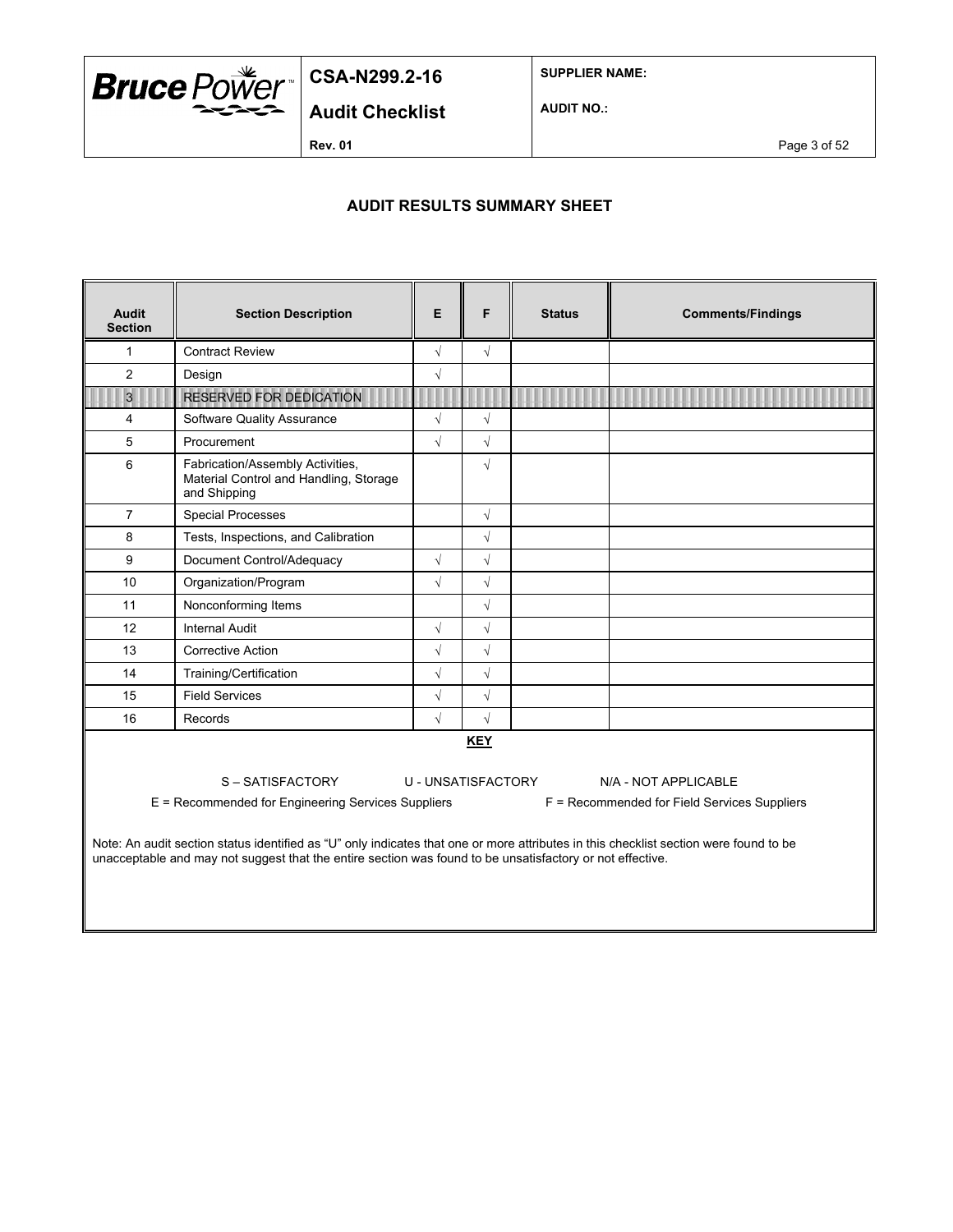

**SUPPLIER NAME:**

**Audit Checklist AUDIT NO.:**

**Rev. 01 Page 3 of 52** 

### **AUDIT RESULTS SUMMARY SHEET**

| <b>Audit</b><br><b>Section</b>                                                                                                                                                                                                                                                                                                                                                                                                         | <b>Section Description</b>                                                                 | E          | F          | <b>Status</b> | <b>Comments/Findings</b> |  |  |
|----------------------------------------------------------------------------------------------------------------------------------------------------------------------------------------------------------------------------------------------------------------------------------------------------------------------------------------------------------------------------------------------------------------------------------------|--------------------------------------------------------------------------------------------|------------|------------|---------------|--------------------------|--|--|
| 1                                                                                                                                                                                                                                                                                                                                                                                                                                      | <b>Contract Review</b>                                                                     | $\sqrt{}$  | $\sqrt{}$  |               |                          |  |  |
| $\overline{2}$                                                                                                                                                                                                                                                                                                                                                                                                                         | Design                                                                                     | $\sqrt{2}$ |            |               |                          |  |  |
| $\overline{3}$                                                                                                                                                                                                                                                                                                                                                                                                                         | <b>RESERVED FOR DEDICATION</b>                                                             |            |            |               |                          |  |  |
| 4                                                                                                                                                                                                                                                                                                                                                                                                                                      | Software Quality Assurance                                                                 | $\sqrt{}$  | $\sqrt{}$  |               |                          |  |  |
| 5                                                                                                                                                                                                                                                                                                                                                                                                                                      | Procurement                                                                                | $\sqrt{}$  | $\sqrt{}$  |               |                          |  |  |
| 6                                                                                                                                                                                                                                                                                                                                                                                                                                      | Fabrication/Assembly Activities,<br>Material Control and Handling, Storage<br>and Shipping |            | $\sqrt{}$  |               |                          |  |  |
| $\overline{7}$                                                                                                                                                                                                                                                                                                                                                                                                                         | <b>Special Processes</b>                                                                   |            | $\sqrt{}$  |               |                          |  |  |
| 8                                                                                                                                                                                                                                                                                                                                                                                                                                      | Tests, Inspections, and Calibration                                                        |            | $\sqrt{}$  |               |                          |  |  |
| 9                                                                                                                                                                                                                                                                                                                                                                                                                                      | Document Control/Adequacy                                                                  | $\sqrt{}$  | $\sqrt{}$  |               |                          |  |  |
| 10                                                                                                                                                                                                                                                                                                                                                                                                                                     | Organization/Program                                                                       | $\sqrt{}$  | $\sqrt{}$  |               |                          |  |  |
| 11                                                                                                                                                                                                                                                                                                                                                                                                                                     | Nonconforming Items                                                                        |            | $\sqrt{}$  |               |                          |  |  |
| 12                                                                                                                                                                                                                                                                                                                                                                                                                                     | <b>Internal Audit</b>                                                                      | $\sqrt{}$  | $\sqrt{}$  |               |                          |  |  |
| 13                                                                                                                                                                                                                                                                                                                                                                                                                                     | <b>Corrective Action</b>                                                                   | $\sqrt{2}$ | $\sqrt{}$  |               |                          |  |  |
| 14                                                                                                                                                                                                                                                                                                                                                                                                                                     | Training/Certification                                                                     | $\sqrt{}$  | $\sqrt{}$  |               |                          |  |  |
| 15                                                                                                                                                                                                                                                                                                                                                                                                                                     | <b>Field Services</b>                                                                      | $\sqrt{}$  | $\sqrt{}$  |               |                          |  |  |
| 16                                                                                                                                                                                                                                                                                                                                                                                                                                     | Records                                                                                    | $\sqrt{2}$ | $\sqrt{2}$ |               |                          |  |  |
| <b>KEY</b><br>S-SATISFACTORY<br>U - UNSATISFACTORY<br>N/A - NOT APPLICABLE<br>E = Recommended for Engineering Services Suppliers<br>F = Recommended for Field Services Suppliers<br>Note: An audit section status identified as "U" only indicates that one or more attributes in this checklist section were found to be<br>unacceptable and may not suggest that the entire section was found to be unsatisfactory or not effective. |                                                                                            |            |            |               |                          |  |  |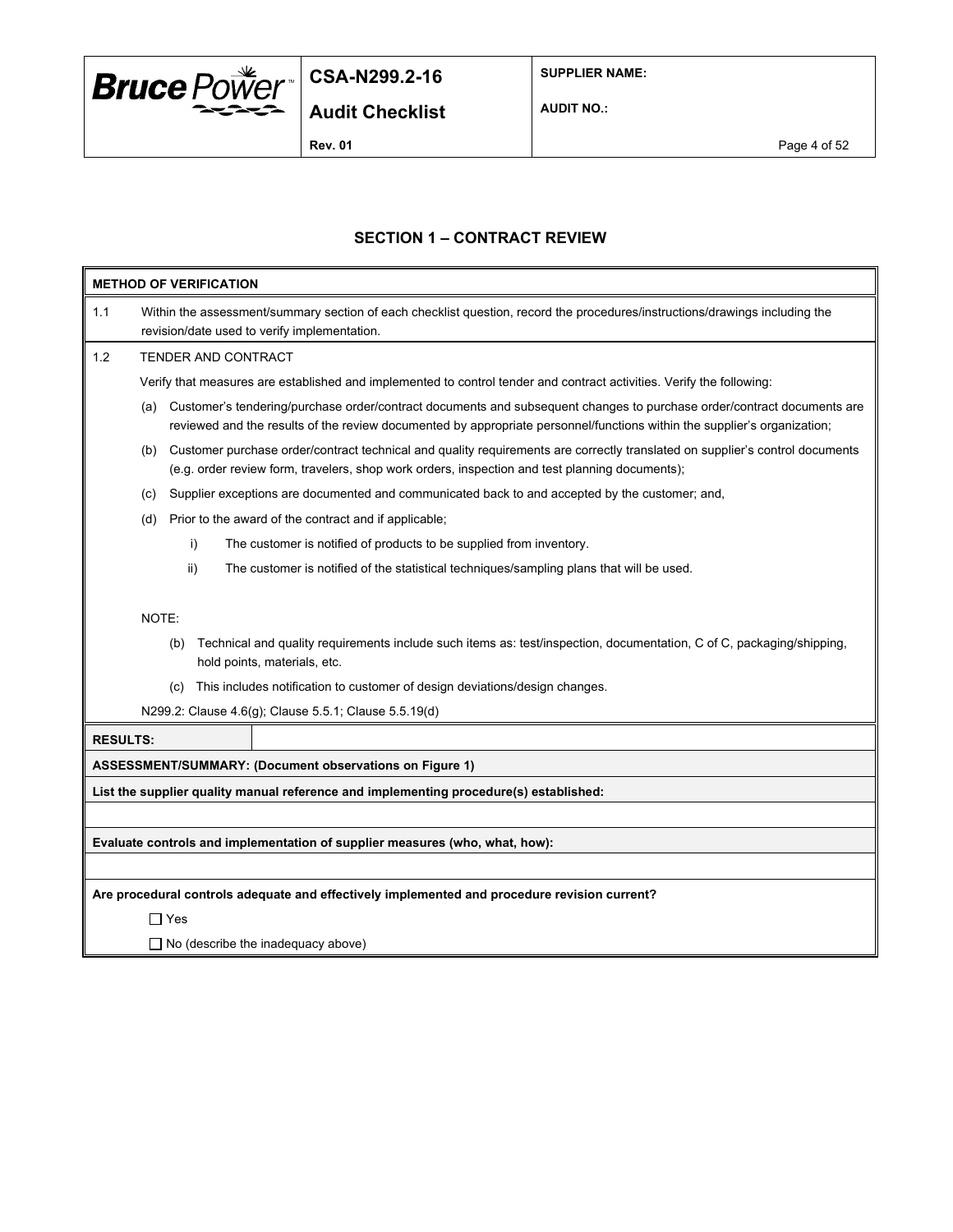

**SUPPLIER NAME:**

**AUDIT NO.:**

**Rev. 01** Page 4 of 52

### **SECTION 1 – CONTRACT REVIEW**

| <b>METHOD OF VERIFICATION</b> |                                                                                                                                                                                                                                                           |  |  |  |  |  |  |
|-------------------------------|-----------------------------------------------------------------------------------------------------------------------------------------------------------------------------------------------------------------------------------------------------------|--|--|--|--|--|--|
| 1.1                           | Within the assessment/summary section of each checklist question, record the procedures/instructions/drawings including the<br>revision/date used to verify implementation.                                                                               |  |  |  |  |  |  |
| 1.2                           | TENDER AND CONTRACT                                                                                                                                                                                                                                       |  |  |  |  |  |  |
|                               | Verify that measures are established and implemented to control tender and contract activities. Verify the following:                                                                                                                                     |  |  |  |  |  |  |
|                               | Customer's tendering/purchase order/contract documents and subsequent changes to purchase order/contract documents are<br>(a)<br>reviewed and the results of the review documented by appropriate personnel/functions within the supplier's organization; |  |  |  |  |  |  |
|                               | Customer purchase order/contract technical and quality requirements are correctly translated on supplier's control documents<br>(b)<br>(e.g. order review form, travelers, shop work orders, inspection and test planning documents);                     |  |  |  |  |  |  |
|                               | Supplier exceptions are documented and communicated back to and accepted by the customer; and,<br>(c)                                                                                                                                                     |  |  |  |  |  |  |
|                               | Prior to the award of the contract and if applicable;<br>(d)                                                                                                                                                                                              |  |  |  |  |  |  |
|                               | The customer is notified of products to be supplied from inventory.<br>i)                                                                                                                                                                                 |  |  |  |  |  |  |
|                               | ii)<br>The customer is notified of the statistical techniques/sampling plans that will be used.                                                                                                                                                           |  |  |  |  |  |  |
|                               | NOTE:<br>Technical and quality requirements include such items as: test/inspection, documentation, C of C, packaging/shipping,<br>(b)<br>hold points, materials, etc.                                                                                     |  |  |  |  |  |  |
|                               | This includes notification to customer of design deviations/design changes.<br>(c)                                                                                                                                                                        |  |  |  |  |  |  |
|                               | N299.2: Clause 4.6(g); Clause 5.5.1; Clause 5.5.19(d)                                                                                                                                                                                                     |  |  |  |  |  |  |
| <b>RESULTS:</b>               |                                                                                                                                                                                                                                                           |  |  |  |  |  |  |
|                               | ASSESSMENT/SUMMARY: (Document observations on Figure 1)                                                                                                                                                                                                   |  |  |  |  |  |  |
|                               | List the supplier quality manual reference and implementing procedure(s) established:                                                                                                                                                                     |  |  |  |  |  |  |
|                               |                                                                                                                                                                                                                                                           |  |  |  |  |  |  |
|                               | Evaluate controls and implementation of supplier measures (who, what, how):                                                                                                                                                                               |  |  |  |  |  |  |
|                               |                                                                                                                                                                                                                                                           |  |  |  |  |  |  |
|                               | Are procedural controls adequate and effectively implemented and procedure revision current?                                                                                                                                                              |  |  |  |  |  |  |
|                               | $\Box$ Yes                                                                                                                                                                                                                                                |  |  |  |  |  |  |
|                               | $\Box$ No (describe the inadequacy above)                                                                                                                                                                                                                 |  |  |  |  |  |  |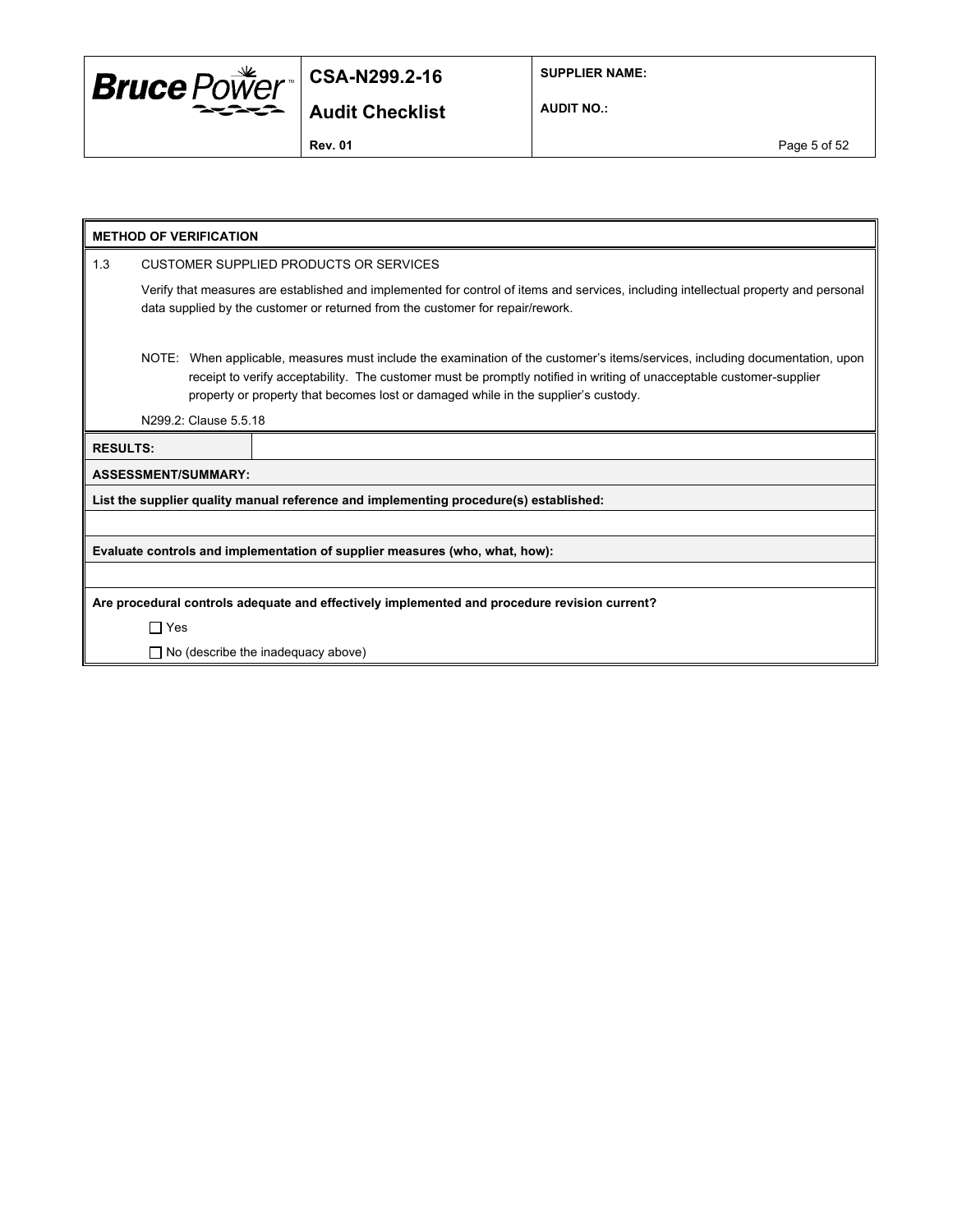

**SUPPLIER NAME:**

**AUDIT NO.:**

**Rev. 01 Page 5 of 52** 

|     | <b>METHOD OF VERIFICATION</b>                                                                                                                                                                                                                                                                                                              |                            |                                                                                       |  |  |  |  |
|-----|--------------------------------------------------------------------------------------------------------------------------------------------------------------------------------------------------------------------------------------------------------------------------------------------------------------------------------------------|----------------------------|---------------------------------------------------------------------------------------|--|--|--|--|
| 1.3 |                                                                                                                                                                                                                                                                                                                                            |                            | CUSTOMER SUPPLIED PRODUCTS OR SERVICES                                                |  |  |  |  |
|     | Verify that measures are established and implemented for control of items and services, including intellectual property and personal<br>data supplied by the customer or returned from the customer for repair/rework.                                                                                                                     |                            |                                                                                       |  |  |  |  |
|     | NOTE: When applicable, measures must include the examination of the customer's items/services, including documentation, upon<br>receipt to verify acceptability. The customer must be promptly notified in writing of unacceptable customer-supplier<br>property or property that becomes lost or damaged while in the supplier's custody. |                            |                                                                                       |  |  |  |  |
|     |                                                                                                                                                                                                                                                                                                                                            | N299.2: Clause 5.5.18      |                                                                                       |  |  |  |  |
|     | <b>RESULTS:</b>                                                                                                                                                                                                                                                                                                                            |                            |                                                                                       |  |  |  |  |
|     |                                                                                                                                                                                                                                                                                                                                            | <b>ASSESSMENT/SUMMARY:</b> |                                                                                       |  |  |  |  |
|     |                                                                                                                                                                                                                                                                                                                                            |                            | List the supplier quality manual reference and implementing procedure(s) established: |  |  |  |  |
|     |                                                                                                                                                                                                                                                                                                                                            |                            |                                                                                       |  |  |  |  |
|     |                                                                                                                                                                                                                                                                                                                                            |                            | Evaluate controls and implementation of supplier measures (who, what, how):           |  |  |  |  |
|     |                                                                                                                                                                                                                                                                                                                                            |                            |                                                                                       |  |  |  |  |
|     | Are procedural controls adequate and effectively implemented and procedure revision current?                                                                                                                                                                                                                                               |                            |                                                                                       |  |  |  |  |
|     | $\Box$ Yes                                                                                                                                                                                                                                                                                                                                 |                            |                                                                                       |  |  |  |  |
|     |                                                                                                                                                                                                                                                                                                                                            |                            | $\Box$ No (describe the inadequacy above)                                             |  |  |  |  |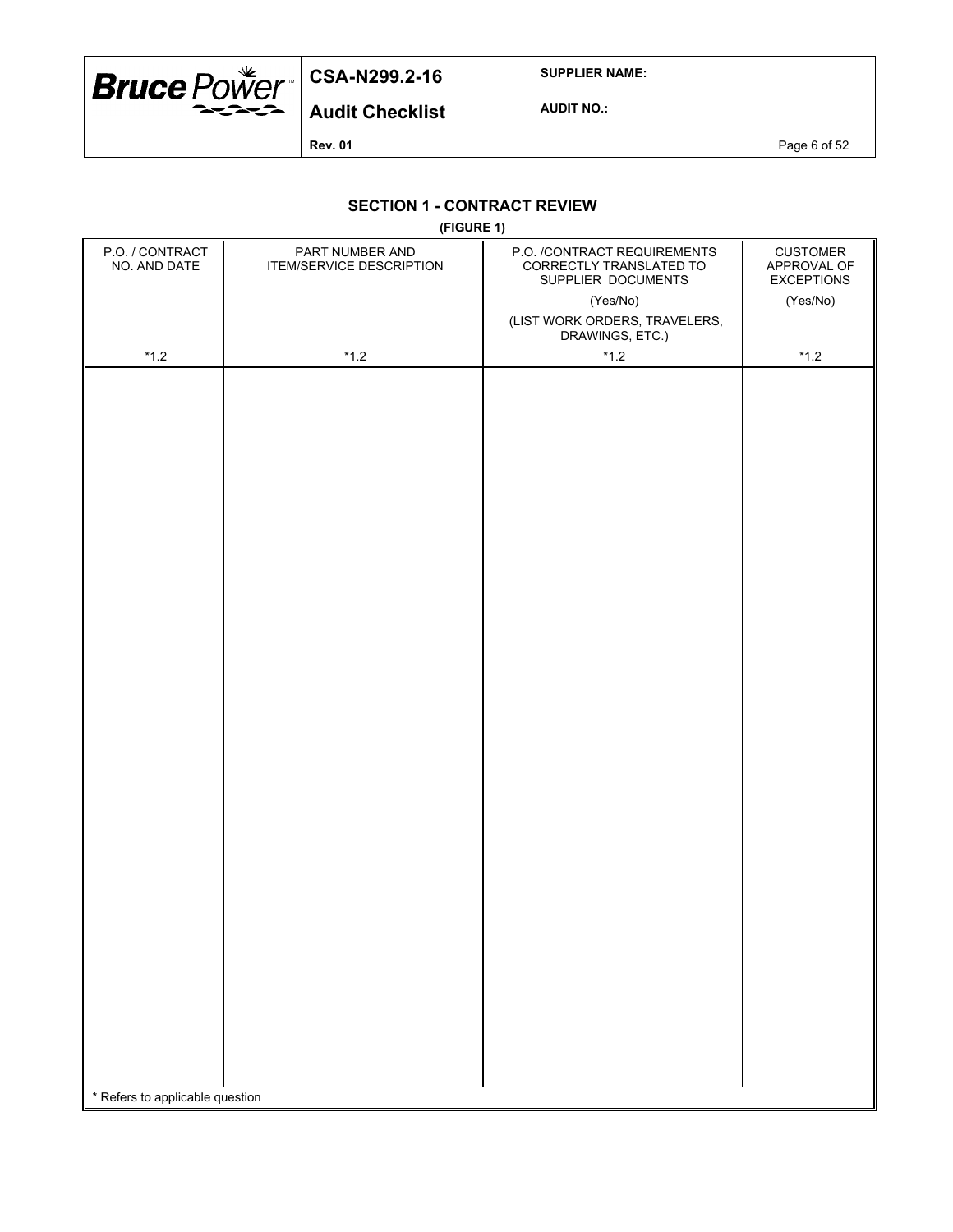

**SUPPLIER NAME:**

**Audit Checklist**

**AUDIT NO.:**

**Rev. 01 Page 6 of 52** 

### **SECTION 1 - CONTRACT REVIEW**

**(FIGURE 1)**

| P.O. / CONTRACT<br>NO. AND DATE | PART NUMBER AND<br>ITEM/SERVICE DESCRIPTION | P.O. /CONTRACT REQUIREMENTS<br>CORRECTLY TRANSLATED TO<br>SUPPLIER DOCUMENTS | <b>CUSTOMER</b><br>APPROVAL OF<br><b>EXCEPTIONS</b> |  |  |  |
|---------------------------------|---------------------------------------------|------------------------------------------------------------------------------|-----------------------------------------------------|--|--|--|
|                                 |                                             | (Yes/No)                                                                     | (Yes/No)                                            |  |  |  |
|                                 |                                             | (LIST WORK ORDERS, TRAVELERS,<br>DRAWINGS, ETC.)                             |                                                     |  |  |  |
| $^{\star}$ 1.2                  | $^{\star}$ 1.2                              | $^{\star}$ 1.2                                                               | $^{\star}$ 1.2                                      |  |  |  |
|                                 |                                             |                                                                              |                                                     |  |  |  |
| * Refers to applicable question |                                             |                                                                              |                                                     |  |  |  |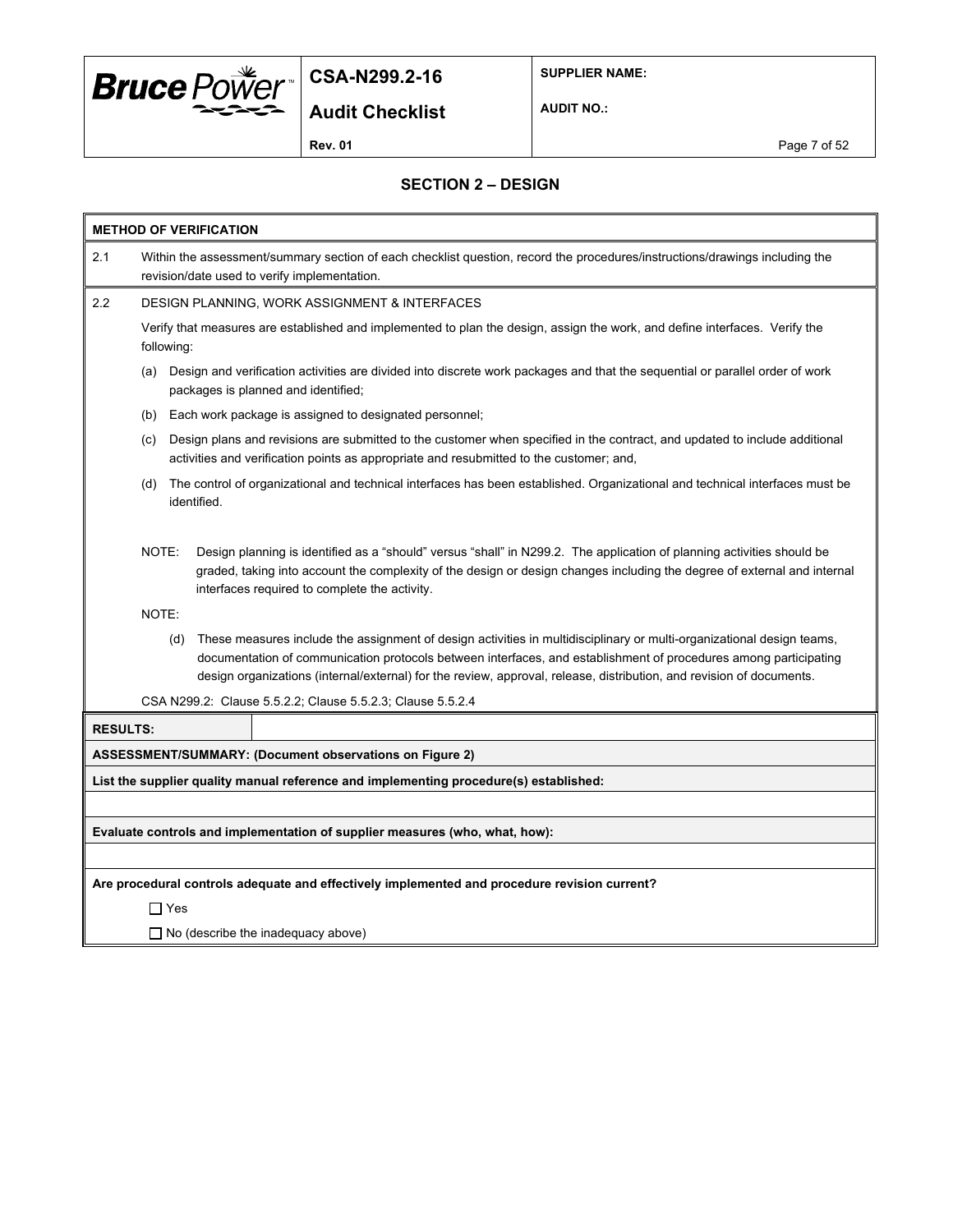

**SUPPLIER NAME:**

**Audit Checklist**

**AUDIT NO.:**

**Rev. 01** Page 7 of 52

#### **SECTION 2 – DESIGN**

| <b>METHOD OF VERIFICATION</b> |       |                                                                                                                                                                                                                                                                                                                                                                          |  |  |  |  |  |
|-------------------------------|-------|--------------------------------------------------------------------------------------------------------------------------------------------------------------------------------------------------------------------------------------------------------------------------------------------------------------------------------------------------------------------------|--|--|--|--|--|
| 2.1                           |       | Within the assessment/summary section of each checklist question, record the procedures/instructions/drawings including the<br>revision/date used to verify implementation.                                                                                                                                                                                              |  |  |  |  |  |
| 2.2                           |       | DESIGN PLANNING, WORK ASSIGNMENT & INTERFACES                                                                                                                                                                                                                                                                                                                            |  |  |  |  |  |
|                               |       | Verify that measures are established and implemented to plan the design, assign the work, and define interfaces. Verify the<br>following:                                                                                                                                                                                                                                |  |  |  |  |  |
|                               | (a)   | Design and verification activities are divided into discrete work packages and that the sequential or parallel order of work<br>packages is planned and identified;                                                                                                                                                                                                      |  |  |  |  |  |
|                               | (b)   | Each work package is assigned to designated personnel;                                                                                                                                                                                                                                                                                                                   |  |  |  |  |  |
|                               | (c)   | Design plans and revisions are submitted to the customer when specified in the contract, and updated to include additional<br>activities and verification points as appropriate and resubmitted to the customer; and,                                                                                                                                                    |  |  |  |  |  |
|                               | (d)   | The control of organizational and technical interfaces has been established. Organizational and technical interfaces must be<br>identified.                                                                                                                                                                                                                              |  |  |  |  |  |
|                               | NOTE: | Design planning is identified as a "should" versus "shall" in N299.2. The application of planning activities should be<br>graded, taking into account the complexity of the design or design changes including the degree of external and internal<br>interfaces required to complete the activity.                                                                      |  |  |  |  |  |
|                               | NOTE: |                                                                                                                                                                                                                                                                                                                                                                          |  |  |  |  |  |
|                               |       | These measures include the assignment of design activities in multidisciplinary or multi-organizational design teams,<br>(d)<br>documentation of communication protocols between interfaces, and establishment of procedures among participating<br>design organizations (internal/external) for the review, approval, release, distribution, and revision of documents. |  |  |  |  |  |
|                               |       | CSA N299.2: Clause 5.5.2.2; Clause 5.5.2.3; Clause 5.5.2.4                                                                                                                                                                                                                                                                                                               |  |  |  |  |  |
| <b>RESULTS:</b>               |       |                                                                                                                                                                                                                                                                                                                                                                          |  |  |  |  |  |
|                               |       | ASSESSMENT/SUMMARY: (Document observations on Figure 2)                                                                                                                                                                                                                                                                                                                  |  |  |  |  |  |
|                               |       | List the supplier quality manual reference and implementing procedure(s) established:                                                                                                                                                                                                                                                                                    |  |  |  |  |  |
|                               |       |                                                                                                                                                                                                                                                                                                                                                                          |  |  |  |  |  |
|                               |       | Evaluate controls and implementation of supplier measures (who, what, how):                                                                                                                                                                                                                                                                                              |  |  |  |  |  |
|                               |       |                                                                                                                                                                                                                                                                                                                                                                          |  |  |  |  |  |
|                               |       | Are procedural controls adequate and effectively implemented and procedure revision current?                                                                                                                                                                                                                                                                             |  |  |  |  |  |
|                               |       | $\Box$ Yes                                                                                                                                                                                                                                                                                                                                                               |  |  |  |  |  |
|                               |       | $\Box$ No (describe the inadequacy above)                                                                                                                                                                                                                                                                                                                                |  |  |  |  |  |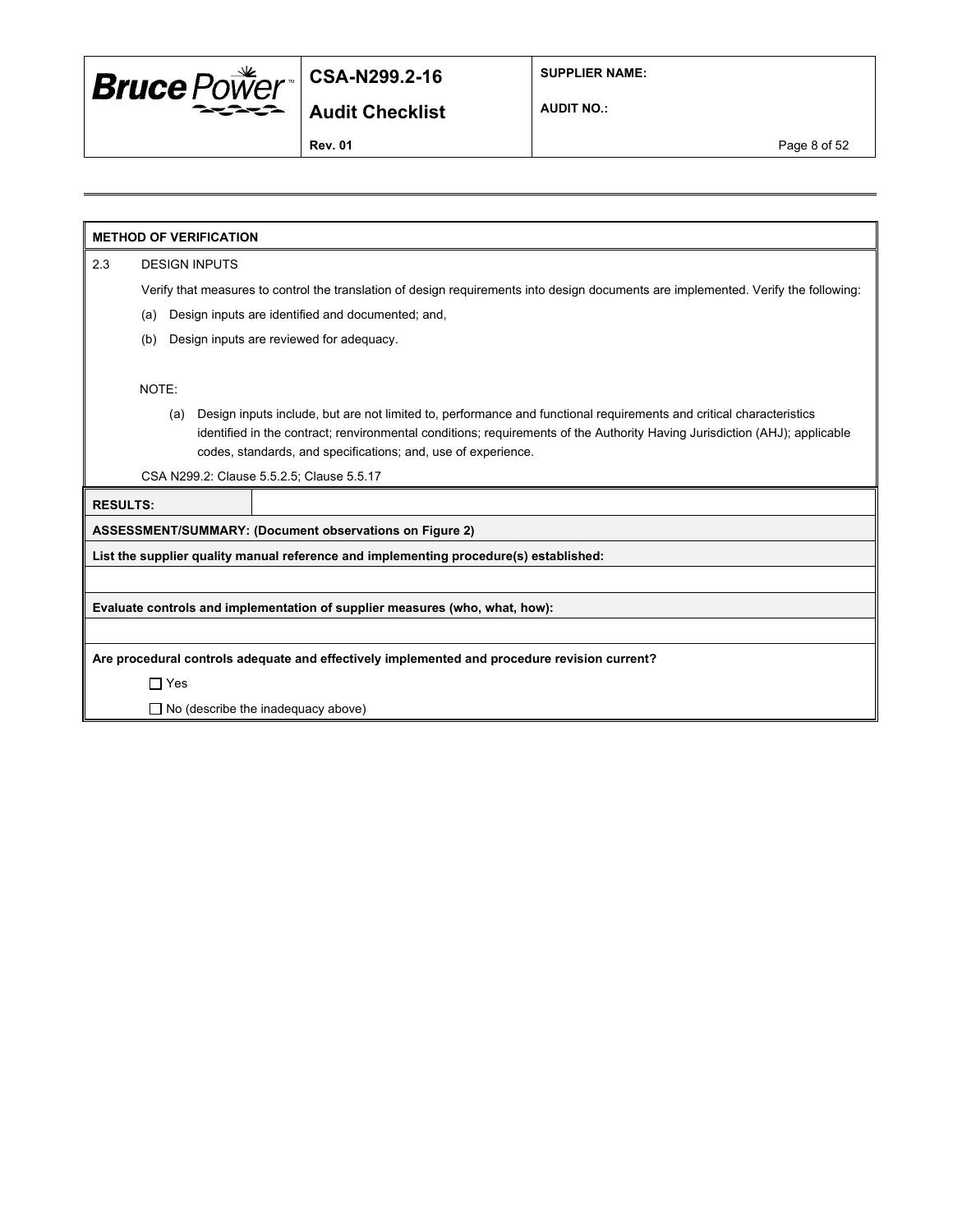

**SUPPLIER NAME:**

**Audit Checklist**

**AUDIT NO.:**

**Rev. 01** Page 8 of 52

**METHOD OF VERIFICATION**

2.3 DESIGN INPUTS

Verify that measures to control the translation of design requirements into design documents are implemented. Verify the following:

- (a) Design inputs are identified and documented; and,
- (b) Design inputs are reviewed for adequacy.

NOTE:

(a) Design inputs include, but are not limited to, performance and functional requirements and critical characteristics identified in the contract; renvironmental conditions; requirements of the Authority Having Jurisdiction (AHJ); applicable codes, standards, and specifications; and, use of experience.

CSA N299.2: Clause 5.5.2.5; Clause 5.5.17

**RESULTS:**

**ASSESSMENT/SUMMARY: (Document observations on Figure 2)**

**List the supplier quality manual reference and implementing procedure(s) established:**

**Evaluate controls and implementation of supplier measures (who, what, how):**

**Are procedural controls adequate and effectively implemented and procedure revision current?**

Yes

□ No (describe the inadequacy above)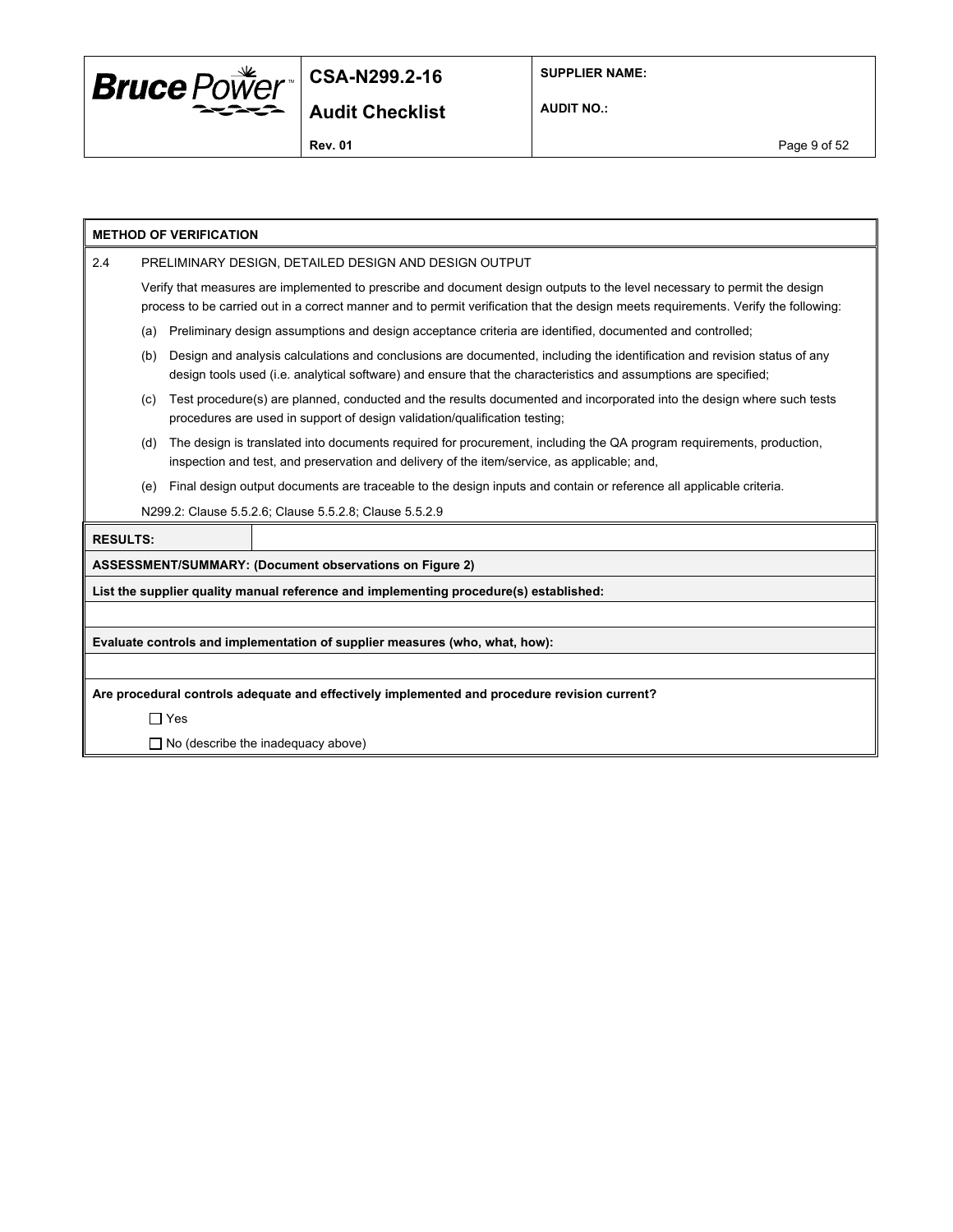

**SUPPLIER NAME:**

**AUDIT NO.:**

**METHOD OF VERIFICATION** 2.4 PRELIMINARY DESIGN, DETAILED DESIGN AND DESIGN OUTPUT Verify that measures are implemented to prescribe and document design outputs to the level necessary to permit the design process to be carried out in a correct manner and to permit verification that the design meets requirements. Verify the following: (a) Preliminary design assumptions and design acceptance criteria are identified, documented and controlled; (b) Design and analysis calculations and conclusions are documented, including the identification and revision status of any design tools used (i.e. analytical software) and ensure that the characteristics and assumptions are specified; (c) Test procedure(s) are planned, conducted and the results documented and incorporated into the design where such tests procedures are used in support of design validation/qualification testing; (d) The design is translated into documents required for procurement, including the QA program requirements, production, inspection and test, and preservation and delivery of the item/service, as applicable; and, (e) Final design output documents are traceable to the design inputs and contain or reference all applicable criteria. N299.2: Clause 5.5.2.6; Clause 5.5.2.8; Clause 5.5.2.9 **RESULTS: ASSESSMENT/SUMMARY: (Document observations on Figure 2) List the supplier quality manual reference and implementing procedure(s) established: Evaluate controls and implementation of supplier measures (who, what, how): Are procedural controls adequate and effectively implemented and procedure revision current?** Yes  $\Box$  No (describe the inadequacy above)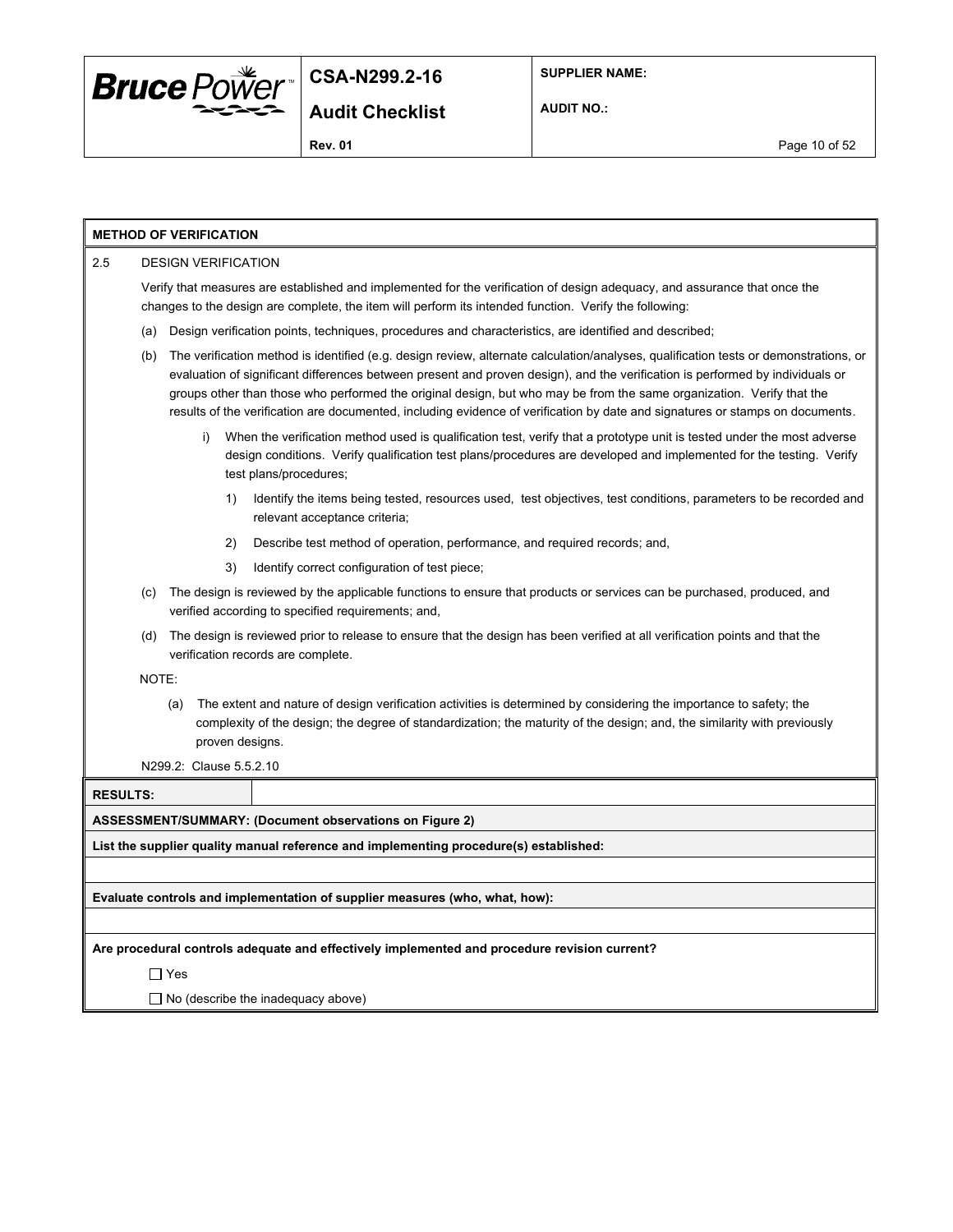

**AUDIT NO.:**

| <b>METHOD OF VERIFICATION</b> |                                                                                                                                                                                                                                                                                                                                                                                                                                                                                                                                 |                 |                                                                                                                                                                                                                                                                         |  |  |  |  |
|-------------------------------|---------------------------------------------------------------------------------------------------------------------------------------------------------------------------------------------------------------------------------------------------------------------------------------------------------------------------------------------------------------------------------------------------------------------------------------------------------------------------------------------------------------------------------|-----------------|-------------------------------------------------------------------------------------------------------------------------------------------------------------------------------------------------------------------------------------------------------------------------|--|--|--|--|
| 2.5                           | <b>DESIGN VERIFICATION</b>                                                                                                                                                                                                                                                                                                                                                                                                                                                                                                      |                 |                                                                                                                                                                                                                                                                         |  |  |  |  |
|                               | Verify that measures are established and implemented for the verification of design adequacy, and assurance that once the<br>changes to the design are complete, the item will perform its intended function. Verify the following:                                                                                                                                                                                                                                                                                             |                 |                                                                                                                                                                                                                                                                         |  |  |  |  |
|                               | Design verification points, techniques, procedures and characteristics, are identified and described;<br>(a)                                                                                                                                                                                                                                                                                                                                                                                                                    |                 |                                                                                                                                                                                                                                                                         |  |  |  |  |
| (b)                           | The verification method is identified (e.g. design review, alternate calculation/analyses, qualification tests or demonstrations, or<br>evaluation of significant differences between present and proven design), and the verification is performed by individuals or<br>groups other than those who performed the original design, but who may be from the same organization. Verify that the<br>results of the verification are documented, including evidence of verification by date and signatures or stamps on documents. |                 |                                                                                                                                                                                                                                                                         |  |  |  |  |
|                               | i)                                                                                                                                                                                                                                                                                                                                                                                                                                                                                                                              |                 | When the verification method used is qualification test, verify that a prototype unit is tested under the most adverse<br>design conditions. Verify qualification test plans/procedures are developed and implemented for the testing. Verify<br>test plans/procedures; |  |  |  |  |
|                               |                                                                                                                                                                                                                                                                                                                                                                                                                                                                                                                                 | 1)              | Identify the items being tested, resources used, test objectives, test conditions, parameters to be recorded and<br>relevant acceptance criteria;                                                                                                                       |  |  |  |  |
|                               |                                                                                                                                                                                                                                                                                                                                                                                                                                                                                                                                 | 2)              | Describe test method of operation, performance, and required records; and,                                                                                                                                                                                              |  |  |  |  |
|                               |                                                                                                                                                                                                                                                                                                                                                                                                                                                                                                                                 | 3)              | Identify correct configuration of test piece;                                                                                                                                                                                                                           |  |  |  |  |
| (c)                           |                                                                                                                                                                                                                                                                                                                                                                                                                                                                                                                                 |                 | The design is reviewed by the applicable functions to ensure that products or services can be purchased, produced, and<br>verified according to specified requirements; and,                                                                                            |  |  |  |  |
| (d)                           |                                                                                                                                                                                                                                                                                                                                                                                                                                                                                                                                 |                 | The design is reviewed prior to release to ensure that the design has been verified at all verification points and that the<br>verification records are complete.                                                                                                       |  |  |  |  |
| NOTE:                         |                                                                                                                                                                                                                                                                                                                                                                                                                                                                                                                                 |                 |                                                                                                                                                                                                                                                                         |  |  |  |  |
|                               | (a)                                                                                                                                                                                                                                                                                                                                                                                                                                                                                                                             | proven designs. | The extent and nature of design verification activities is determined by considering the importance to safety; the<br>complexity of the design; the degree of standardization; the maturity of the design; and, the similarity with previously                          |  |  |  |  |
|                               | N299.2: Clause 5.5.2.10                                                                                                                                                                                                                                                                                                                                                                                                                                                                                                         |                 |                                                                                                                                                                                                                                                                         |  |  |  |  |
| <b>RESULTS:</b>               |                                                                                                                                                                                                                                                                                                                                                                                                                                                                                                                                 |                 |                                                                                                                                                                                                                                                                         |  |  |  |  |
|                               |                                                                                                                                                                                                                                                                                                                                                                                                                                                                                                                                 |                 | <b>ASSESSMENT/SUMMARY: (Document observations on Figure 2)</b>                                                                                                                                                                                                          |  |  |  |  |
|                               |                                                                                                                                                                                                                                                                                                                                                                                                                                                                                                                                 |                 | List the supplier quality manual reference and implementing procedure(s) established:                                                                                                                                                                                   |  |  |  |  |
|                               |                                                                                                                                                                                                                                                                                                                                                                                                                                                                                                                                 |                 |                                                                                                                                                                                                                                                                         |  |  |  |  |
|                               |                                                                                                                                                                                                                                                                                                                                                                                                                                                                                                                                 |                 | Evaluate controls and implementation of supplier measures (who, what, how):                                                                                                                                                                                             |  |  |  |  |
|                               |                                                                                                                                                                                                                                                                                                                                                                                                                                                                                                                                 |                 |                                                                                                                                                                                                                                                                         |  |  |  |  |
|                               |                                                                                                                                                                                                                                                                                                                                                                                                                                                                                                                                 |                 | Are procedural controls adequate and effectively implemented and procedure revision current?                                                                                                                                                                            |  |  |  |  |
|                               | $\Box$ Yes                                                                                                                                                                                                                                                                                                                                                                                                                                                                                                                      |                 |                                                                                                                                                                                                                                                                         |  |  |  |  |
|                               |                                                                                                                                                                                                                                                                                                                                                                                                                                                                                                                                 |                 | $\Box$ No (describe the inadequacy above)                                                                                                                                                                                                                               |  |  |  |  |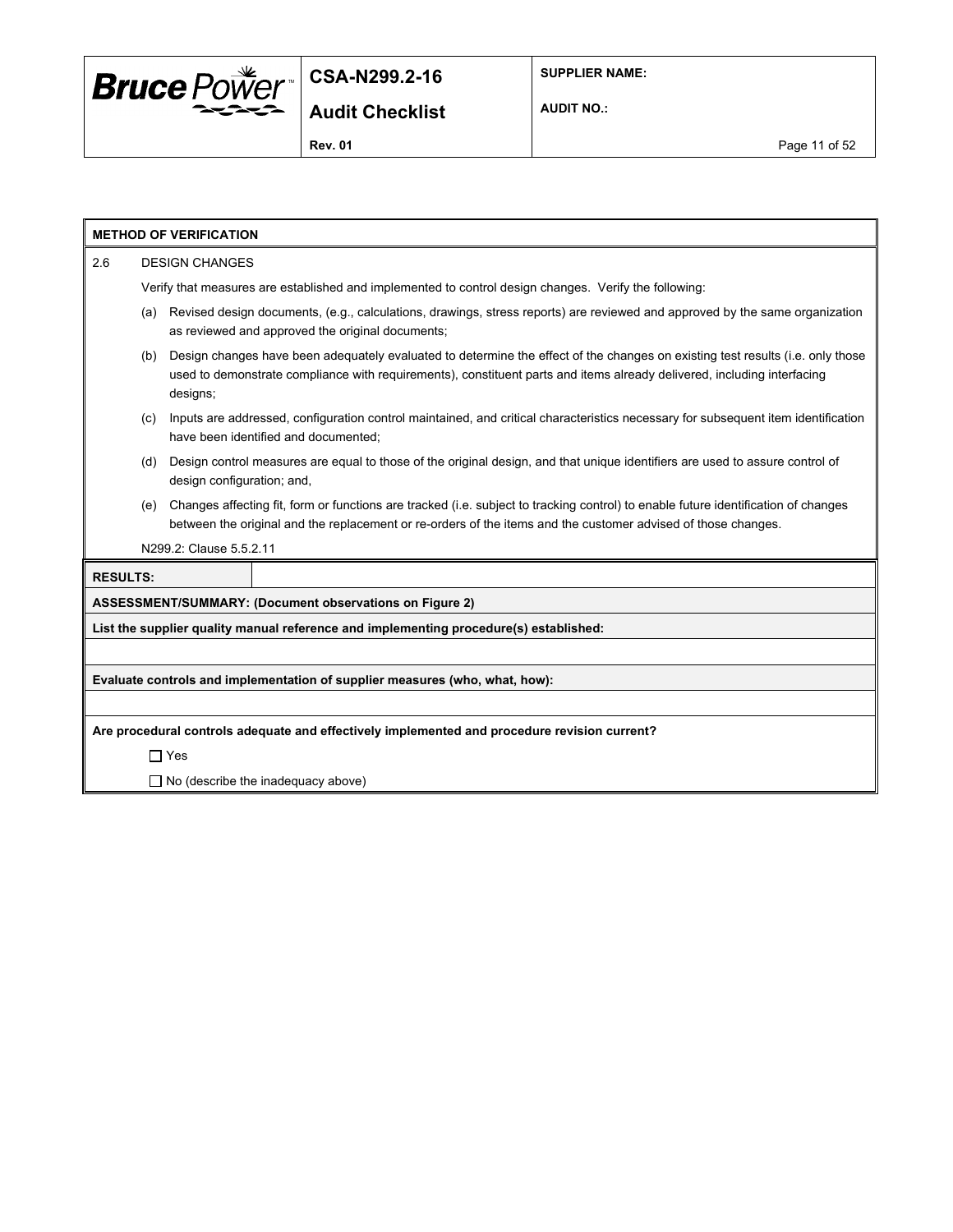

**AUDIT NO.:**

|                 |                                                                                                                                                                                                                                                                              | <b>METHOD OF VERIFICATION</b> |                                                                                                                                                                                                                                                     |  |  |  |  |
|-----------------|------------------------------------------------------------------------------------------------------------------------------------------------------------------------------------------------------------------------------------------------------------------------------|-------------------------------|-----------------------------------------------------------------------------------------------------------------------------------------------------------------------------------------------------------------------------------------------------|--|--|--|--|
| 2.6             | <b>DESIGN CHANGES</b>                                                                                                                                                                                                                                                        |                               |                                                                                                                                                                                                                                                     |  |  |  |  |
|                 | Verify that measures are established and implemented to control design changes. Verify the following:                                                                                                                                                                        |                               |                                                                                                                                                                                                                                                     |  |  |  |  |
|                 | (a)                                                                                                                                                                                                                                                                          |                               | Revised design documents, (e.g., calculations, drawings, stress reports) are reviewed and approved by the same organization<br>as reviewed and approved the original documents;                                                                     |  |  |  |  |
|                 | Design changes have been adequately evaluated to determine the effect of the changes on existing test results (i.e. only those<br>(b)<br>used to demonstrate compliance with requirements), constituent parts and items already delivered, including interfacing<br>designs; |                               |                                                                                                                                                                                                                                                     |  |  |  |  |
|                 | (c)                                                                                                                                                                                                                                                                          |                               | Inputs are addressed, configuration control maintained, and critical characteristics necessary for subsequent item identification<br>have been identified and documented:                                                                           |  |  |  |  |
|                 | (d)                                                                                                                                                                                                                                                                          | design configuration; and,    | Design control measures are equal to those of the original design, and that unique identifiers are used to assure control of                                                                                                                        |  |  |  |  |
|                 | (e)                                                                                                                                                                                                                                                                          |                               | Changes affecting fit, form or functions are tracked (i.e. subject to tracking control) to enable future identification of changes<br>between the original and the replacement or re-orders of the items and the customer advised of those changes. |  |  |  |  |
|                 |                                                                                                                                                                                                                                                                              | N299.2: Clause 5.5.2.11       |                                                                                                                                                                                                                                                     |  |  |  |  |
| <b>RESULTS:</b> |                                                                                                                                                                                                                                                                              |                               |                                                                                                                                                                                                                                                     |  |  |  |  |
|                 |                                                                                                                                                                                                                                                                              |                               | ASSESSMENT/SUMMARY: (Document observations on Figure 2)                                                                                                                                                                                             |  |  |  |  |
|                 |                                                                                                                                                                                                                                                                              |                               | List the supplier quality manual reference and implementing procedure(s) established:                                                                                                                                                               |  |  |  |  |
|                 |                                                                                                                                                                                                                                                                              |                               |                                                                                                                                                                                                                                                     |  |  |  |  |
|                 | Evaluate controls and implementation of supplier measures (who, what, how):                                                                                                                                                                                                  |                               |                                                                                                                                                                                                                                                     |  |  |  |  |
|                 |                                                                                                                                                                                                                                                                              |                               |                                                                                                                                                                                                                                                     |  |  |  |  |
|                 |                                                                                                                                                                                                                                                                              |                               | Are procedural controls adequate and effectively implemented and procedure revision current?                                                                                                                                                        |  |  |  |  |
|                 |                                                                                                                                                                                                                                                                              | $\Box$ Yes                    |                                                                                                                                                                                                                                                     |  |  |  |  |
|                 | $\Box$ No (describe the inadequacy above)                                                                                                                                                                                                                                    |                               |                                                                                                                                                                                                                                                     |  |  |  |  |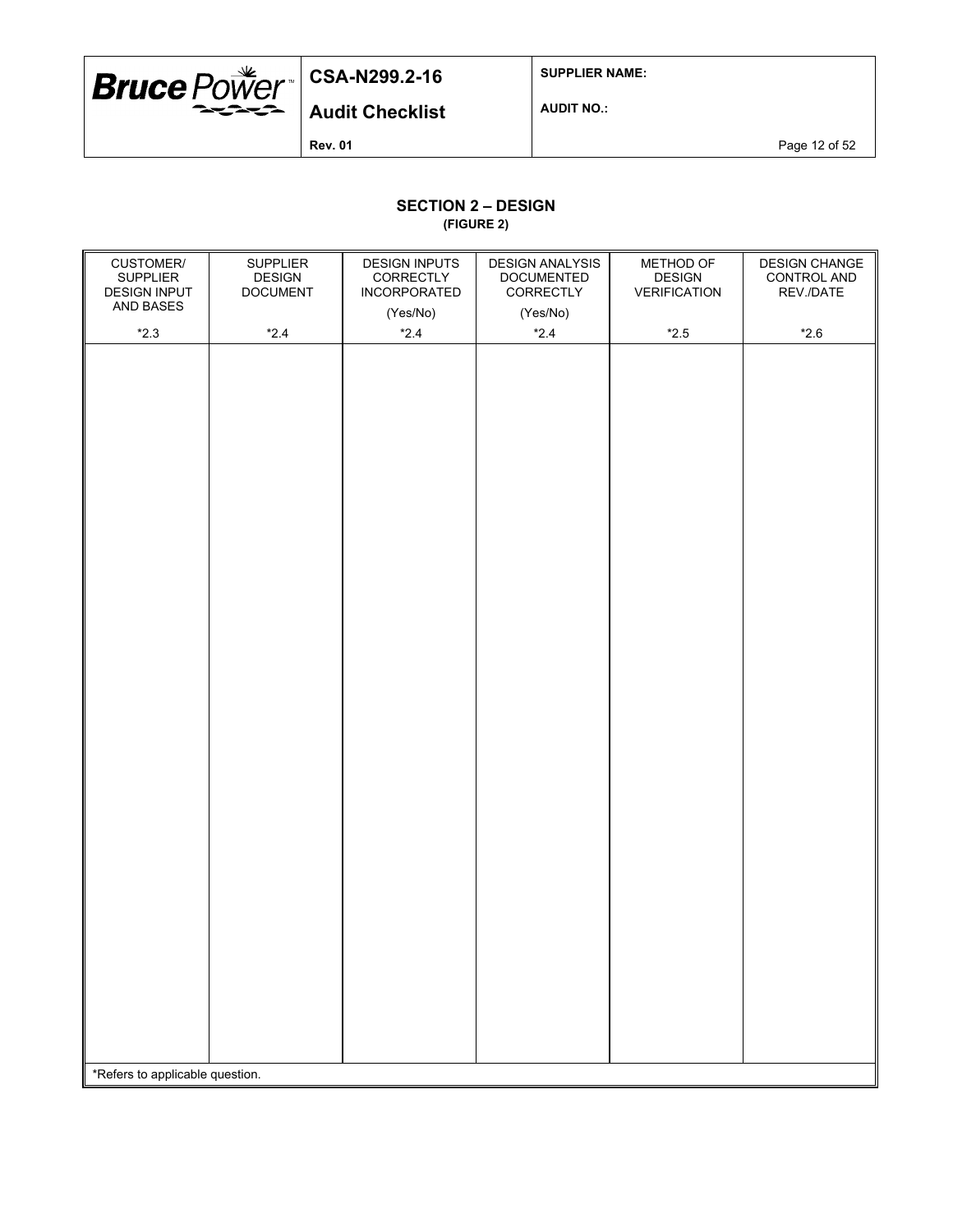

**SUPPLIER NAME:**

**Audit Checklist**

**AUDIT NO.:**

**Rev. 01 Page 12 of 52** 

# **SECTION 2 – DESIGN**

**(FIGURE 2)**

| CUSTOMER/<br><b>SUPPLIER</b><br><b>DESIGN INPUT</b><br>AND BASES | <b>SUPPLIER</b><br><b>DESIGN</b><br><b>DOCUMENT</b> | <b>DESIGN INPUTS</b><br>CORRECTLY<br>INCORPORATED<br>(Yes/No) | <b>DESIGN ANALYSIS</b><br><b>DOCUMENTED</b><br>CORRECTLY<br>(Yes/No) | METHOD OF<br><b>DESIGN</b><br><b>VERIFICATION</b> | DESIGN CHANGE<br>CONTROL AND<br>REV./DATE |
|------------------------------------------------------------------|-----------------------------------------------------|---------------------------------------------------------------|----------------------------------------------------------------------|---------------------------------------------------|-------------------------------------------|
|                                                                  |                                                     |                                                               |                                                                      |                                                   |                                           |
| $*2.3$                                                           | $*2.4$                                              | $*2.4$                                                        | $*2.4$                                                               | $^{\star}2.5$                                     | $*2.6$                                    |
| *Refers to applicable question.                                  |                                                     |                                                               |                                                                      |                                                   |                                           |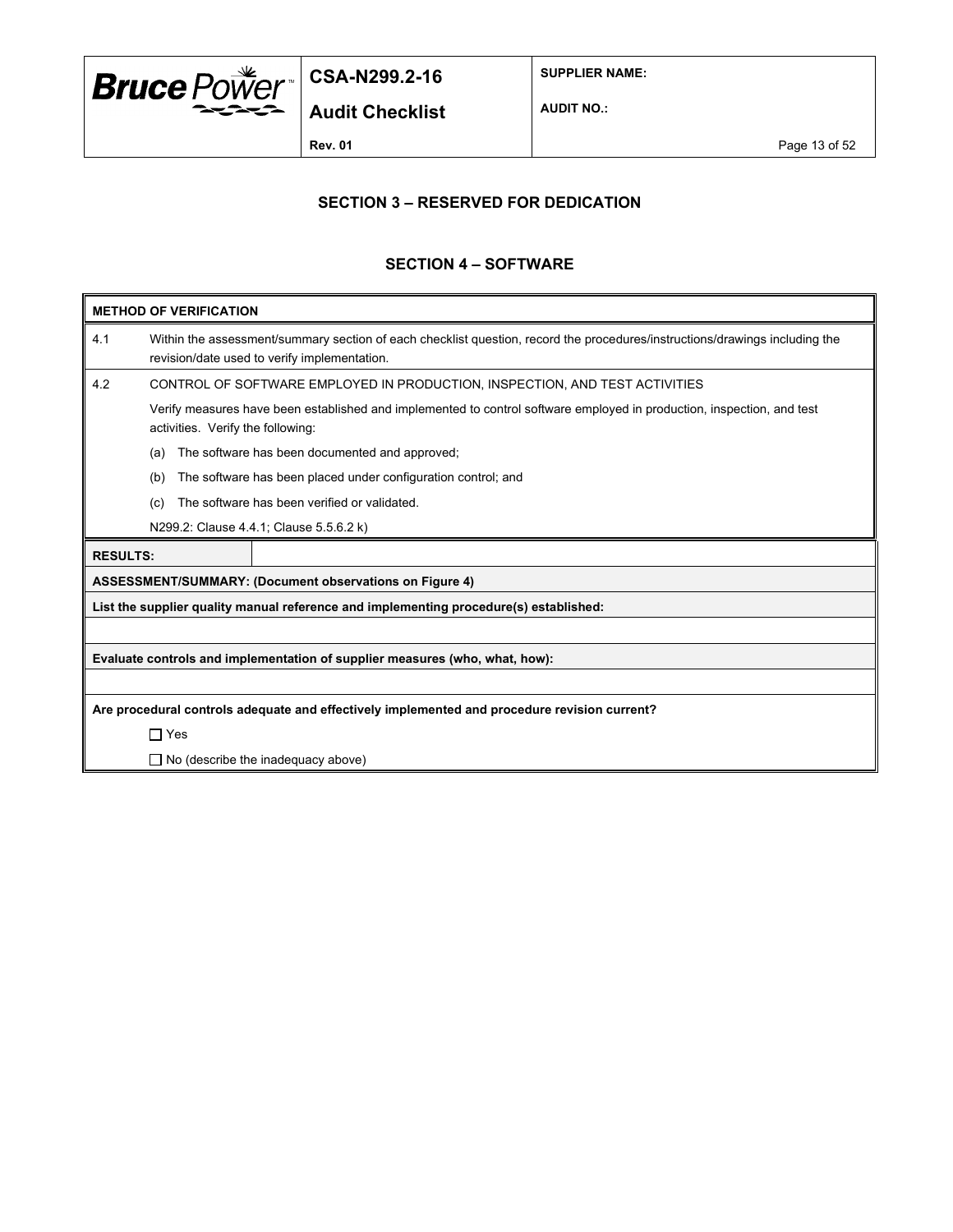

**SUPPLIER NAME:**

**AUDIT NO.:**

**Rev. 01 Page 13 of 52** 

### **SECTION 3 – RESERVED FOR DEDICATION**

#### **SECTION 4 – SOFTWARE**

| <b>METHOD OF VERIFICATION</b>                                  |                                                                                                                                                                             |  |  |  |  |  |
|----------------------------------------------------------------|-----------------------------------------------------------------------------------------------------------------------------------------------------------------------------|--|--|--|--|--|
| 4.1                                                            | Within the assessment/summary section of each checklist question, record the procedures/instructions/drawings including the<br>revision/date used to verify implementation. |  |  |  |  |  |
| 4.2                                                            | CONTROL OF SOFTWARE EMPLOYED IN PRODUCTION, INSPECTION, AND TEST ACTIVITIES                                                                                                 |  |  |  |  |  |
|                                                                | Verify measures have been established and implemented to control software employed in production, inspection, and test<br>activities. Verify the following:                 |  |  |  |  |  |
|                                                                | The software has been documented and approved;<br>(a)                                                                                                                       |  |  |  |  |  |
|                                                                | The software has been placed under configuration control; and<br>(b)                                                                                                        |  |  |  |  |  |
|                                                                | The software has been verified or validated.<br>(c)                                                                                                                         |  |  |  |  |  |
|                                                                | N299.2: Clause 4.4.1; Clause 5.5.6.2 k)                                                                                                                                     |  |  |  |  |  |
|                                                                | <b>RESULTS:</b>                                                                                                                                                             |  |  |  |  |  |
| <b>ASSESSMENT/SUMMARY: (Document observations on Figure 4)</b> |                                                                                                                                                                             |  |  |  |  |  |
|                                                                | List the supplier quality manual reference and implementing procedure(s) established:                                                                                       |  |  |  |  |  |
|                                                                |                                                                                                                                                                             |  |  |  |  |  |
|                                                                | Evaluate controls and implementation of supplier measures (who, what, how):                                                                                                 |  |  |  |  |  |
|                                                                |                                                                                                                                                                             |  |  |  |  |  |
|                                                                | Are procedural controls adequate and effectively implemented and procedure revision current?                                                                                |  |  |  |  |  |
|                                                                | $\Box$ Yes                                                                                                                                                                  |  |  |  |  |  |
|                                                                | $\Box$ No (describe the inadequacy above)                                                                                                                                   |  |  |  |  |  |
|                                                                |                                                                                                                                                                             |  |  |  |  |  |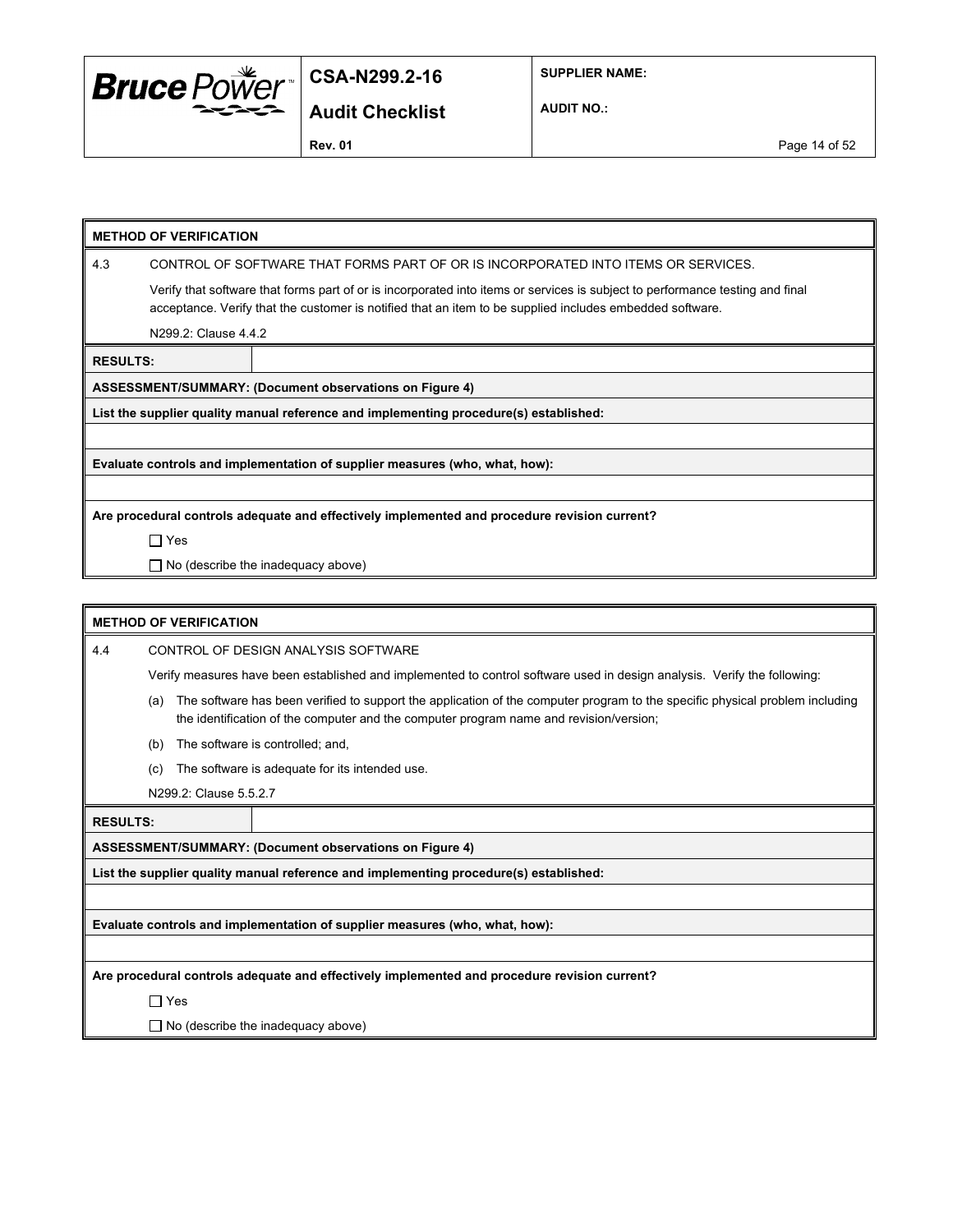

**SUPPLIER NAME:**

**AUDIT NO.:**

#### **METHOD OF VERIFICATION**

4.3 CONTROL OF SOFTWARE THAT FORMS PART OF OR IS INCORPORATED INTO ITEMS OR SERVICES.

Verify that software that forms part of or is incorporated into items or services is subject to performance testing and final acceptance. Verify that the customer is notified that an item to be supplied includes embedded software.

N299.2: Clause 4.4.2

**RESULTS:**

**ASSESSMENT/SUMMARY: (Document observations on Figure 4)**

**List the supplier quality manual reference and implementing procedure(s) established:**

**Evaluate controls and implementation of supplier measures (who, what, how):**

**Are procedural controls adequate and effectively implemented and procedure revision current?**

Yes

□ No (describe the inadequacy above)

#### **METHOD OF VERIFICATION**

4.4 CONTROL OF DESIGN ANALYSIS SOFTWARE

Verify measures have been established and implemented to control software used in design analysis. Verify the following:

- (a) The software has been verified to support the application of the computer program to the specific physical problem including the identification of the computer and the computer program name and revision/version;
- (b) The software is controlled; and,
- (c) The software is adequate for its intended use.
- N299.2: Clause 5.5.2.7

**RESULTS:**

**ASSESSMENT/SUMMARY: (Document observations on Figure 4)**

**List the supplier quality manual reference and implementing procedure(s) established:**

**Evaluate controls and implementation of supplier measures (who, what, how):**

**Are procedural controls adequate and effectively implemented and procedure revision current?**

□ Yes

 $\Box$  No (describe the inadequacy above)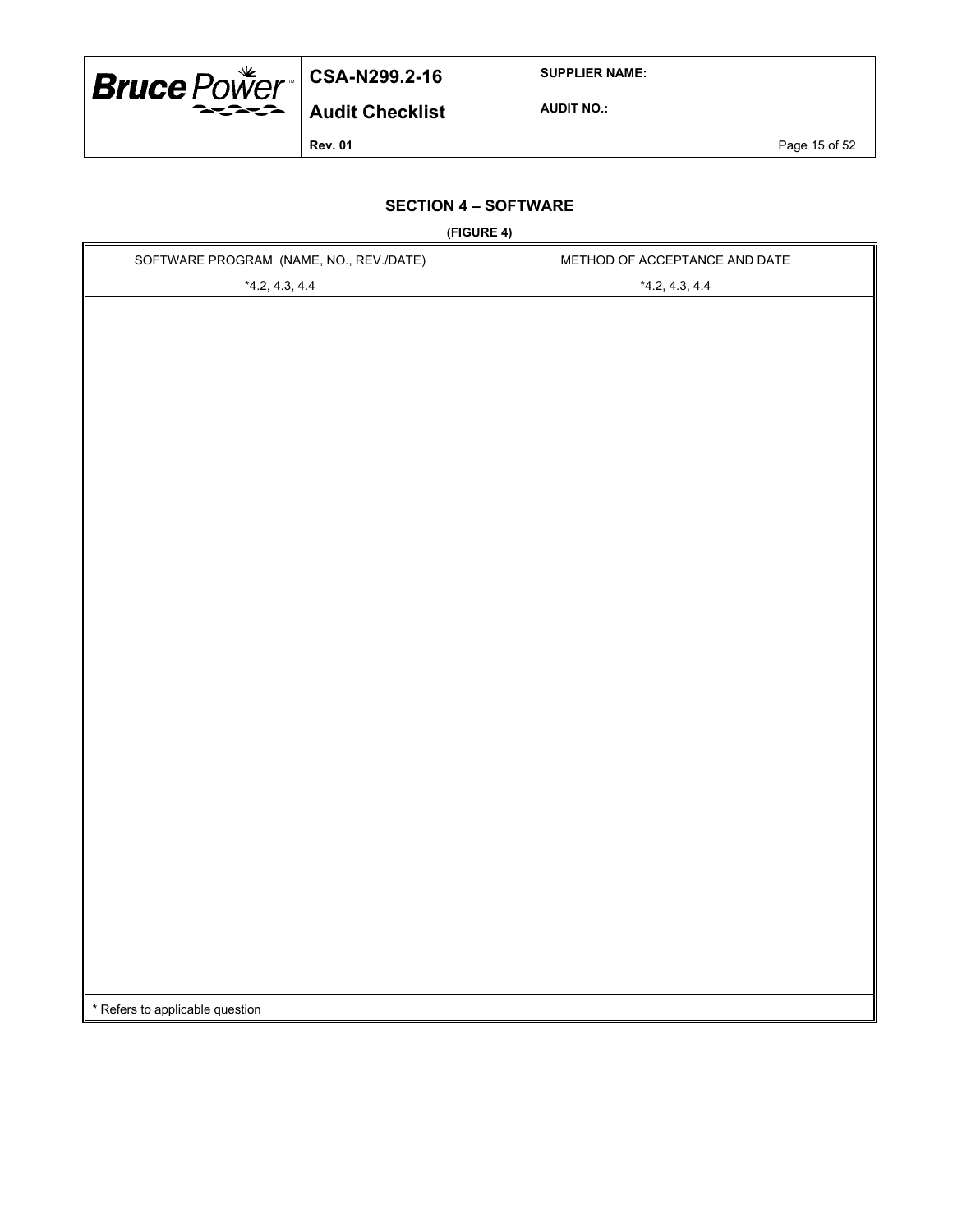

**SUPPLIER NAME:**

**AUDIT NO.:**

**Rev. 01 Page 15 of 52** 

## **SECTION 4 – SOFTWARE**

**(FIGURE 4)**

| SOFTWARE PROGRAM (NAME, NO., REV./DATE) | $(1.0011 - 1)$<br>METHOD OF ACCEPTANCE AND DATE |
|-----------------------------------------|-------------------------------------------------|
| $*4.2, 4.3, 4.4$                        | $*4.2, 4.3, 4.4$                                |
|                                         |                                                 |
|                                         |                                                 |
|                                         |                                                 |
|                                         |                                                 |
|                                         |                                                 |
|                                         |                                                 |
|                                         |                                                 |
|                                         |                                                 |
|                                         |                                                 |
|                                         |                                                 |
|                                         |                                                 |
|                                         |                                                 |
|                                         |                                                 |
|                                         |                                                 |
|                                         |                                                 |
|                                         |                                                 |
|                                         |                                                 |
|                                         |                                                 |
|                                         |                                                 |
|                                         |                                                 |
|                                         |                                                 |
|                                         |                                                 |
|                                         |                                                 |
|                                         |                                                 |
|                                         |                                                 |
|                                         |                                                 |
|                                         |                                                 |
|                                         |                                                 |
|                                         |                                                 |
| * Refers to applicable question         |                                                 |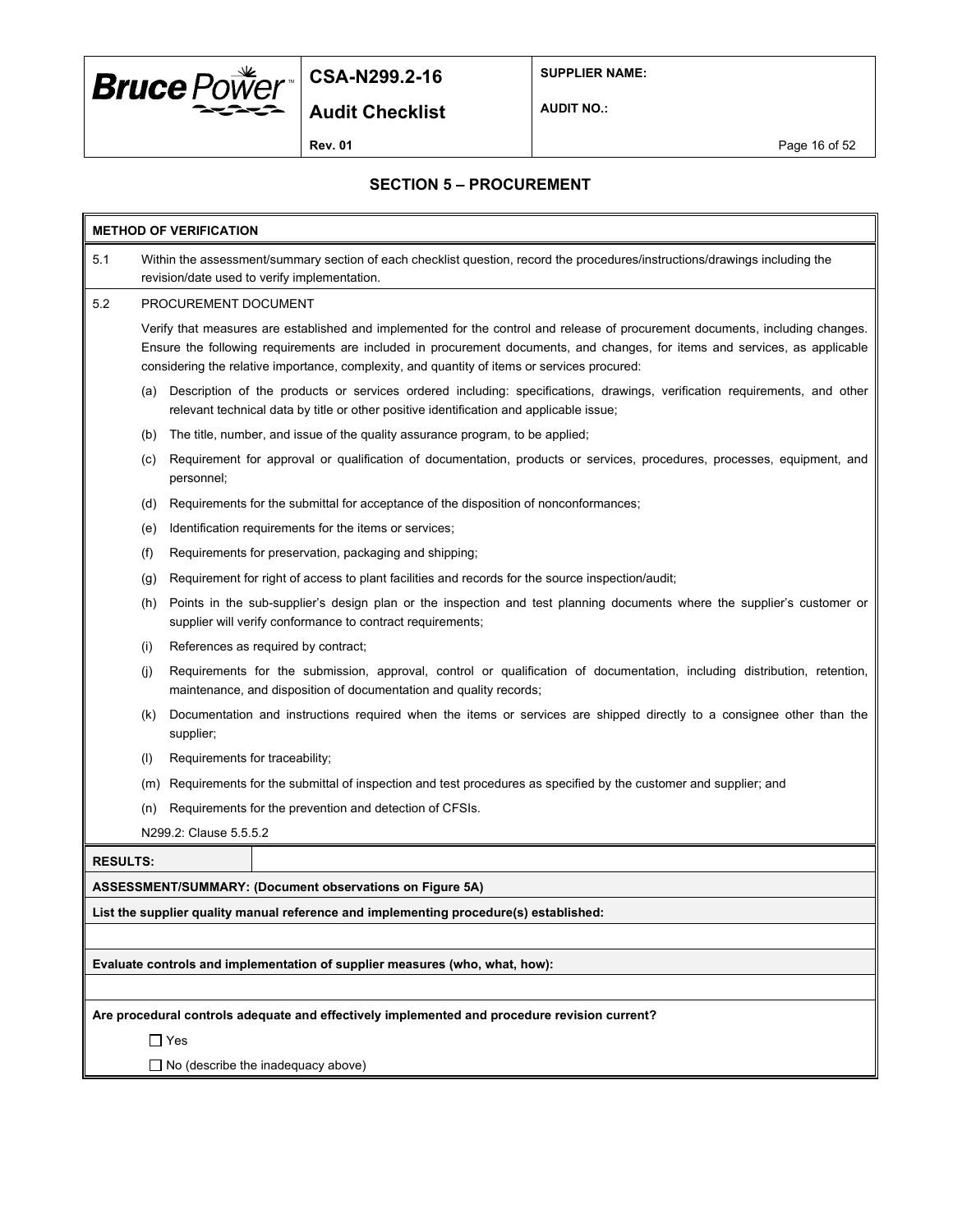

**SUPPLIER NAME:**

**Audit Checklist**

**AUDIT NO.:**

**Rev. 01 Page 16 of 52** 

#### **SECTION 5 – PROCUREMENT**

| <b>METHOD OF VERIFICATION</b>                                               |                                                                                                                                                                                                                                                                                                                                                              |                                                                                                                                                                                                                      |  |  |  |  |
|-----------------------------------------------------------------------------|--------------------------------------------------------------------------------------------------------------------------------------------------------------------------------------------------------------------------------------------------------------------------------------------------------------------------------------------------------------|----------------------------------------------------------------------------------------------------------------------------------------------------------------------------------------------------------------------|--|--|--|--|
| 5.1                                                                         | Within the assessment/summary section of each checklist question, record the procedures/instructions/drawings including the<br>revision/date used to verify implementation.                                                                                                                                                                                  |                                                                                                                                                                                                                      |  |  |  |  |
| 5.2                                                                         |                                                                                                                                                                                                                                                                                                                                                              | PROCUREMENT DOCUMENT                                                                                                                                                                                                 |  |  |  |  |
|                                                                             | Verify that measures are established and implemented for the control and release of procurement documents, including changes.<br>Ensure the following requirements are included in procurement documents, and changes, for items and services, as applicable<br>considering the relative importance, complexity, and quantity of items or services procured: |                                                                                                                                                                                                                      |  |  |  |  |
|                                                                             | (a)                                                                                                                                                                                                                                                                                                                                                          | Description of the products or services ordered including: specifications, drawings, verification requirements, and other<br>relevant technical data by title or other positive identification and applicable issue; |  |  |  |  |
|                                                                             | (b)                                                                                                                                                                                                                                                                                                                                                          | The title, number, and issue of the quality assurance program, to be applied;                                                                                                                                        |  |  |  |  |
|                                                                             | (c)                                                                                                                                                                                                                                                                                                                                                          | Requirement for approval or qualification of documentation, products or services, procedures, processes, equipment, and<br>personnel;                                                                                |  |  |  |  |
|                                                                             | (d)                                                                                                                                                                                                                                                                                                                                                          | Requirements for the submittal for acceptance of the disposition of nonconformances;                                                                                                                                 |  |  |  |  |
|                                                                             | (e)                                                                                                                                                                                                                                                                                                                                                          | Identification requirements for the items or services;                                                                                                                                                               |  |  |  |  |
|                                                                             | (f)                                                                                                                                                                                                                                                                                                                                                          | Requirements for preservation, packaging and shipping;                                                                                                                                                               |  |  |  |  |
|                                                                             | (g)                                                                                                                                                                                                                                                                                                                                                          | Requirement for right of access to plant facilities and records for the source inspection/audit;                                                                                                                     |  |  |  |  |
|                                                                             | Points in the sub-supplier's design plan or the inspection and test planning documents where the supplier's customer or<br>(h)<br>supplier will verify conformance to contract requirements;                                                                                                                                                                 |                                                                                                                                                                                                                      |  |  |  |  |
|                                                                             | (i)                                                                                                                                                                                                                                                                                                                                                          | References as required by contract;                                                                                                                                                                                  |  |  |  |  |
|                                                                             | (i)                                                                                                                                                                                                                                                                                                                                                          | Requirements for the submission, approval, control or qualification of documentation, including distribution, retention,<br>maintenance, and disposition of documentation and quality records;                       |  |  |  |  |
|                                                                             | (k)                                                                                                                                                                                                                                                                                                                                                          | Documentation and instructions required when the items or services are shipped directly to a consignee other than the<br>supplier;                                                                                   |  |  |  |  |
|                                                                             | (1)                                                                                                                                                                                                                                                                                                                                                          | Requirements for traceability;                                                                                                                                                                                       |  |  |  |  |
|                                                                             | (m)                                                                                                                                                                                                                                                                                                                                                          | Requirements for the submittal of inspection and test procedures as specified by the customer and supplier; and                                                                                                      |  |  |  |  |
|                                                                             | (n)                                                                                                                                                                                                                                                                                                                                                          | Requirements for the prevention and detection of CFSIs.                                                                                                                                                              |  |  |  |  |
|                                                                             |                                                                                                                                                                                                                                                                                                                                                              | N299.2: Clause 5.5.5.2                                                                                                                                                                                               |  |  |  |  |
| <b>RESULTS:</b>                                                             |                                                                                                                                                                                                                                                                                                                                                              |                                                                                                                                                                                                                      |  |  |  |  |
|                                                                             |                                                                                                                                                                                                                                                                                                                                                              | ASSESSMENT/SUMMARY: (Document observations on Figure 5A)                                                                                                                                                             |  |  |  |  |
|                                                                             |                                                                                                                                                                                                                                                                                                                                                              | List the supplier quality manual reference and implementing procedure(s) established:                                                                                                                                |  |  |  |  |
|                                                                             |                                                                                                                                                                                                                                                                                                                                                              |                                                                                                                                                                                                                      |  |  |  |  |
| Evaluate controls and implementation of supplier measures (who, what, how): |                                                                                                                                                                                                                                                                                                                                                              |                                                                                                                                                                                                                      |  |  |  |  |
|                                                                             |                                                                                                                                                                                                                                                                                                                                                              |                                                                                                                                                                                                                      |  |  |  |  |
|                                                                             |                                                                                                                                                                                                                                                                                                                                                              | Are procedural controls adequate and effectively implemented and procedure revision current?                                                                                                                         |  |  |  |  |
|                                                                             |                                                                                                                                                                                                                                                                                                                                                              | $\Box$ Yes                                                                                                                                                                                                           |  |  |  |  |
|                                                                             | No (describe the inadequacy above)                                                                                                                                                                                                                                                                                                                           |                                                                                                                                                                                                                      |  |  |  |  |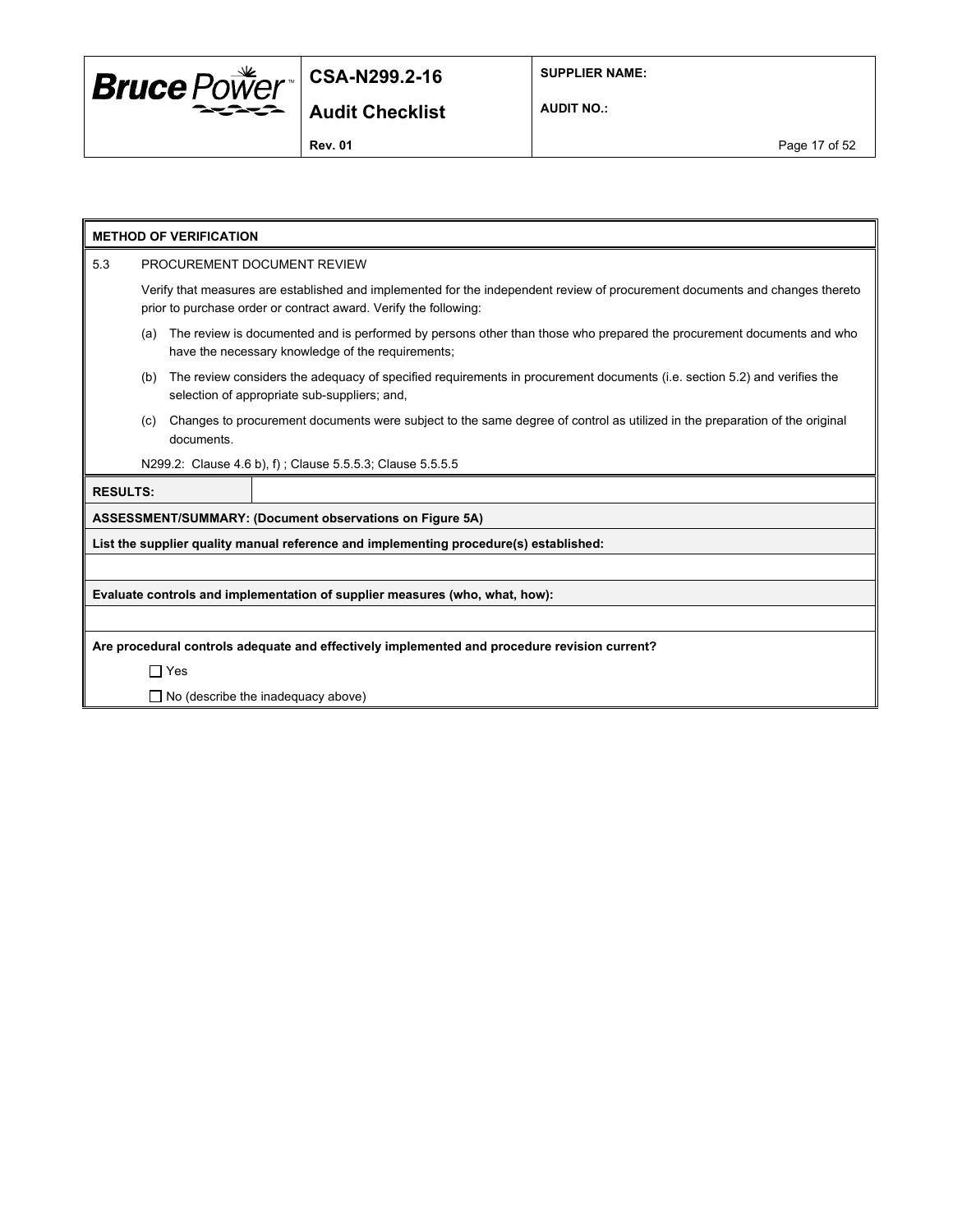

**SUPPLIER NAME:**

**AUDIT NO.:**

**Rev. 01 Page 17 of 52** 

**Audit Checklist**

| <b>METHOD OF VERIFICATION</b>                                                                |                                                                                                                                                                                                  |  |  |  |  |
|----------------------------------------------------------------------------------------------|--------------------------------------------------------------------------------------------------------------------------------------------------------------------------------------------------|--|--|--|--|
| 5.3                                                                                          | PROCUREMENT DOCUMENT REVIEW                                                                                                                                                                      |  |  |  |  |
|                                                                                              | Verify that measures are established and implemented for the independent review of procurement documents and changes thereto<br>prior to purchase order or contract award. Verify the following: |  |  |  |  |
|                                                                                              | The review is documented and is performed by persons other than those who prepared the procurement documents and who<br>(a)<br>have the necessary knowledge of the requirements;                 |  |  |  |  |
|                                                                                              | The review considers the adequacy of specified requirements in procurement documents (i.e. section 5.2) and verifies the<br>(b)<br>selection of appropriate sub-suppliers; and,                  |  |  |  |  |
|                                                                                              | Changes to procurement documents were subject to the same degree of control as utilized in the preparation of the original<br>(c)<br>documents.                                                  |  |  |  |  |
|                                                                                              | N299.2: Clause 4.6 b), f); Clause 5.5.5.3; Clause 5.5.5.5                                                                                                                                        |  |  |  |  |
| <b>RESULTS:</b>                                                                              |                                                                                                                                                                                                  |  |  |  |  |
|                                                                                              | ASSESSMENT/SUMMARY: (Document observations on Figure 5A)                                                                                                                                         |  |  |  |  |
|                                                                                              | List the supplier quality manual reference and implementing procedure(s) established:                                                                                                            |  |  |  |  |
|                                                                                              |                                                                                                                                                                                                  |  |  |  |  |
|                                                                                              | Evaluate controls and implementation of supplier measures (who, what, how):                                                                                                                      |  |  |  |  |
|                                                                                              |                                                                                                                                                                                                  |  |  |  |  |
| Are procedural controls adequate and effectively implemented and procedure revision current? |                                                                                                                                                                                                  |  |  |  |  |
|                                                                                              | $\Box$ Yes                                                                                                                                                                                       |  |  |  |  |
|                                                                                              | $\Box$ No (describe the inadequacy above)                                                                                                                                                        |  |  |  |  |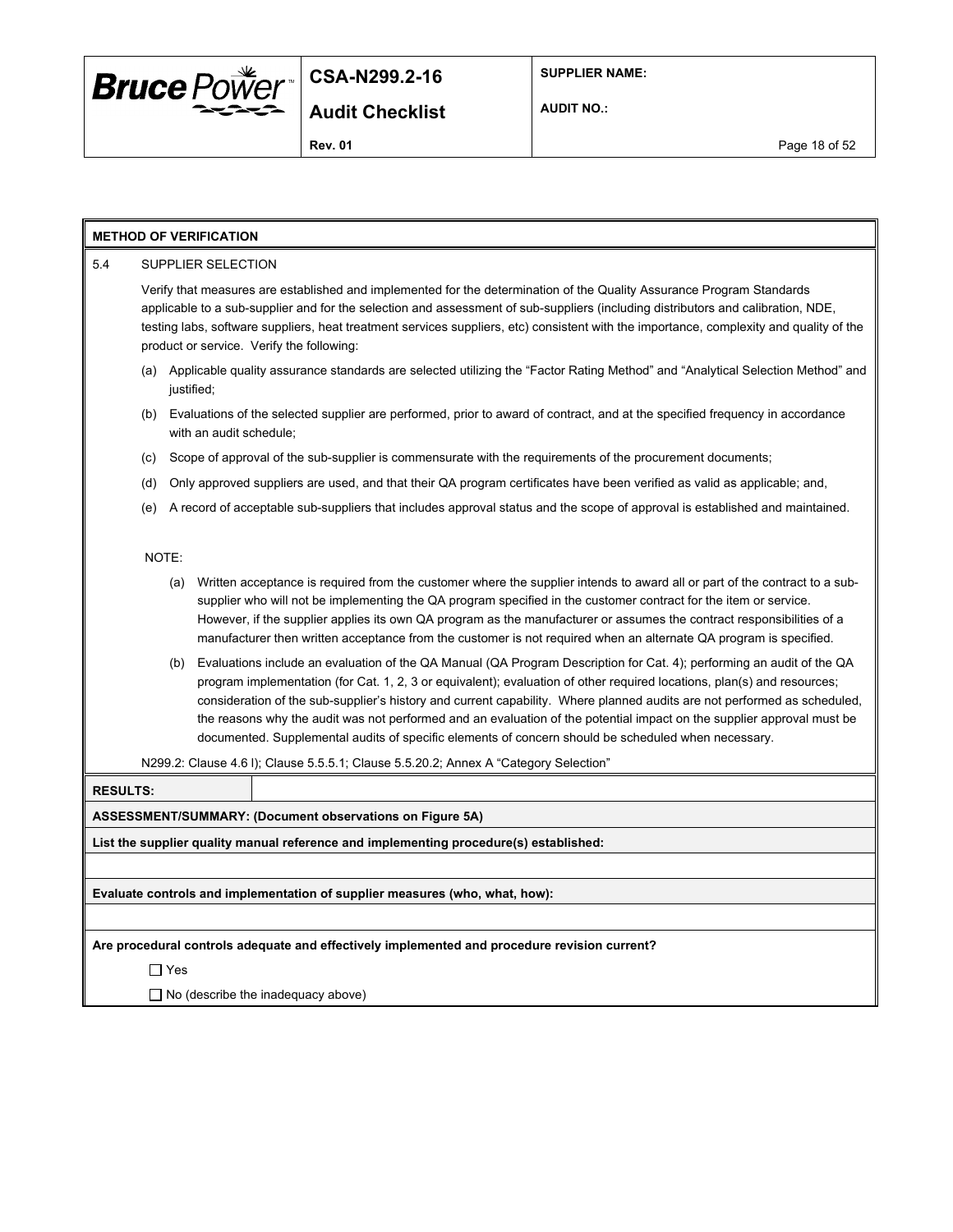

**SUPPLIER NAME:**

**AUDIT NO.:**

#### **METHOD OF VERIFICATION**

#### 5.4 SUPPLIER SELECTION

Verify that measures are established and implemented for the determination of the Quality Assurance Program Standards applicable to a sub-supplier and for the selection and assessment of sub-suppliers (including distributors and calibration, NDE, testing labs, software suppliers, heat treatment services suppliers, etc) consistent with the importance, complexity and quality of the product or service. Verify the following:

- (a) Applicable quality assurance standards are selected utilizing the "Factor Rating Method" and "Analytical Selection Method" and justified;
- (b) Evaluations of the selected supplier are performed, prior to award of contract, and at the specified frequency in accordance with an audit schedule;
- (c) Scope of approval of the sub-supplier is commensurate with the requirements of the procurement documents;
- (d) Only approved suppliers are used, and that their QA program certificates have been verified as valid as applicable; and,
- (e) A record of acceptable sub-suppliers that includes approval status and the scope of approval is established and maintained.

#### NOTE:

- (a) Written acceptance is required from the customer where the supplier intends to award all or part of the contract to a subsupplier who will not be implementing the QA program specified in the customer contract for the item or service. However, if the supplier applies its own QA program as the manufacturer or assumes the contract responsibilities of a manufacturer then written acceptance from the customer is not required when an alternate QA program is specified.
- (b) Evaluations include an evaluation of the QA Manual (QA Program Description for Cat. 4); performing an audit of the QA program implementation (for Cat. 1, 2, 3 or equivalent); evaluation of other required locations, plan(s) and resources; consideration of the sub-supplier's history and current capability. Where planned audits are not performed as scheduled, the reasons why the audit was not performed and an evaluation of the potential impact on the supplier approval must be documented. Supplemental audits of specific elements of concern should be scheduled when necessary.

N299.2: Clause 4.6 l); Clause 5.5.5.1; Clause 5.5.20.2; Annex A "Category Selection"

#### **RESULTS:**

#### **ASSESSMENT/SUMMARY: (Document observations on Figure 5A)**

**List the supplier quality manual reference and implementing procedure(s) established:**

**Evaluate controls and implementation of supplier measures (who, what, how):**

**Are procedural controls adequate and effectively implemented and procedure revision current?**

Yes

 $\Box$  No (describe the inadequacy above)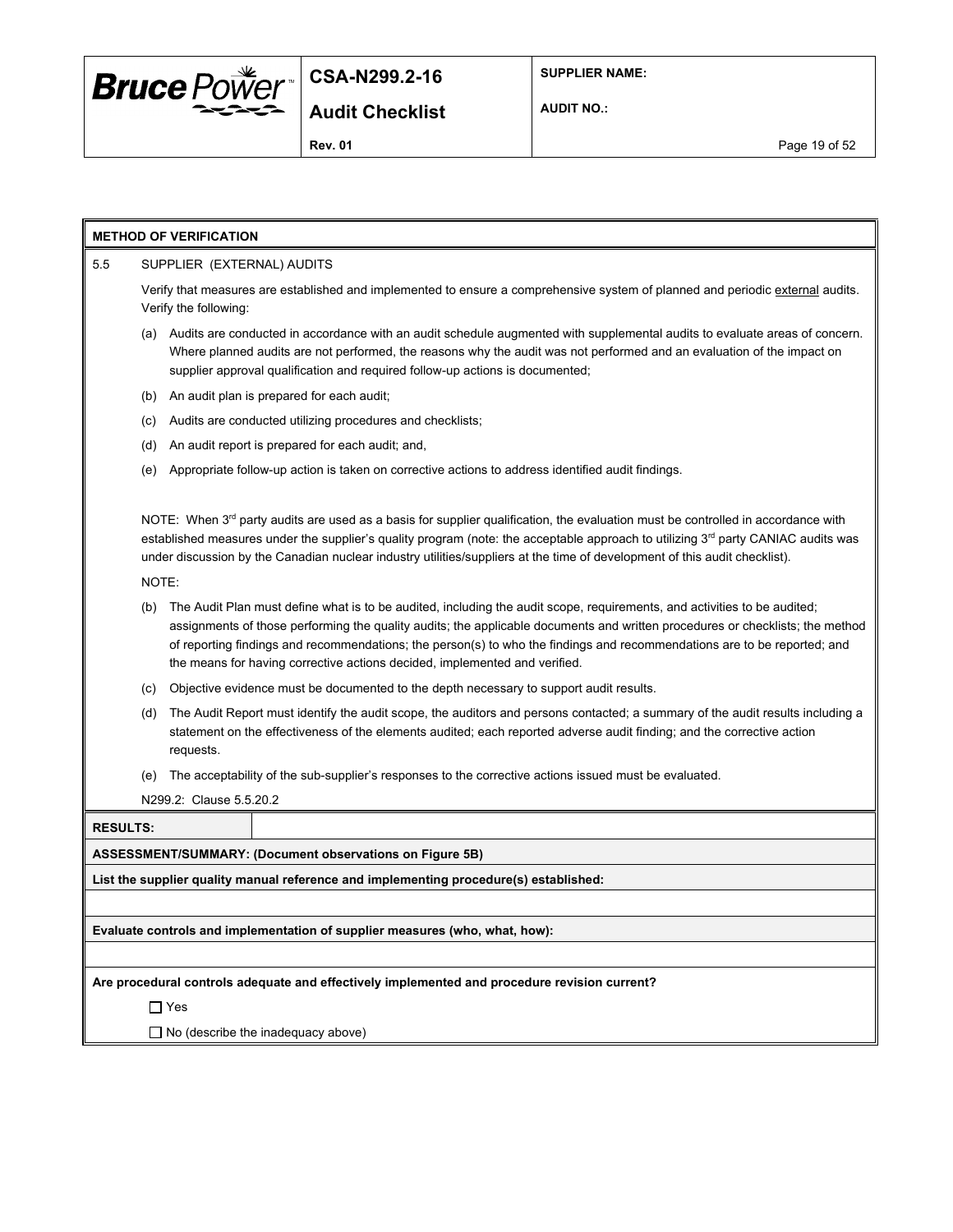

**AUDIT NO.:**

**Rev. 01** Page 19 of 52

#### **METHOD OF VERIFICATION**

#### 5.5 SUPPLIER (EXTERNAL) AUDITS

Verify that measures are established and implemented to ensure a comprehensive system of planned and periodic external audits. Verify the following:

- (a) Audits are conducted in accordance with an audit schedule augmented with supplemental audits to evaluate areas of concern. Where planned audits are not performed, the reasons why the audit was not performed and an evaluation of the impact on supplier approval qualification and required follow-up actions is documented;
- (b) An audit plan is prepared for each audit;
- (c) Audits are conducted utilizing procedures and checklists;
- (d) An audit report is prepared for each audit; and,
- (e) Appropriate follow-up action is taken on corrective actions to address identified audit findings.

NOTE: When  $3^{rd}$  party audits are used as a basis for supplier qualification, the evaluation must be controlled in accordance with established measures under the supplier's quality program (note: the acceptable approach to utilizing 3<sup>rd</sup> party CANIAC audits was under discussion by the Canadian nuclear industry utilities/suppliers at the time of development of this audit checklist).

NOTE:

- (b) The Audit Plan must define what is to be audited, including the audit scope, requirements, and activities to be audited; assignments of those performing the quality audits; the applicable documents and written procedures or checklists; the method of reporting findings and recommendations; the person(s) to who the findings and recommendations are to be reported; and the means for having corrective actions decided, implemented and verified.
- (c) Objective evidence must be documented to the depth necessary to support audit results.
- (d) The Audit Report must identify the audit scope, the auditors and persons contacted; a summary of the audit results including a statement on the effectiveness of the elements audited; each reported adverse audit finding; and the corrective action requests.
- (e) The acceptability of the sub-supplier's responses to the corrective actions issued must be evaluated.

N299.2: Clause 5.5.20.2

| <b>RESULTS:</b> |  |
|-----------------|--|
| .               |  |

**ASSESSMENT/SUMMARY: (Document observations on Figure 5B)**

**List the supplier quality manual reference and implementing procedure(s) established:**

**Evaluate controls and implementation of supplier measures (who, what, how):**

**Are procedural controls adequate and effectively implemented and procedure revision current?**

□ Yes

 $\Box$  No (describe the inadequacy above)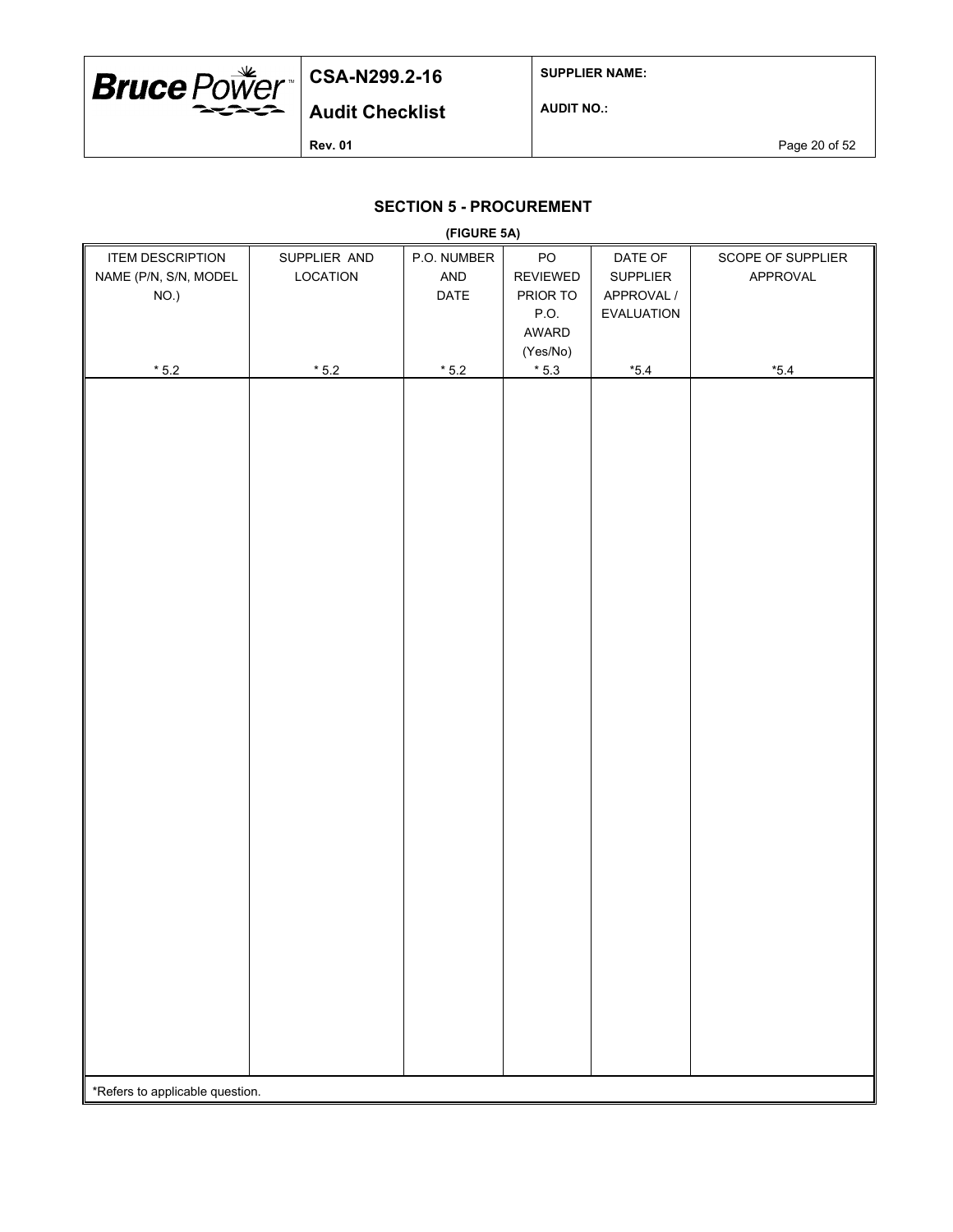

**SUPPLIER NAME:**

**AUDIT NO.:**

**Rev. 01 Page 20 of 52** 

## **SECTION 5 - PROCUREMENT**

| (FIGURE 5A)                     |                |             |                 |                 |                   |  |  |
|---------------------------------|----------------|-------------|-----------------|-----------------|-------------------|--|--|
| <b>ITEM DESCRIPTION</b>         | SUPPLIER AND   | P.O. NUMBER | ${\sf PO}$      | DATE OF         | SCOPE OF SUPPLIER |  |  |
| NAME (P/N, S/N, MODEL           | LOCATION       | AND         | <b>REVIEWED</b> | <b>SUPPLIER</b> | APPROVAL          |  |  |
| NO.)                            |                | DATE        | PRIOR TO        | APPROVAL /      |                   |  |  |
|                                 |                |             | P.O.            | EVALUATION      |                   |  |  |
|                                 |                |             | AWARD           |                 |                   |  |  |
|                                 |                |             | (Yes/No)        |                 |                   |  |  |
| $^{\star}$ 5.2                  | $^{\star}$ 5.2 | $*5.2$      | $^{\star}$ 5.3  | $*5.4$          | $^{\star}5.4$     |  |  |
|                                 |                |             |                 |                 |                   |  |  |
|                                 |                |             |                 |                 |                   |  |  |
|                                 |                |             |                 |                 |                   |  |  |
|                                 |                |             |                 |                 |                   |  |  |
|                                 |                |             |                 |                 |                   |  |  |
|                                 |                |             |                 |                 |                   |  |  |
|                                 |                |             |                 |                 |                   |  |  |
|                                 |                |             |                 |                 |                   |  |  |
|                                 |                |             |                 |                 |                   |  |  |
|                                 |                |             |                 |                 |                   |  |  |
|                                 |                |             |                 |                 |                   |  |  |
|                                 |                |             |                 |                 |                   |  |  |
|                                 |                |             |                 |                 |                   |  |  |
|                                 |                |             |                 |                 |                   |  |  |
|                                 |                |             |                 |                 |                   |  |  |
|                                 |                |             |                 |                 |                   |  |  |
|                                 |                |             |                 |                 |                   |  |  |
|                                 |                |             |                 |                 |                   |  |  |
|                                 |                |             |                 |                 |                   |  |  |
|                                 |                |             |                 |                 |                   |  |  |
|                                 |                |             |                 |                 |                   |  |  |
|                                 |                |             |                 |                 |                   |  |  |
|                                 |                |             |                 |                 |                   |  |  |
|                                 |                |             |                 |                 |                   |  |  |
|                                 |                |             |                 |                 |                   |  |  |
|                                 |                |             |                 |                 |                   |  |  |
|                                 |                |             |                 |                 |                   |  |  |
|                                 |                |             |                 |                 |                   |  |  |
|                                 |                |             |                 |                 |                   |  |  |
|                                 |                |             |                 |                 |                   |  |  |
|                                 |                |             |                 |                 |                   |  |  |
|                                 |                |             |                 |                 |                   |  |  |
|                                 |                |             |                 |                 |                   |  |  |
|                                 |                |             |                 |                 |                   |  |  |
|                                 |                |             |                 |                 |                   |  |  |
|                                 |                |             |                 |                 |                   |  |  |
| *Refers to applicable question. |                |             |                 |                 |                   |  |  |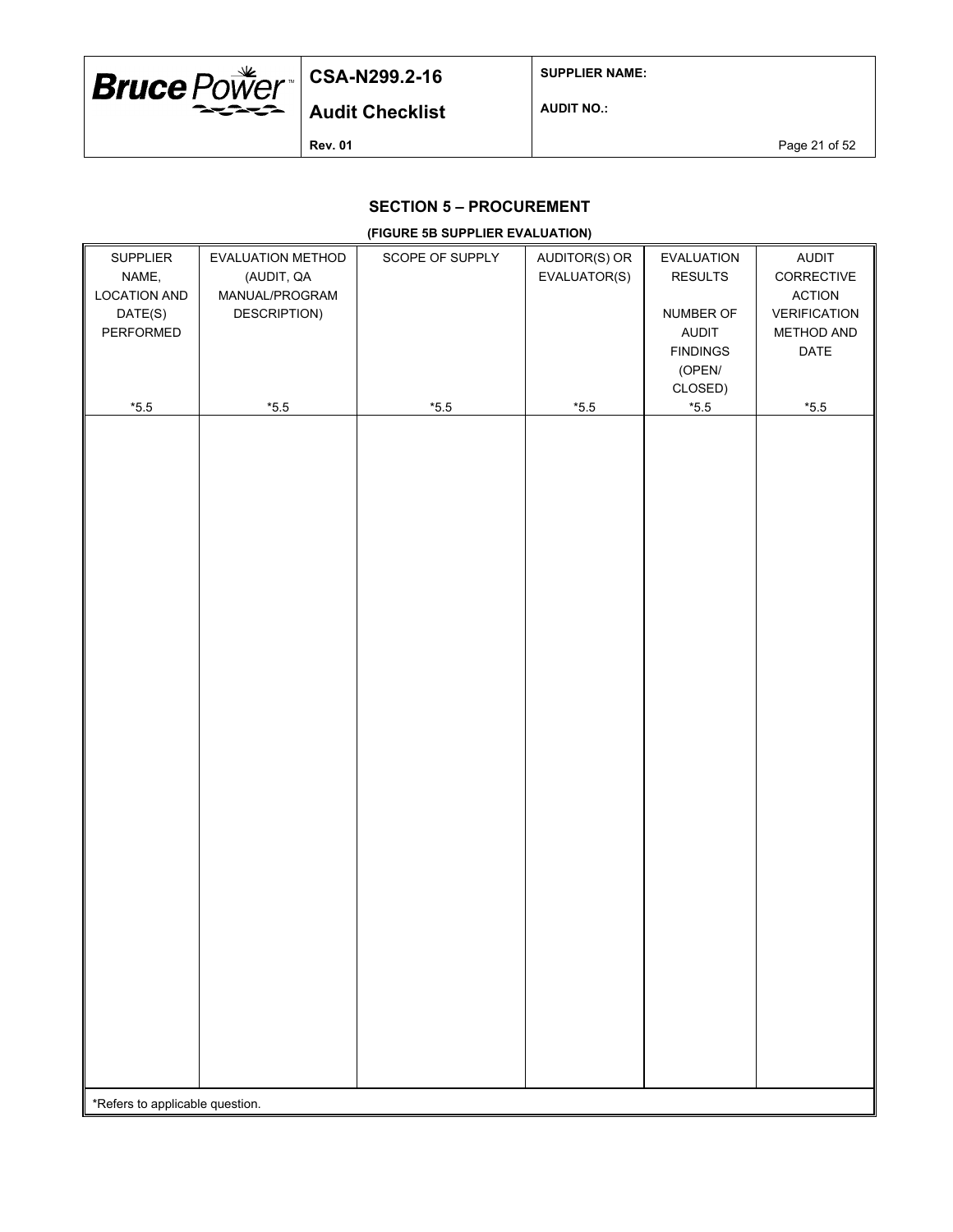

**SUPPLIER NAME:**

**AUDIT NO.:**

**Rev. 01 Page 21 of 52** 

### **SECTION 5 – PROCUREMENT**

#### **(FIGURE 5B SUPPLIER EVALUATION)**

| SUPPLIER<br>NAME,<br><b>LOCATION AND</b><br>DATE(S)<br>PERFORMED | EVALUATION METHOD<br>(AUDIT, QA<br>MANUAL/PROGRAM<br>DESCRIPTION) | SCOPE OF SUPPLY | AUDITOR(S) OR<br>EVALUATOR(S) | EVALUATION<br><b>RESULTS</b><br>NUMBER OF<br><b>AUDIT</b><br><b>FINDINGS</b><br>(OPEN/<br>CLOSED) | <b>AUDIT</b><br>CORRECTIVE<br><b>ACTION</b><br>VERIFICATION<br>METHOD AND<br>DATE |
|------------------------------------------------------------------|-------------------------------------------------------------------|-----------------|-------------------------------|---------------------------------------------------------------------------------------------------|-----------------------------------------------------------------------------------|
| $*5.5$                                                           | $^{\star}5.5$                                                     | $^{\star}5.5$   | $^{\star}5.5$                 | $^{\star}5.5$                                                                                     | $*5.5$                                                                            |
| *Refers to applicable question.                                  |                                                                   |                 |                               |                                                                                                   |                                                                                   |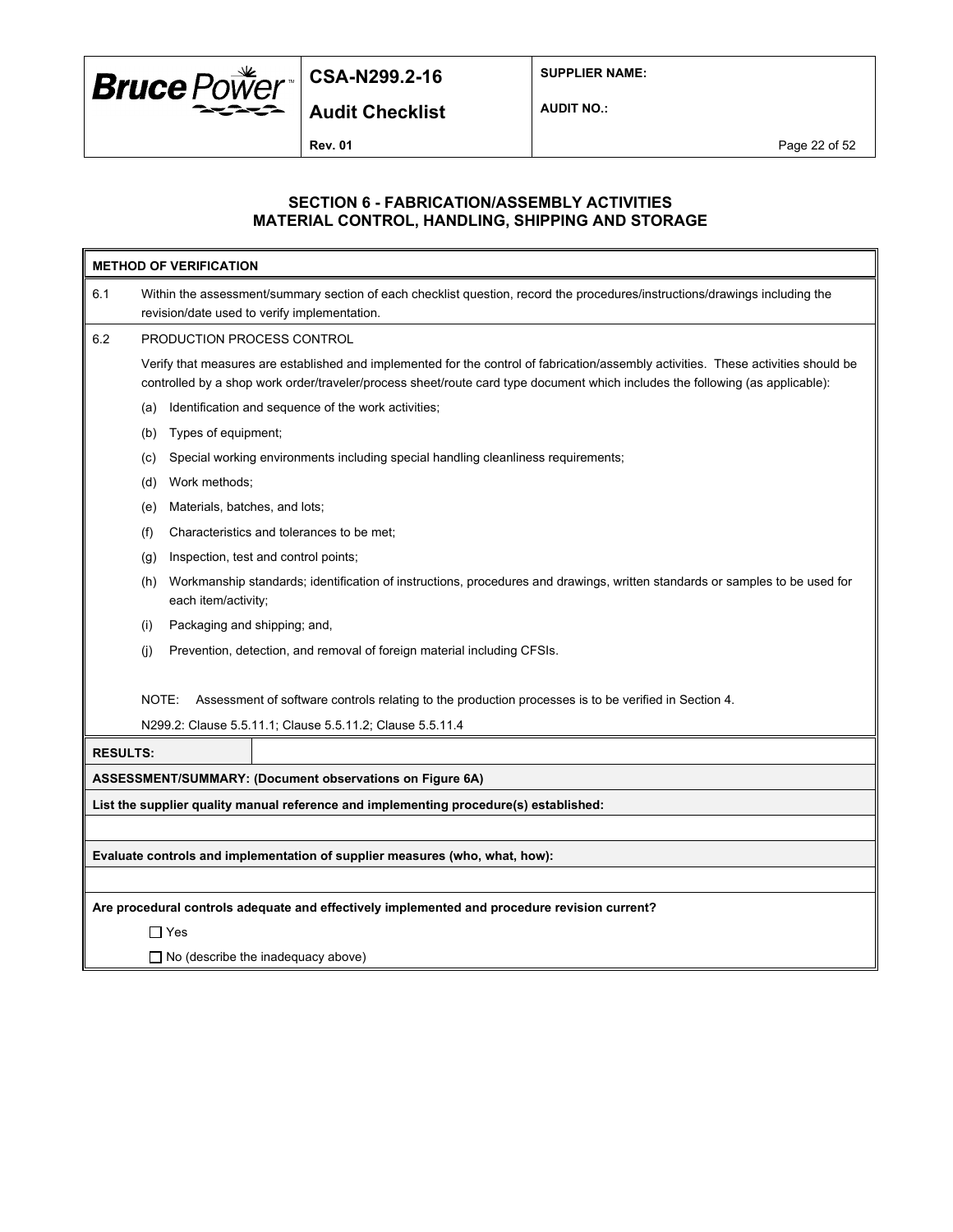

**SUPPLIER NAME:**

**Audit Checklist**

**AUDIT NO.:**

**Rev. 01** Page 22 of 52

#### **SECTION 6 - FABRICATION/ASSEMBLY ACTIVITIES MATERIAL CONTROL, HANDLING, SHIPPING AND STORAGE**

|                                                                                              | <b>METHOD OF VERIFICATION</b>                                                                                                                                                                                                                                        |  |  |  |  |  |
|----------------------------------------------------------------------------------------------|----------------------------------------------------------------------------------------------------------------------------------------------------------------------------------------------------------------------------------------------------------------------|--|--|--|--|--|
| 6.1                                                                                          | Within the assessment/summary section of each checklist question, record the procedures/instructions/drawings including the<br>revision/date used to verify implementation.                                                                                          |  |  |  |  |  |
| 6.2                                                                                          | PRODUCTION PROCESS CONTROL                                                                                                                                                                                                                                           |  |  |  |  |  |
|                                                                                              | Verify that measures are established and implemented for the control of fabrication/assembly activities. These activities should be<br>controlled by a shop work order/traveler/process sheet/route card type document which includes the following (as applicable): |  |  |  |  |  |
|                                                                                              | Identification and sequence of the work activities;<br>(a)                                                                                                                                                                                                           |  |  |  |  |  |
|                                                                                              | Types of equipment;<br>(b)                                                                                                                                                                                                                                           |  |  |  |  |  |
|                                                                                              | Special working environments including special handling cleanliness requirements;<br>(c)                                                                                                                                                                             |  |  |  |  |  |
|                                                                                              | Work methods;<br>(d)                                                                                                                                                                                                                                                 |  |  |  |  |  |
|                                                                                              | Materials, batches, and lots;<br>(e)                                                                                                                                                                                                                                 |  |  |  |  |  |
|                                                                                              | Characteristics and tolerances to be met;<br>(f)                                                                                                                                                                                                                     |  |  |  |  |  |
|                                                                                              | Inspection, test and control points;<br>(g)                                                                                                                                                                                                                          |  |  |  |  |  |
|                                                                                              | Workmanship standards; identification of instructions, procedures and drawings, written standards or samples to be used for<br>(h)<br>each item/activity;                                                                                                            |  |  |  |  |  |
|                                                                                              | Packaging and shipping; and,<br>(i)                                                                                                                                                                                                                                  |  |  |  |  |  |
|                                                                                              | (i)<br>Prevention, detection, and removal of foreign material including CFSIs.                                                                                                                                                                                       |  |  |  |  |  |
|                                                                                              | NOTE:<br>Assessment of software controls relating to the production processes is to be verified in Section 4.                                                                                                                                                        |  |  |  |  |  |
|                                                                                              | N299.2: Clause 5.5.11.1; Clause 5.5.11.2; Clause 5.5.11.4                                                                                                                                                                                                            |  |  |  |  |  |
| <b>RESULTS:</b>                                                                              |                                                                                                                                                                                                                                                                      |  |  |  |  |  |
|                                                                                              | ASSESSMENT/SUMMARY: (Document observations on Figure 6A)                                                                                                                                                                                                             |  |  |  |  |  |
|                                                                                              | List the supplier quality manual reference and implementing procedure(s) established:                                                                                                                                                                                |  |  |  |  |  |
|                                                                                              |                                                                                                                                                                                                                                                                      |  |  |  |  |  |
| Evaluate controls and implementation of supplier measures (who, what, how):                  |                                                                                                                                                                                                                                                                      |  |  |  |  |  |
|                                                                                              |                                                                                                                                                                                                                                                                      |  |  |  |  |  |
| Are procedural controls adequate and effectively implemented and procedure revision current? |                                                                                                                                                                                                                                                                      |  |  |  |  |  |
| $\Box$ Yes                                                                                   |                                                                                                                                                                                                                                                                      |  |  |  |  |  |
|                                                                                              | □ No (describe the inadequacy above)                                                                                                                                                                                                                                 |  |  |  |  |  |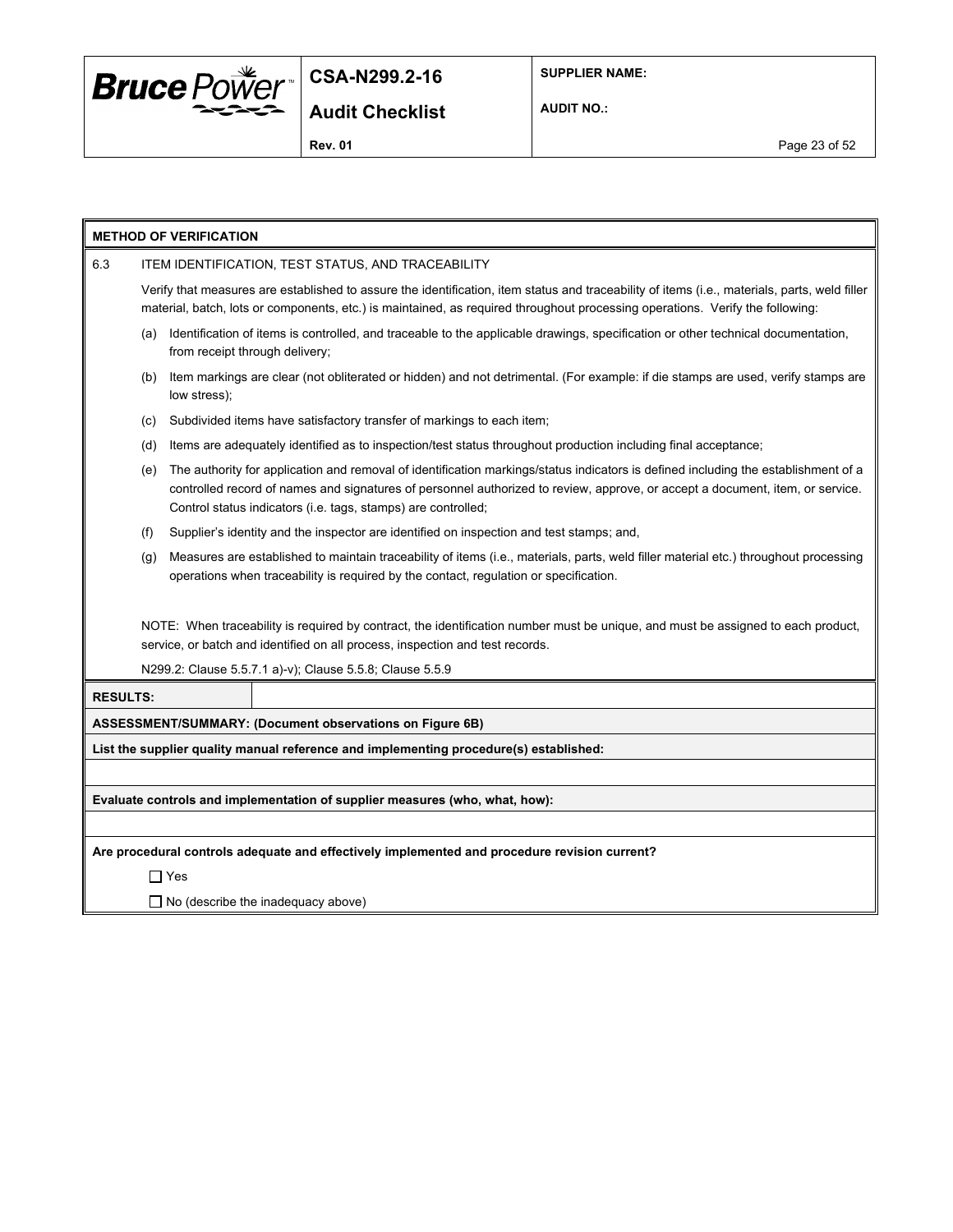

**SUPPLIER NAME:**

**AUDIT NO.:**

**Rev. 01** Page 23 of 52

| <b>METHOD OF VERIFICATION</b>                                                                                                                                                                                                                                                                                                               |                                                    |                                                                                                                                                                                                                                                                                |  |  |  |  |
|---------------------------------------------------------------------------------------------------------------------------------------------------------------------------------------------------------------------------------------------------------------------------------------------------------------------------------------------|----------------------------------------------------|--------------------------------------------------------------------------------------------------------------------------------------------------------------------------------------------------------------------------------------------------------------------------------|--|--|--|--|
| 6.3                                                                                                                                                                                                                                                                                                                                         | ITEM IDENTIFICATION, TEST STATUS, AND TRACEABILITY |                                                                                                                                                                                                                                                                                |  |  |  |  |
|                                                                                                                                                                                                                                                                                                                                             |                                                    | Verify that measures are established to assure the identification, item status and traceability of items (i.e., materials, parts, weld filler<br>material, batch, lots or components, etc.) is maintained, as required throughout processing operations. Verify the following: |  |  |  |  |
|                                                                                                                                                                                                                                                                                                                                             | (a)                                                | Identification of items is controlled, and traceable to the applicable drawings, specification or other technical documentation,<br>from receipt through delivery;                                                                                                             |  |  |  |  |
|                                                                                                                                                                                                                                                                                                                                             | (b)                                                | Item markings are clear (not obliterated or hidden) and not detrimental. (For example: if die stamps are used, verify stamps are<br>low stress);                                                                                                                               |  |  |  |  |
|                                                                                                                                                                                                                                                                                                                                             | (c)                                                | Subdivided items have satisfactory transfer of markings to each item;                                                                                                                                                                                                          |  |  |  |  |
|                                                                                                                                                                                                                                                                                                                                             | (d)                                                | Items are adequately identified as to inspection/test status throughout production including final acceptance;                                                                                                                                                                 |  |  |  |  |
| The authority for application and removal of identification markings/status indicators is defined including the establishment of a<br>(e)<br>controlled record of names and signatures of personnel authorized to review, approve, or accept a document, item, or service.<br>Control status indicators (i.e. tags, stamps) are controlled; |                                                    |                                                                                                                                                                                                                                                                                |  |  |  |  |
|                                                                                                                                                                                                                                                                                                                                             | (f)                                                | Supplier's identity and the inspector are identified on inspection and test stamps; and,                                                                                                                                                                                       |  |  |  |  |
|                                                                                                                                                                                                                                                                                                                                             | (g)                                                | Measures are established to maintain traceability of items (i.e., materials, parts, weld filler material etc.) throughout processing<br>operations when traceability is required by the contact, regulation or specification.                                                  |  |  |  |  |
|                                                                                                                                                                                                                                                                                                                                             |                                                    | NOTE: When traceability is required by contract, the identification number must be unique, and must be assigned to each product,<br>service, or batch and identified on all process, inspection and test records.                                                              |  |  |  |  |
|                                                                                                                                                                                                                                                                                                                                             |                                                    | N299.2: Clause 5.5.7.1 a)-v); Clause 5.5.8; Clause 5.5.9                                                                                                                                                                                                                       |  |  |  |  |
| <b>RESULTS:</b>                                                                                                                                                                                                                                                                                                                             |                                                    |                                                                                                                                                                                                                                                                                |  |  |  |  |
|                                                                                                                                                                                                                                                                                                                                             |                                                    | ASSESSMENT/SUMMARY: (Document observations on Figure 6B)                                                                                                                                                                                                                       |  |  |  |  |
| List the supplier quality manual reference and implementing procedure(s) established:                                                                                                                                                                                                                                                       |                                                    |                                                                                                                                                                                                                                                                                |  |  |  |  |
|                                                                                                                                                                                                                                                                                                                                             |                                                    |                                                                                                                                                                                                                                                                                |  |  |  |  |
| Evaluate controls and implementation of supplier measures (who, what, how):                                                                                                                                                                                                                                                                 |                                                    |                                                                                                                                                                                                                                                                                |  |  |  |  |
|                                                                                                                                                                                                                                                                                                                                             |                                                    |                                                                                                                                                                                                                                                                                |  |  |  |  |
| Are procedural controls adequate and effectively implemented and procedure revision current?                                                                                                                                                                                                                                                |                                                    |                                                                                                                                                                                                                                                                                |  |  |  |  |
|                                                                                                                                                                                                                                                                                                                                             | $\Box$ Yes                                         |                                                                                                                                                                                                                                                                                |  |  |  |  |

□ No (describe the inadequacy above)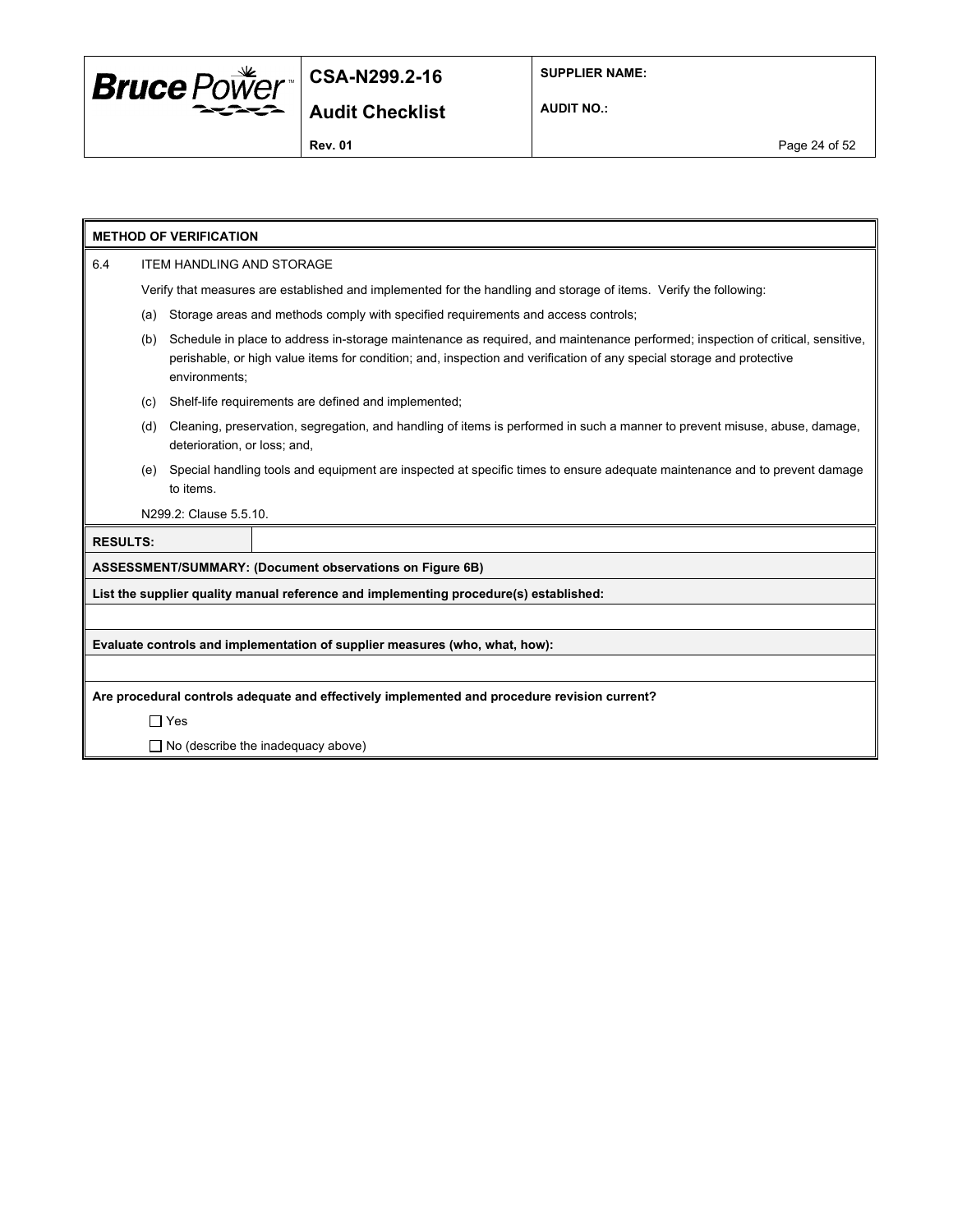

**AUDIT NO.:**

|                                                                             | <b>METHOD OF VERIFICATION</b>                                                                                                                                                                                                                                                   |                        |                                                                                                                           |  |  |  |
|-----------------------------------------------------------------------------|---------------------------------------------------------------------------------------------------------------------------------------------------------------------------------------------------------------------------------------------------------------------------------|------------------------|---------------------------------------------------------------------------------------------------------------------------|--|--|--|
| 6.4                                                                         | <b>ITEM HANDLING AND STORAGE</b>                                                                                                                                                                                                                                                |                        |                                                                                                                           |  |  |  |
|                                                                             |                                                                                                                                                                                                                                                                                 |                        | Verify that measures are established and implemented for the handling and storage of items. Verify the following:         |  |  |  |
|                                                                             | (a)                                                                                                                                                                                                                                                                             |                        | Storage areas and methods comply with specified requirements and access controls;                                         |  |  |  |
|                                                                             | Schedule in place to address in-storage maintenance as required, and maintenance performed; inspection of critical, sensitive,<br>(b)<br>perishable, or high value items for condition; and, inspection and verification of any special storage and protective<br>environments; |                        |                                                                                                                           |  |  |  |
|                                                                             | (c)                                                                                                                                                                                                                                                                             |                        | Shelf-life requirements are defined and implemented;                                                                      |  |  |  |
|                                                                             | Cleaning, preservation, segregation, and handling of items is performed in such a manner to prevent misuse, abuse, damage,<br>(d)<br>deterioration, or loss; and,                                                                                                               |                        |                                                                                                                           |  |  |  |
|                                                                             | (e)                                                                                                                                                                                                                                                                             | to items.              | Special handling tools and equipment are inspected at specific times to ensure adequate maintenance and to prevent damage |  |  |  |
|                                                                             |                                                                                                                                                                                                                                                                                 | N299.2: Clause 5.5.10. |                                                                                                                           |  |  |  |
| <b>RESULTS:</b>                                                             |                                                                                                                                                                                                                                                                                 |                        |                                                                                                                           |  |  |  |
|                                                                             |                                                                                                                                                                                                                                                                                 |                        | ASSESSMENT/SUMMARY: (Document observations on Figure 6B)                                                                  |  |  |  |
|                                                                             |                                                                                                                                                                                                                                                                                 |                        | List the supplier quality manual reference and implementing procedure(s) established:                                     |  |  |  |
|                                                                             |                                                                                                                                                                                                                                                                                 |                        |                                                                                                                           |  |  |  |
| Evaluate controls and implementation of supplier measures (who, what, how): |                                                                                                                                                                                                                                                                                 |                        |                                                                                                                           |  |  |  |
|                                                                             |                                                                                                                                                                                                                                                                                 |                        |                                                                                                                           |  |  |  |
|                                                                             |                                                                                                                                                                                                                                                                                 |                        | Are procedural controls adequate and effectively implemented and procedure revision current?                              |  |  |  |
|                                                                             | $\Box$ Yes                                                                                                                                                                                                                                                                      |                        |                                                                                                                           |  |  |  |
|                                                                             | $\Box$ No (describe the inadequacy above)                                                                                                                                                                                                                                       |                        |                                                                                                                           |  |  |  |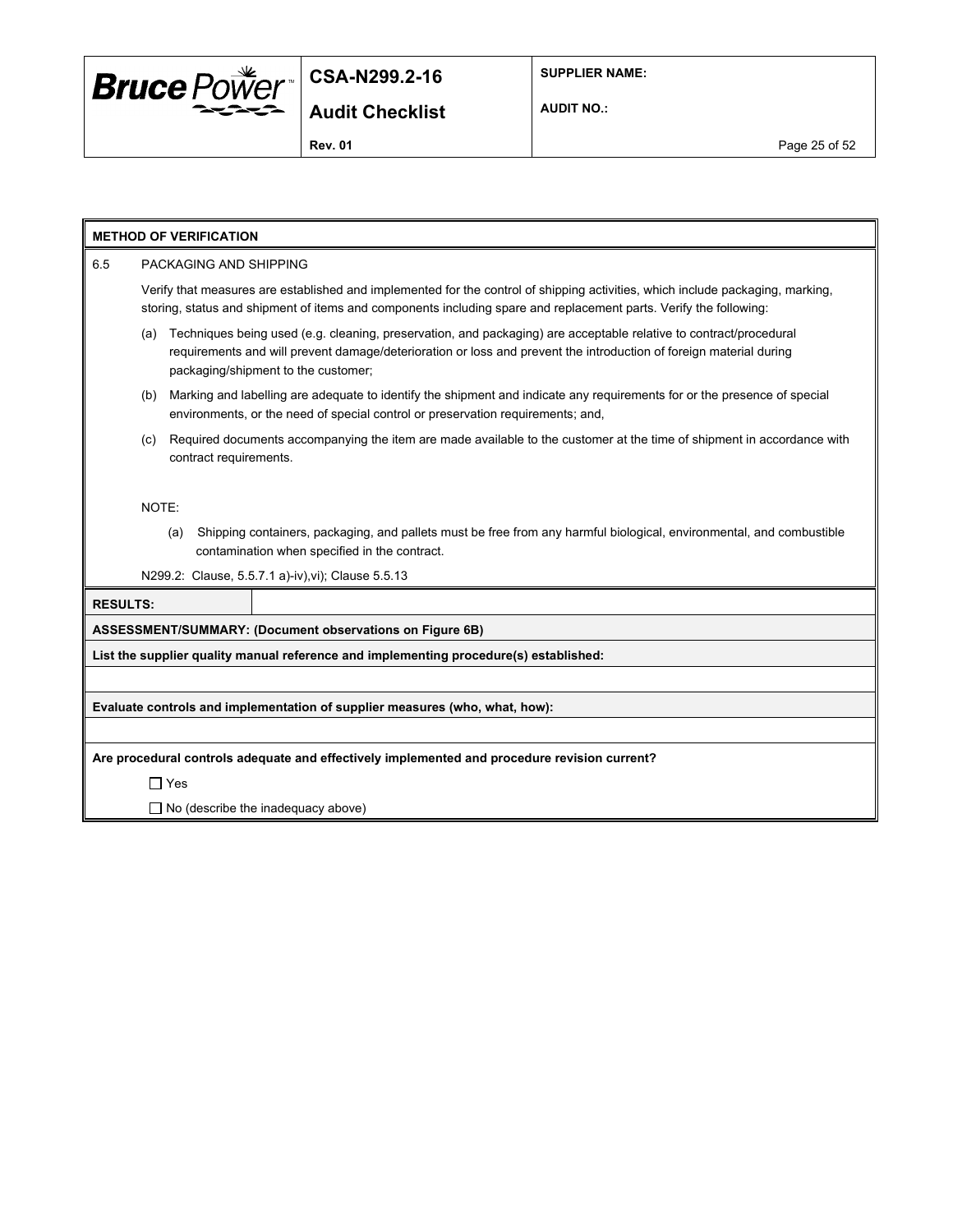

**SUPPLIER NAME:**

**AUDIT NO.:**

# **METHOD OF VERIFICATION** 6.5 PACKAGING AND SHIPPING Verify that measures are established and implemented for the control of shipping activities, which include packaging, marking, storing, status and shipment of items and components including spare and replacement parts. Verify the following: (a) Techniques being used (e.g. cleaning, preservation, and packaging) are acceptable relative to contract/procedural requirements and will prevent damage/deterioration or loss and prevent the introduction of foreign material during packaging/shipment to the customer; (b) Marking and labelling are adequate to identify the shipment and indicate any requirements for or the presence of special environments, or the need of special control or preservation requirements; and, (c) Required documents accompanying the item are made available to the customer at the time of shipment in accordance with contract requirements. NOTE: (a) Shipping containers, packaging, and pallets must be free from any harmful biological, environmental, and combustible contamination when specified in the contract. N299.2: Clause, 5.5.7.1 a)-iv),vi); Clause 5.5.13 **RESULTS: ASSESSMENT/SUMMARY: (Document observations on Figure 6B) List the supplier quality manual reference and implementing procedure(s) established: Evaluate controls and implementation of supplier measures (who, what, how): Are procedural controls adequate and effectively implemented and procedure revision current?** Yes  $\Box$  No (describe the inadequacy above)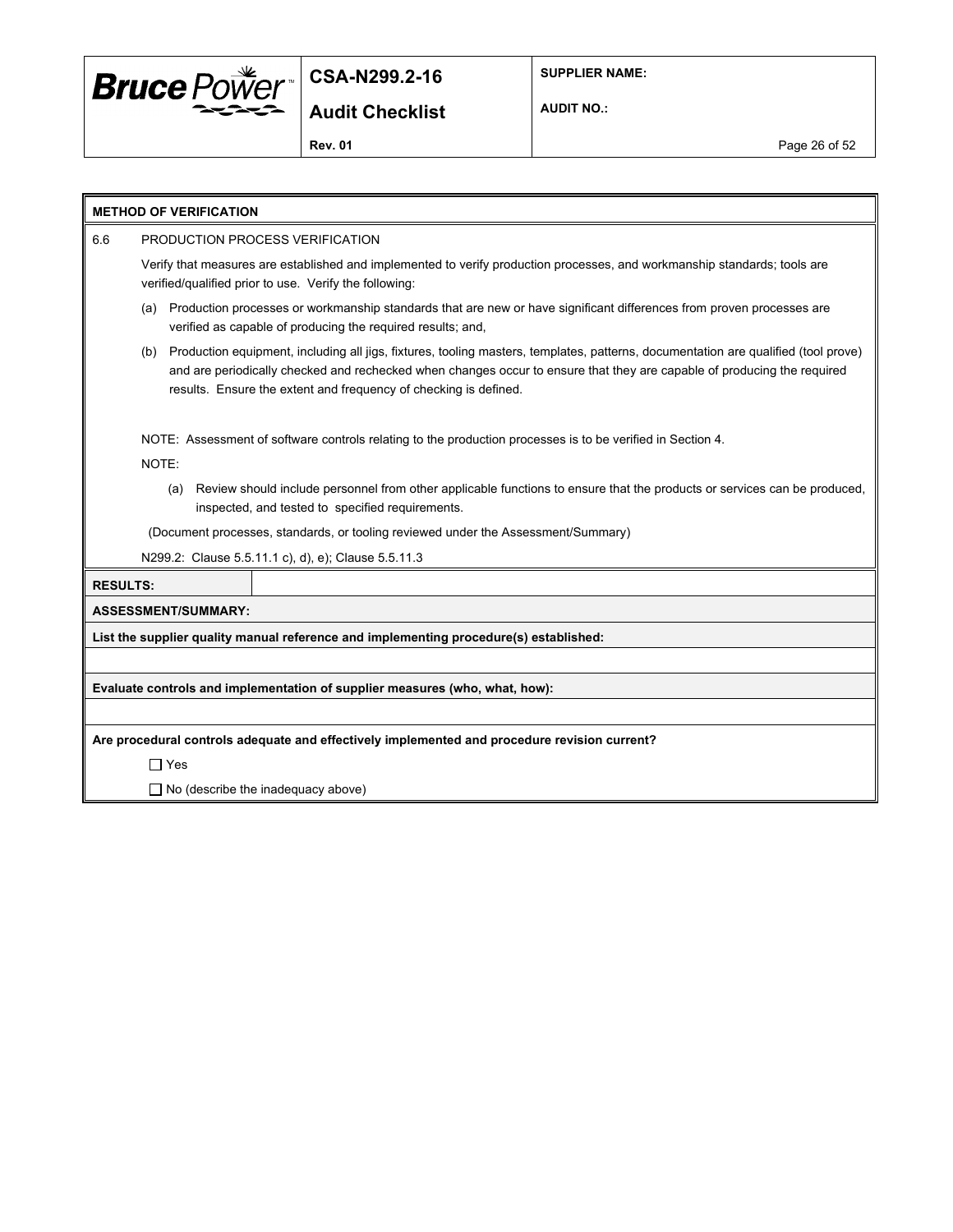

**SUPPLIER NAME:**

**AUDIT NO.:**

**Rev. 01 Page 26 of 52** 

|                 | <b>METHOD OF VERIFICATION</b>                                                                                                                                                                                                                                                                                                            |  |  |  |  |  |
|-----------------|------------------------------------------------------------------------------------------------------------------------------------------------------------------------------------------------------------------------------------------------------------------------------------------------------------------------------------------|--|--|--|--|--|
| 6.6             | PRODUCTION PROCESS VERIFICATION                                                                                                                                                                                                                                                                                                          |  |  |  |  |  |
|                 | Verify that measures are established and implemented to verify production processes, and workmanship standards; tools are<br>verified/qualified prior to use. Verify the following:                                                                                                                                                      |  |  |  |  |  |
|                 | Production processes or workmanship standards that are new or have significant differences from proven processes are<br>(a)<br>verified as capable of producing the required results; and,                                                                                                                                               |  |  |  |  |  |
|                 | Production equipment, including all jigs, fixtures, tooling masters, templates, patterns, documentation are qualified (tool prove)<br>(b)<br>and are periodically checked and rechecked when changes occur to ensure that they are capable of producing the required<br>results. Ensure the extent and frequency of checking is defined. |  |  |  |  |  |
|                 | NOTE: Assessment of software controls relating to the production processes is to be verified in Section 4.                                                                                                                                                                                                                               |  |  |  |  |  |
|                 | NOTE:                                                                                                                                                                                                                                                                                                                                    |  |  |  |  |  |
|                 | (a) Review should include personnel from other applicable functions to ensure that the products or services can be produced,<br>inspected, and tested to specified requirements.                                                                                                                                                         |  |  |  |  |  |
|                 | (Document processes, standards, or tooling reviewed under the Assessment/Summary)                                                                                                                                                                                                                                                        |  |  |  |  |  |
|                 | N299.2: Clause 5.5.11.1 c), d), e); Clause 5.5.11.3                                                                                                                                                                                                                                                                                      |  |  |  |  |  |
| <b>RESULTS:</b> |                                                                                                                                                                                                                                                                                                                                          |  |  |  |  |  |
|                 | <b>ASSESSMENT/SUMMARY:</b>                                                                                                                                                                                                                                                                                                               |  |  |  |  |  |
|                 | List the supplier quality manual reference and implementing procedure(s) established:                                                                                                                                                                                                                                                    |  |  |  |  |  |
|                 |                                                                                                                                                                                                                                                                                                                                          |  |  |  |  |  |
|                 | Evaluate controls and implementation of supplier measures (who, what, how):                                                                                                                                                                                                                                                              |  |  |  |  |  |
|                 |                                                                                                                                                                                                                                                                                                                                          |  |  |  |  |  |
|                 | Are procedural controls adequate and effectively implemented and procedure revision current?                                                                                                                                                                                                                                             |  |  |  |  |  |
|                 | $\Box$ Yes                                                                                                                                                                                                                                                                                                                               |  |  |  |  |  |
|                 | $\Box$ No (describe the inadequacy above)                                                                                                                                                                                                                                                                                                |  |  |  |  |  |
|                 |                                                                                                                                                                                                                                                                                                                                          |  |  |  |  |  |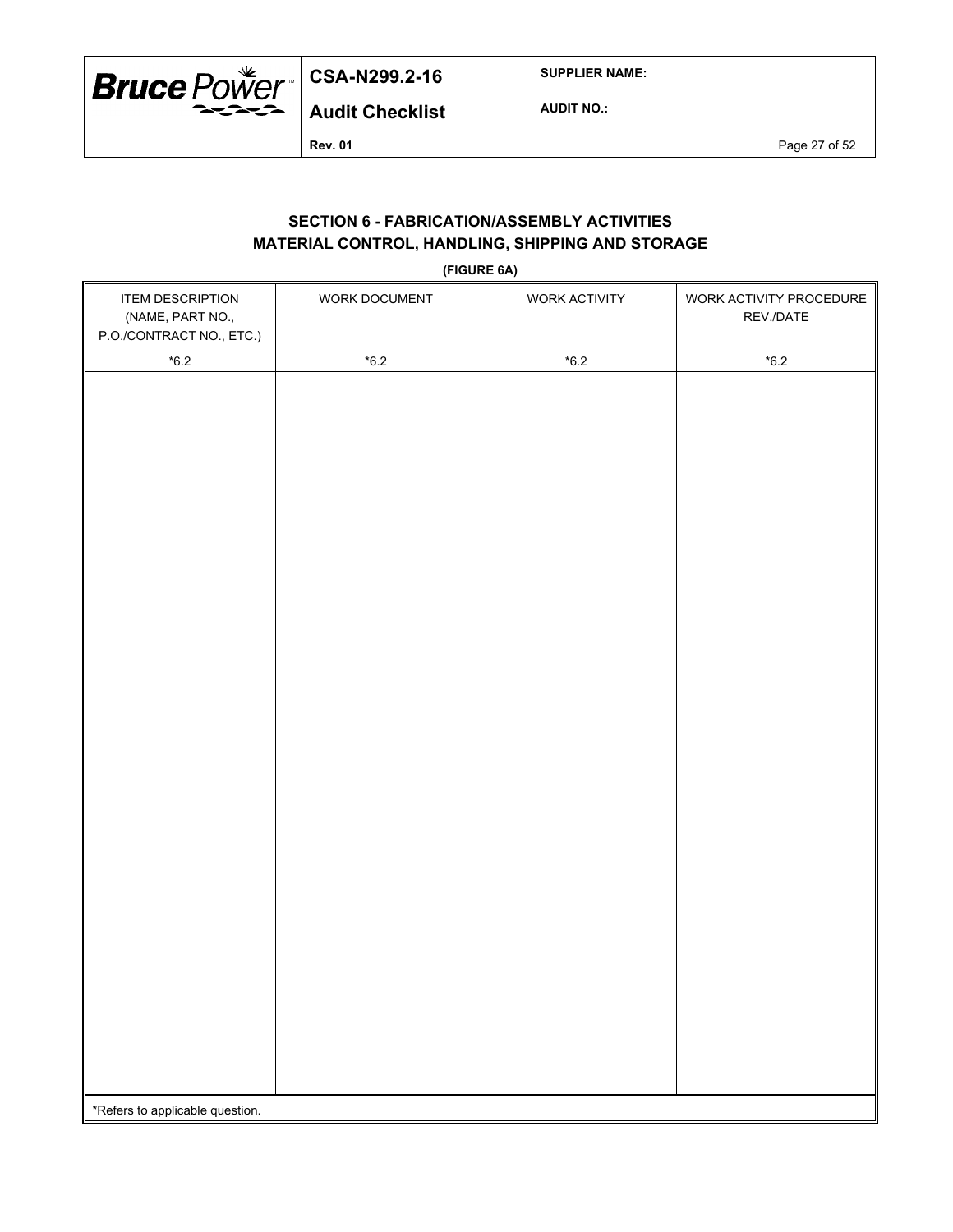

**SUPPLIER NAME:**

**AUDIT NO.:**

**Rev. 01** Page 27 of 52

# **SECTION 6 - FABRICATION/ASSEMBLY ACTIVITIES MATERIAL CONTROL, HANDLING, SHIPPING AND STORAGE**

**(FIGURE 6A)**

| <b>ITEM DESCRIPTION</b><br>(NAME, PART NO.,<br>P.O./CONTRACT NO., ETC.) | WORK DOCUMENT | WORK ACTIVITY | WORK ACTIVITY PROCEDURE<br>REV./DATE |
|-------------------------------------------------------------------------|---------------|---------------|--------------------------------------|
| $^{\star}6.2$                                                           | $^{\star}6.2$ | $*6.2$        | $^{\star}6.2$                        |
|                                                                         |               |               |                                      |
|                                                                         |               |               |                                      |
|                                                                         |               |               |                                      |
|                                                                         |               |               |                                      |
|                                                                         |               |               |                                      |
|                                                                         |               |               |                                      |
|                                                                         |               |               |                                      |
|                                                                         |               |               |                                      |
|                                                                         |               |               |                                      |
|                                                                         |               |               |                                      |
|                                                                         |               |               |                                      |
|                                                                         |               |               |                                      |
|                                                                         |               |               |                                      |
|                                                                         |               |               |                                      |
|                                                                         |               |               |                                      |
|                                                                         |               |               |                                      |
|                                                                         |               |               |                                      |
|                                                                         |               |               |                                      |
|                                                                         |               |               |                                      |
|                                                                         |               |               |                                      |
|                                                                         |               |               |                                      |
|                                                                         |               |               |                                      |
|                                                                         |               |               |                                      |
|                                                                         |               |               |                                      |
|                                                                         |               |               |                                      |
|                                                                         |               |               |                                      |
| *Refers to applicable question.                                         |               |               |                                      |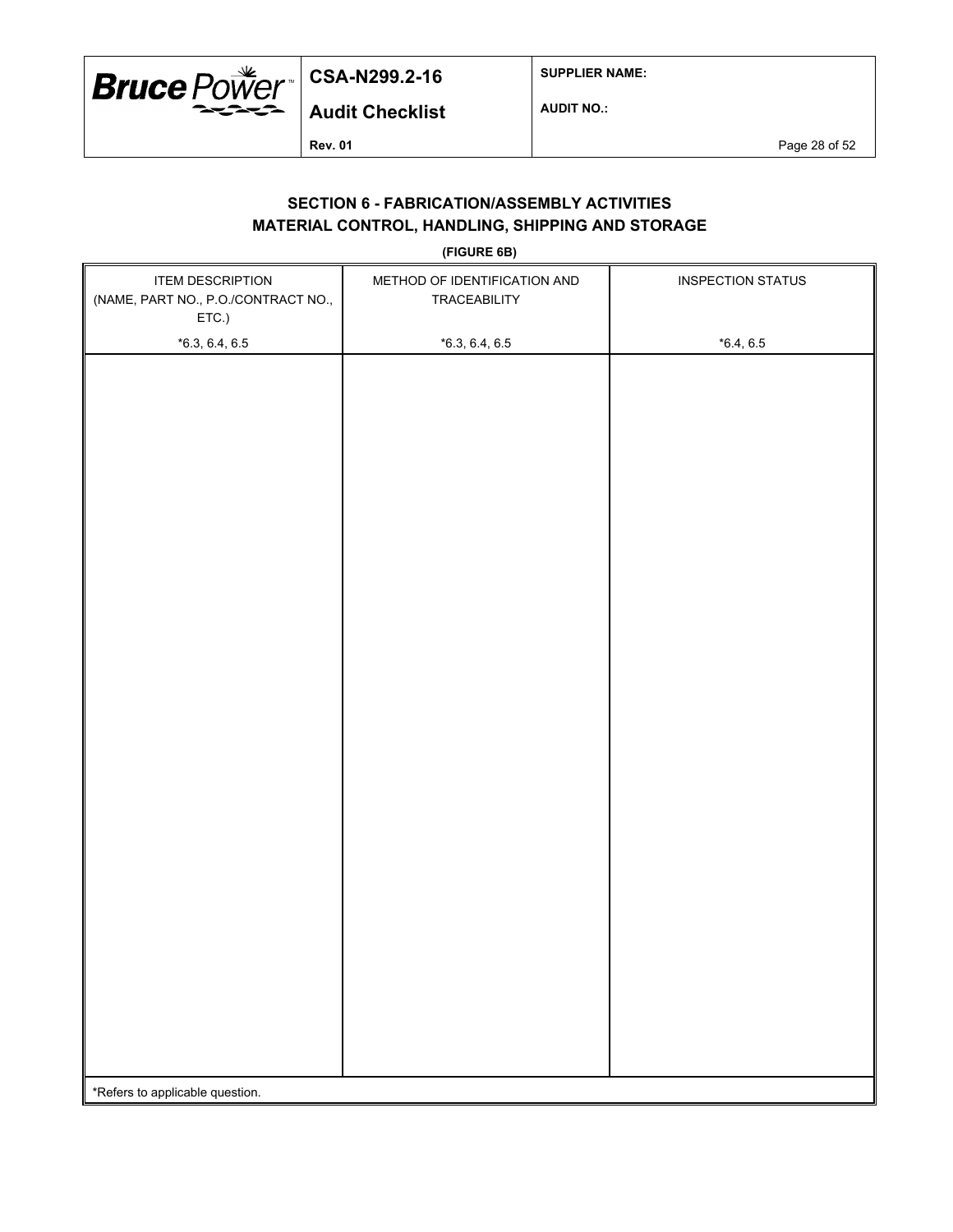

**SUPPLIER NAME:**

**AUDIT NO.:**

**Rev. 01** Page 28 of 52

# **SECTION 6 - FABRICATION/ASSEMBLY ACTIVITIES MATERIAL CONTROL, HANDLING, SHIPPING AND STORAGE**

**(FIGURE 6B)**

| <b>ITEM DESCRIPTION</b><br>(NAME, PART NO., P.O./CONTRACT NO.,<br>ETC.) | METHOD OF IDENTIFICATION AND<br>TRACEABILITY | <b>INSPECTION STATUS</b> |  |  |  |  |
|-------------------------------------------------------------------------|----------------------------------------------|--------------------------|--|--|--|--|
| $*6.3, 6.4, 6.5$                                                        | $*6.3, 6.4, 6.5$                             | $*6.4, 6.5$              |  |  |  |  |
|                                                                         |                                              |                          |  |  |  |  |
|                                                                         |                                              |                          |  |  |  |  |
|                                                                         |                                              |                          |  |  |  |  |
|                                                                         |                                              |                          |  |  |  |  |
|                                                                         |                                              |                          |  |  |  |  |
|                                                                         |                                              |                          |  |  |  |  |
|                                                                         |                                              |                          |  |  |  |  |
|                                                                         |                                              |                          |  |  |  |  |
|                                                                         |                                              |                          |  |  |  |  |
|                                                                         |                                              |                          |  |  |  |  |
|                                                                         |                                              |                          |  |  |  |  |
|                                                                         |                                              |                          |  |  |  |  |
|                                                                         |                                              |                          |  |  |  |  |
|                                                                         |                                              |                          |  |  |  |  |
|                                                                         |                                              |                          |  |  |  |  |
|                                                                         |                                              |                          |  |  |  |  |
|                                                                         |                                              |                          |  |  |  |  |
|                                                                         |                                              |                          |  |  |  |  |
|                                                                         |                                              |                          |  |  |  |  |
|                                                                         |                                              |                          |  |  |  |  |
|                                                                         |                                              |                          |  |  |  |  |
|                                                                         |                                              |                          |  |  |  |  |
|                                                                         |                                              |                          |  |  |  |  |
|                                                                         |                                              |                          |  |  |  |  |
|                                                                         |                                              |                          |  |  |  |  |
| *Refers to applicable question.                                         |                                              |                          |  |  |  |  |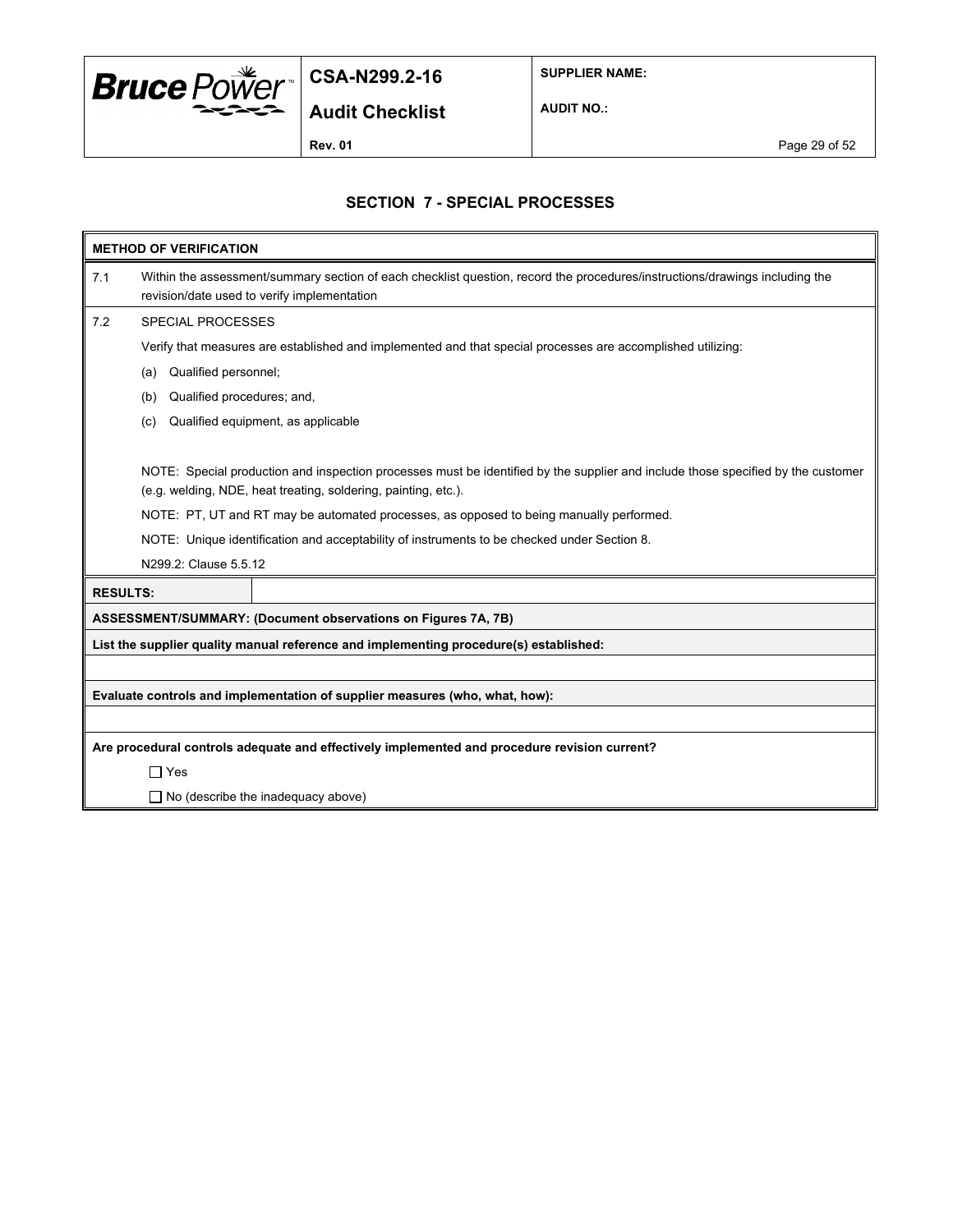

**SUPPLIER NAME:**

**Audit Checklist**

**AUDIT NO.:**

**Rev. 01 Page 29 of 52** 

### **SECTION 7 - SPECIAL PROCESSES**

| <b>METHOD OF VERIFICATION</b> |                                                                                                                                                                            |  |  |  |  |  |  |  |
|-------------------------------|----------------------------------------------------------------------------------------------------------------------------------------------------------------------------|--|--|--|--|--|--|--|
| 7.1                           | Within the assessment/summary section of each checklist question, record the procedures/instructions/drawings including the<br>revision/date used to verify implementation |  |  |  |  |  |  |  |
| 7.2                           | <b>SPECIAL PROCESSES</b>                                                                                                                                                   |  |  |  |  |  |  |  |
|                               | Verify that measures are established and implemented and that special processes are accomplished utilizing:                                                                |  |  |  |  |  |  |  |
|                               | Qualified personnel;<br>(a)                                                                                                                                                |  |  |  |  |  |  |  |
|                               | Qualified procedures; and,<br>(b)                                                                                                                                          |  |  |  |  |  |  |  |
|                               | Qualified equipment, as applicable<br>(c)                                                                                                                                  |  |  |  |  |  |  |  |
|                               |                                                                                                                                                                            |  |  |  |  |  |  |  |
|                               | NOTE: Special production and inspection processes must be identified by the supplier and include those specified by the customer                                           |  |  |  |  |  |  |  |
|                               | (e.g. welding, NDE, heat treating, soldering, painting, etc.).                                                                                                             |  |  |  |  |  |  |  |
|                               | NOTE: PT, UT and RT may be automated processes, as opposed to being manually performed.                                                                                    |  |  |  |  |  |  |  |
|                               | NOTE: Unique identification and acceptability of instruments to be checked under Section 8.                                                                                |  |  |  |  |  |  |  |
|                               | N299.2: Clause 5.5.12                                                                                                                                                      |  |  |  |  |  |  |  |
| <b>RESULTS:</b>               |                                                                                                                                                                            |  |  |  |  |  |  |  |
|                               | ASSESSMENT/SUMMARY: (Document observations on Figures 7A, 7B)                                                                                                              |  |  |  |  |  |  |  |
|                               | List the supplier quality manual reference and implementing procedure(s) established:                                                                                      |  |  |  |  |  |  |  |
|                               |                                                                                                                                                                            |  |  |  |  |  |  |  |
|                               | Evaluate controls and implementation of supplier measures (who, what, how):                                                                                                |  |  |  |  |  |  |  |
|                               |                                                                                                                                                                            |  |  |  |  |  |  |  |
|                               | Are procedural controls adequate and effectively implemented and procedure revision current?                                                                               |  |  |  |  |  |  |  |
|                               | $\Box$ Yes                                                                                                                                                                 |  |  |  |  |  |  |  |
|                               | $\Box$ No (describe the inadequacy above)                                                                                                                                  |  |  |  |  |  |  |  |
|                               |                                                                                                                                                                            |  |  |  |  |  |  |  |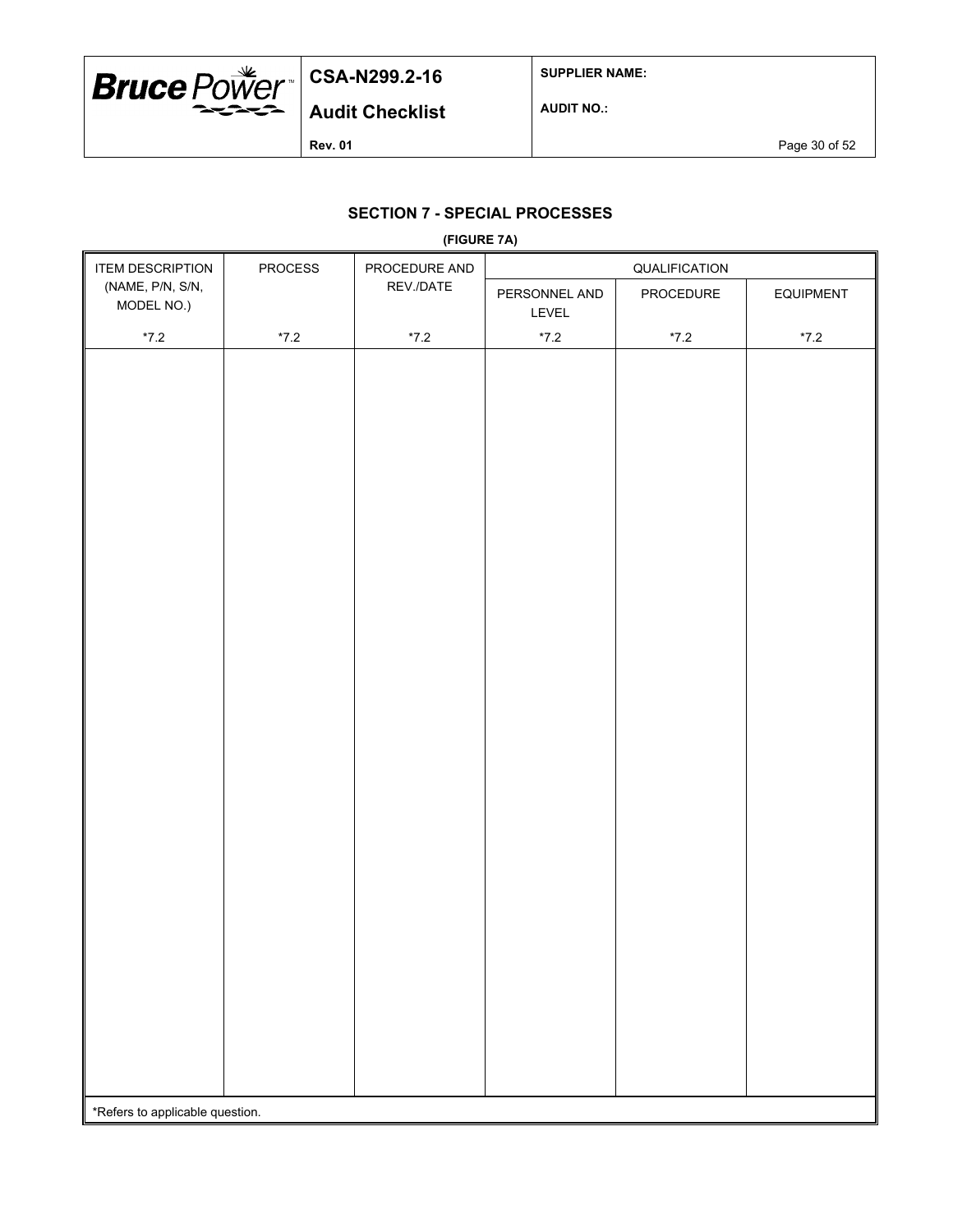

**SUPPLIER NAME:**

**AUDIT NO.:**

**Rev. 01 Page 30 of 52** 

## **SECTION 7 - SPECIAL PROCESSES**

| (FIGURE 7A)                     |                                       |                        |               |               |        |  |
|---------------------------------|---------------------------------------|------------------------|---------------|---------------|--------|--|
| <b>ITEM DESCRIPTION</b>         | PROCEDURE AND<br>PROCESS<br>REV./DATE |                        | QUALIFICATION |               |        |  |
| (NAME, P/N, S/N,<br>MODEL NO.)  |                                       | PERSONNEL AND<br>LEVEL | PROCEDURE     | EQUIPMENT     |        |  |
| $^{\star}7.2$                   | $^{\star}7.2$                         | $*7.2$                 | $*7.2$        | $^{\star}7.2$ | $*7.2$ |  |
|                                 |                                       |                        |               |               |        |  |
|                                 |                                       |                        |               |               |        |  |
|                                 |                                       |                        |               |               |        |  |
|                                 |                                       |                        |               |               |        |  |
|                                 |                                       |                        |               |               |        |  |
|                                 |                                       |                        |               |               |        |  |
|                                 |                                       |                        |               |               |        |  |
|                                 |                                       |                        |               |               |        |  |
|                                 |                                       |                        |               |               |        |  |
|                                 |                                       |                        |               |               |        |  |
|                                 |                                       |                        |               |               |        |  |
|                                 |                                       |                        |               |               |        |  |
|                                 |                                       |                        |               |               |        |  |
|                                 |                                       |                        |               |               |        |  |
|                                 |                                       |                        |               |               |        |  |
|                                 |                                       |                        |               |               |        |  |
|                                 |                                       |                        |               |               |        |  |
|                                 |                                       |                        |               |               |        |  |
|                                 |                                       |                        |               |               |        |  |
|                                 |                                       |                        |               |               |        |  |
|                                 |                                       |                        |               |               |        |  |
|                                 |                                       |                        |               |               |        |  |
|                                 |                                       |                        |               |               |        |  |
|                                 |                                       |                        |               |               |        |  |
|                                 |                                       |                        |               |               |        |  |
|                                 |                                       |                        |               |               |        |  |
|                                 |                                       |                        |               |               |        |  |
|                                 |                                       |                        |               |               |        |  |
|                                 |                                       |                        |               |               |        |  |
|                                 |                                       |                        |               |               |        |  |
|                                 |                                       |                        |               |               |        |  |
|                                 |                                       |                        |               |               |        |  |
|                                 |                                       |                        |               |               |        |  |
| *Refers to applicable question. |                                       |                        |               |               |        |  |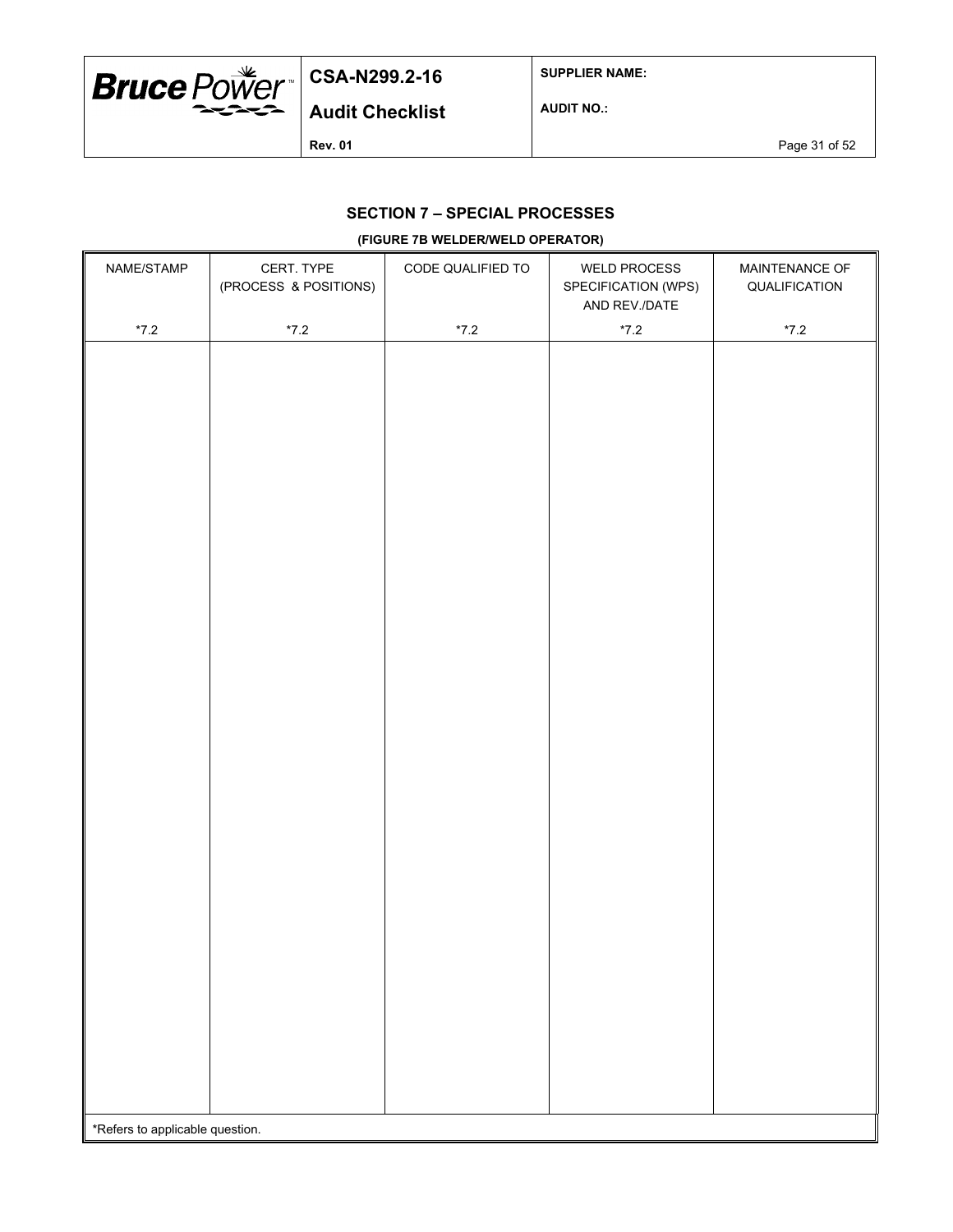

**SUPPLIER NAME:**

**AUDIT NO.:**

**Rev. 01 Page 31 of 52** 

## **SECTION 7 – SPECIAL PROCESSES**

#### **(FIGURE 7B WELDER/WELD OPERATOR)**

| NAME/STAMP                      | CERT. TYPE<br>(PROCESS & POSITIONS) | CODE QUALIFIED TO | <b>WELD PROCESS</b><br>SPECIFICATION (WPS) | MAINTENANCE OF<br>QUALIFICATION |
|---------------------------------|-------------------------------------|-------------------|--------------------------------------------|---------------------------------|
|                                 |                                     |                   | AND REV./DATE                              |                                 |
| $^{\star}7.2$                   | $*7.2$                              | $^{\star}7.2$     | $^{\star}7.2$                              | $*7.2$                          |
|                                 |                                     |                   |                                            |                                 |
|                                 |                                     |                   |                                            |                                 |
|                                 |                                     |                   |                                            |                                 |
|                                 |                                     |                   |                                            |                                 |
|                                 |                                     |                   |                                            |                                 |
|                                 |                                     |                   |                                            |                                 |
|                                 |                                     |                   |                                            |                                 |
|                                 |                                     |                   |                                            |                                 |
|                                 |                                     |                   |                                            |                                 |
|                                 |                                     |                   |                                            |                                 |
|                                 |                                     |                   |                                            |                                 |
|                                 |                                     |                   |                                            |                                 |
|                                 |                                     |                   |                                            |                                 |
|                                 |                                     |                   |                                            |                                 |
|                                 |                                     |                   |                                            |                                 |
|                                 |                                     |                   |                                            |                                 |
|                                 |                                     |                   |                                            |                                 |
|                                 |                                     |                   |                                            |                                 |
|                                 |                                     |                   |                                            |                                 |
|                                 |                                     |                   |                                            |                                 |
|                                 |                                     |                   |                                            |                                 |
|                                 |                                     |                   |                                            |                                 |
|                                 |                                     |                   |                                            |                                 |
|                                 |                                     |                   |                                            |                                 |
|                                 |                                     |                   |                                            |                                 |
|                                 |                                     |                   |                                            |                                 |
|                                 |                                     |                   |                                            |                                 |
|                                 |                                     |                   |                                            |                                 |
|                                 |                                     |                   |                                            |                                 |
| *Refers to applicable question. |                                     |                   |                                            |                                 |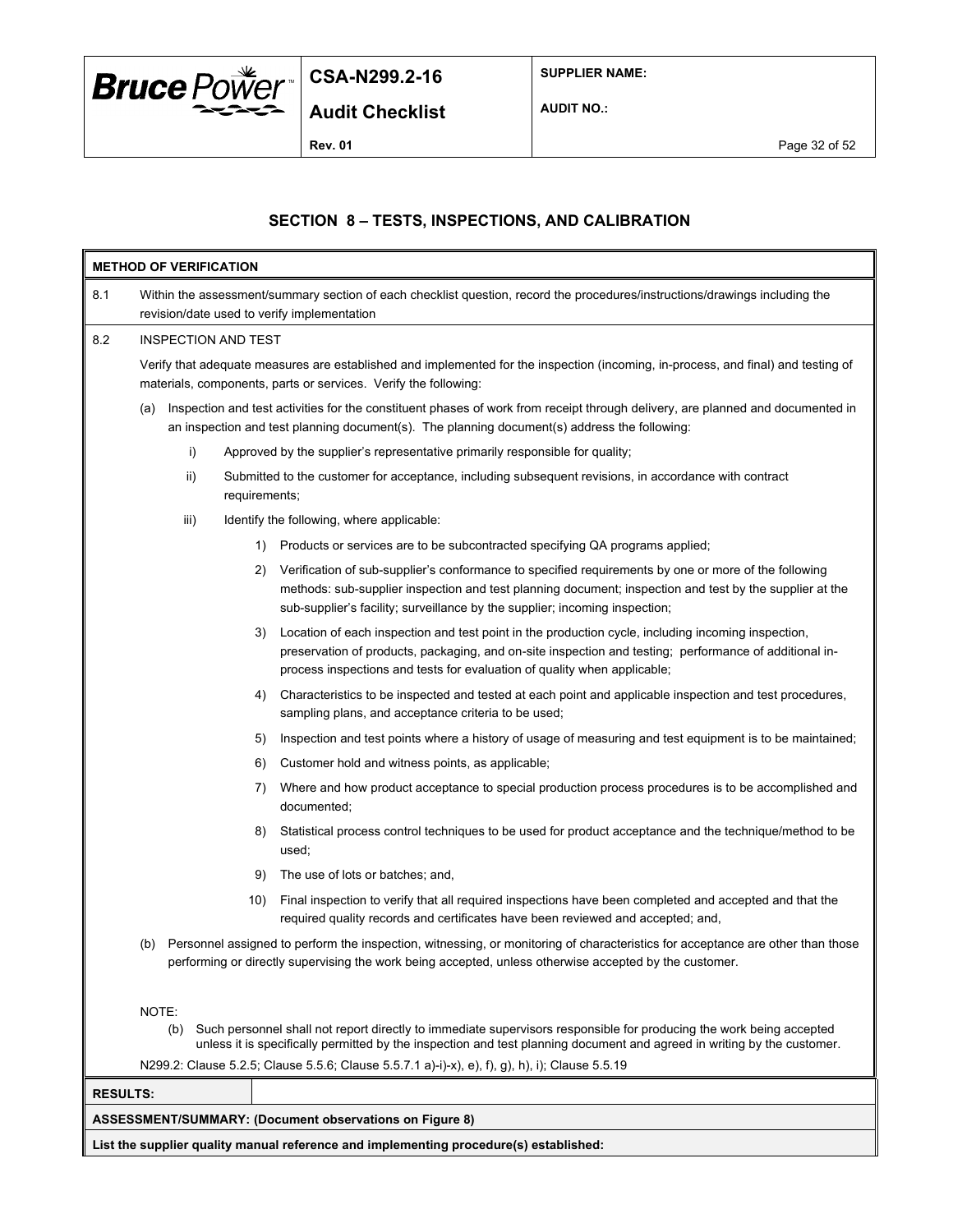

**SUPPLIER NAME:**

**AUDIT NO.:**

 $\overline{\mathbf{u}}$ 

## **SECTION 8 – TESTS, INSPECTIONS, AND CALIBRATION**

|                 | <b>METHOD OF VERIFICATION</b>                                                                                                                                                                                                                                  |                                                                                                                                                                                                                                                                                                      |  |  |  |  |  |
|-----------------|----------------------------------------------------------------------------------------------------------------------------------------------------------------------------------------------------------------------------------------------------------------|------------------------------------------------------------------------------------------------------------------------------------------------------------------------------------------------------------------------------------------------------------------------------------------------------|--|--|--|--|--|
| 8.1             |                                                                                                                                                                                                                                                                | Within the assessment/summary section of each checklist question, record the procedures/instructions/drawings including the<br>revision/date used to verify implementation                                                                                                                           |  |  |  |  |  |
| 8.2             | <b>INSPECTION AND TEST</b>                                                                                                                                                                                                                                     |                                                                                                                                                                                                                                                                                                      |  |  |  |  |  |
|                 | Verify that adequate measures are established and implemented for the inspection (incoming, in-process, and final) and testing of<br>materials, components, parts or services. Verify the following:                                                           |                                                                                                                                                                                                                                                                                                      |  |  |  |  |  |
|                 | (a)                                                                                                                                                                                                                                                            | Inspection and test activities for the constituent phases of work from receipt through delivery, are planned and documented in<br>an inspection and test planning document(s). The planning document(s) address the following:                                                                       |  |  |  |  |  |
|                 | i)                                                                                                                                                                                                                                                             | Approved by the supplier's representative primarily responsible for quality;                                                                                                                                                                                                                         |  |  |  |  |  |
|                 | $\mathsf{ii}$ )                                                                                                                                                                                                                                                | Submitted to the customer for acceptance, including subsequent revisions, in accordance with contract<br>requirements;                                                                                                                                                                               |  |  |  |  |  |
|                 | iii)                                                                                                                                                                                                                                                           | Identify the following, where applicable:                                                                                                                                                                                                                                                            |  |  |  |  |  |
|                 |                                                                                                                                                                                                                                                                | Products or services are to be subcontracted specifying QA programs applied;<br>1)                                                                                                                                                                                                                   |  |  |  |  |  |
|                 |                                                                                                                                                                                                                                                                | Verification of sub-supplier's conformance to specified requirements by one or more of the following<br>2)<br>methods: sub-supplier inspection and test planning document; inspection and test by the supplier at the<br>sub-supplier's facility; surveillance by the supplier; incoming inspection; |  |  |  |  |  |
|                 |                                                                                                                                                                                                                                                                | Location of each inspection and test point in the production cycle, including incoming inspection,<br>3)<br>preservation of products, packaging, and on-site inspection and testing; performance of additional in-<br>process inspections and tests for evaluation of quality when applicable;       |  |  |  |  |  |
|                 |                                                                                                                                                                                                                                                                | Characteristics to be inspected and tested at each point and applicable inspection and test procedures,<br>4)<br>sampling plans, and acceptance criteria to be used;                                                                                                                                 |  |  |  |  |  |
|                 |                                                                                                                                                                                                                                                                | Inspection and test points where a history of usage of measuring and test equipment is to be maintained;<br>5)                                                                                                                                                                                       |  |  |  |  |  |
|                 |                                                                                                                                                                                                                                                                | Customer hold and witness points, as applicable;<br>6)                                                                                                                                                                                                                                               |  |  |  |  |  |
|                 |                                                                                                                                                                                                                                                                | Where and how product acceptance to special production process procedures is to be accomplished and<br>7)<br>documented;                                                                                                                                                                             |  |  |  |  |  |
|                 |                                                                                                                                                                                                                                                                | Statistical process control techniques to be used for product acceptance and the technique/method to be<br>8)<br>used;                                                                                                                                                                               |  |  |  |  |  |
|                 |                                                                                                                                                                                                                                                                | 9)<br>The use of lots or batches; and,                                                                                                                                                                                                                                                               |  |  |  |  |  |
|                 |                                                                                                                                                                                                                                                                | Final inspection to verify that all required inspections have been completed and accepted and that the<br>10)<br>required quality records and certificates have been reviewed and accepted; and,                                                                                                     |  |  |  |  |  |
|                 | (b)                                                                                                                                                                                                                                                            | Personnel assigned to perform the inspection, witnessing, or monitoring of characteristics for acceptance are other than those<br>performing or directly supervising the work being accepted, unless otherwise accepted by the customer.                                                             |  |  |  |  |  |
|                 | NOTE:<br>Such personnel shall not report directly to immediate supervisors responsible for producing the work being accepted<br>(b)<br>unless it is specifically permitted by the inspection and test planning document and agreed in writing by the customer. |                                                                                                                                                                                                                                                                                                      |  |  |  |  |  |
|                 |                                                                                                                                                                                                                                                                | N299.2: Clause 5.2.5; Clause 5.5.6; Clause 5.5.7.1 a)-i)-x), e), f), g), h), i); Clause 5.5.19                                                                                                                                                                                                       |  |  |  |  |  |
| <b>RESULTS:</b> |                                                                                                                                                                                                                                                                |                                                                                                                                                                                                                                                                                                      |  |  |  |  |  |
|                 |                                                                                                                                                                                                                                                                | <b>ASSESSMENT/SUMMARY: (Document observations on Figure 8)</b>                                                                                                                                                                                                                                       |  |  |  |  |  |
|                 | List the supplier quality manual reference and implementing procedure(s) established:                                                                                                                                                                          |                                                                                                                                                                                                                                                                                                      |  |  |  |  |  |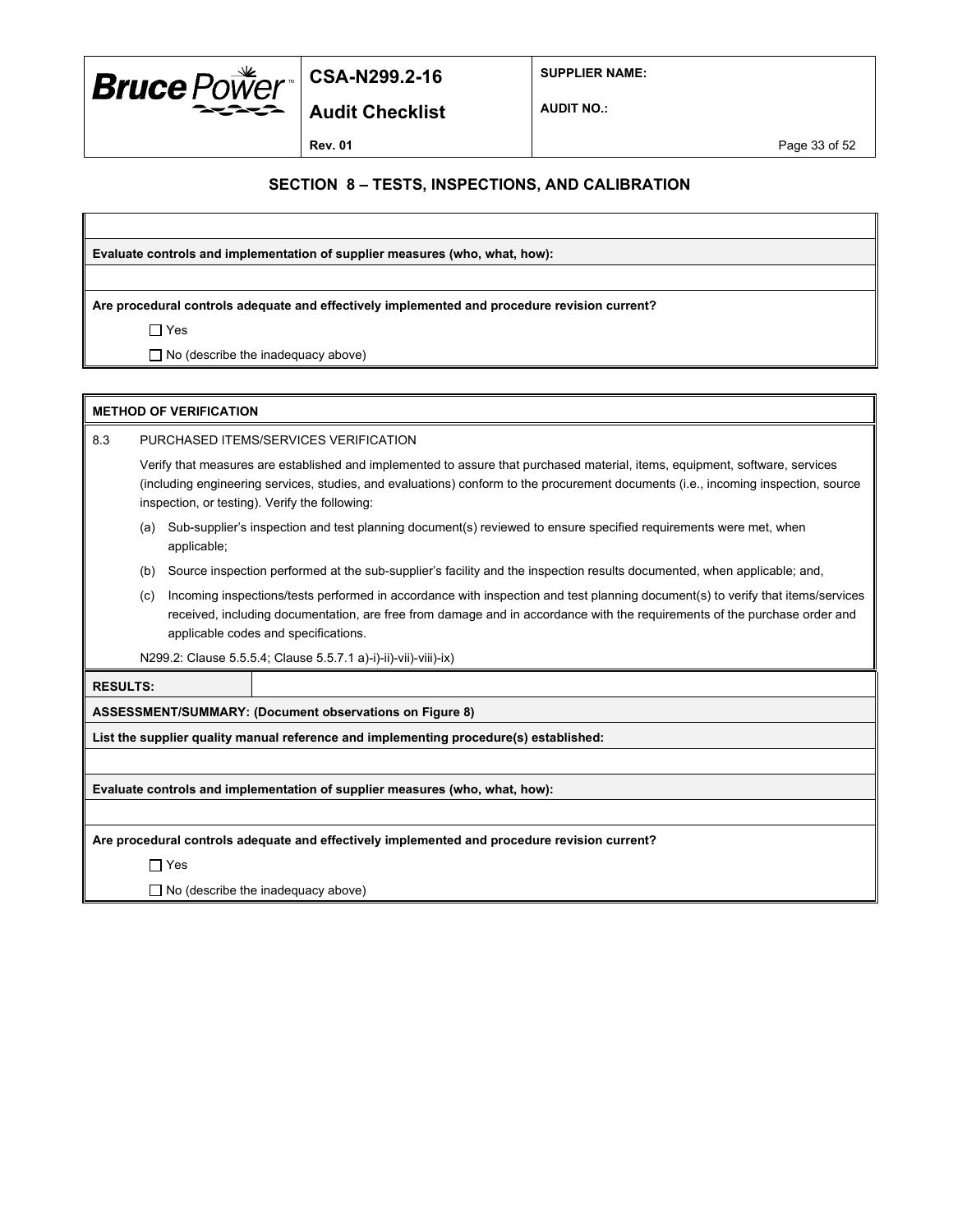

**Audit Checklist**

**SUPPLIER NAME:**

**AUDIT NO.:**

**Rev. 01 Page 33 of 52** 

### **SECTION 8 – TESTS, INSPECTIONS, AND CALIBRATION**

**Evaluate controls and implementation of supplier measures (who, what, how):**

**Are procedural controls adequate and effectively implemented and procedure revision current?**

Yes

 $\Box$  No (describe the inadequacy above)

|                 | <b>METHOD OF VERIFICATION</b>                                                                                                                                                                                                                                                                                        |                                                                                                                                                                                                                                                                                                     |                                                                                                                         |  |  |  |  |
|-----------------|----------------------------------------------------------------------------------------------------------------------------------------------------------------------------------------------------------------------------------------------------------------------------------------------------------------------|-----------------------------------------------------------------------------------------------------------------------------------------------------------------------------------------------------------------------------------------------------------------------------------------------------|-------------------------------------------------------------------------------------------------------------------------|--|--|--|--|
| 8.3             | PURCHASED ITEMS/SERVICES VERIFICATION                                                                                                                                                                                                                                                                                |                                                                                                                                                                                                                                                                                                     |                                                                                                                         |  |  |  |  |
|                 | Verify that measures are established and implemented to assure that purchased material, items, equipment, software, services<br>(including engineering services, studies, and evaluations) conform to the procurement documents (i.e., incoming inspection, source<br>inspection, or testing). Verify the following: |                                                                                                                                                                                                                                                                                                     |                                                                                                                         |  |  |  |  |
|                 | (a)                                                                                                                                                                                                                                                                                                                  | applicable;                                                                                                                                                                                                                                                                                         | Sub-supplier's inspection and test planning document(s) reviewed to ensure specified requirements were met, when        |  |  |  |  |
|                 | (b)                                                                                                                                                                                                                                                                                                                  |                                                                                                                                                                                                                                                                                                     | Source inspection performed at the sub-supplier's facility and the inspection results documented, when applicable; and, |  |  |  |  |
|                 | (c)                                                                                                                                                                                                                                                                                                                  | Incoming inspections/tests performed in accordance with inspection and test planning document(s) to verify that items/services<br>received, including documentation, are free from damage and in accordance with the requirements of the purchase order and<br>applicable codes and specifications. |                                                                                                                         |  |  |  |  |
|                 | N299.2: Clause 5.5.5.4; Clause 5.5.7.1 a)-i)-ii)-vii)-viii)-ix)                                                                                                                                                                                                                                                      |                                                                                                                                                                                                                                                                                                     |                                                                                                                         |  |  |  |  |
| <b>RESULTS:</b> |                                                                                                                                                                                                                                                                                                                      |                                                                                                                                                                                                                                                                                                     |                                                                                                                         |  |  |  |  |
|                 | ASSESSMENT/SUMMARY: (Document observations on Figure 8)                                                                                                                                                                                                                                                              |                                                                                                                                                                                                                                                                                                     |                                                                                                                         |  |  |  |  |
|                 |                                                                                                                                                                                                                                                                                                                      |                                                                                                                                                                                                                                                                                                     | List the supplier quality manual reference and implementing procedure(s) established:                                   |  |  |  |  |
|                 |                                                                                                                                                                                                                                                                                                                      |                                                                                                                                                                                                                                                                                                     |                                                                                                                         |  |  |  |  |

**Evaluate controls and implementation of supplier measures (who, what, how):**

**Are procedural controls adequate and effectively implemented and procedure revision current?**

Yes

 $\Box$  No (describe the inadequacy above)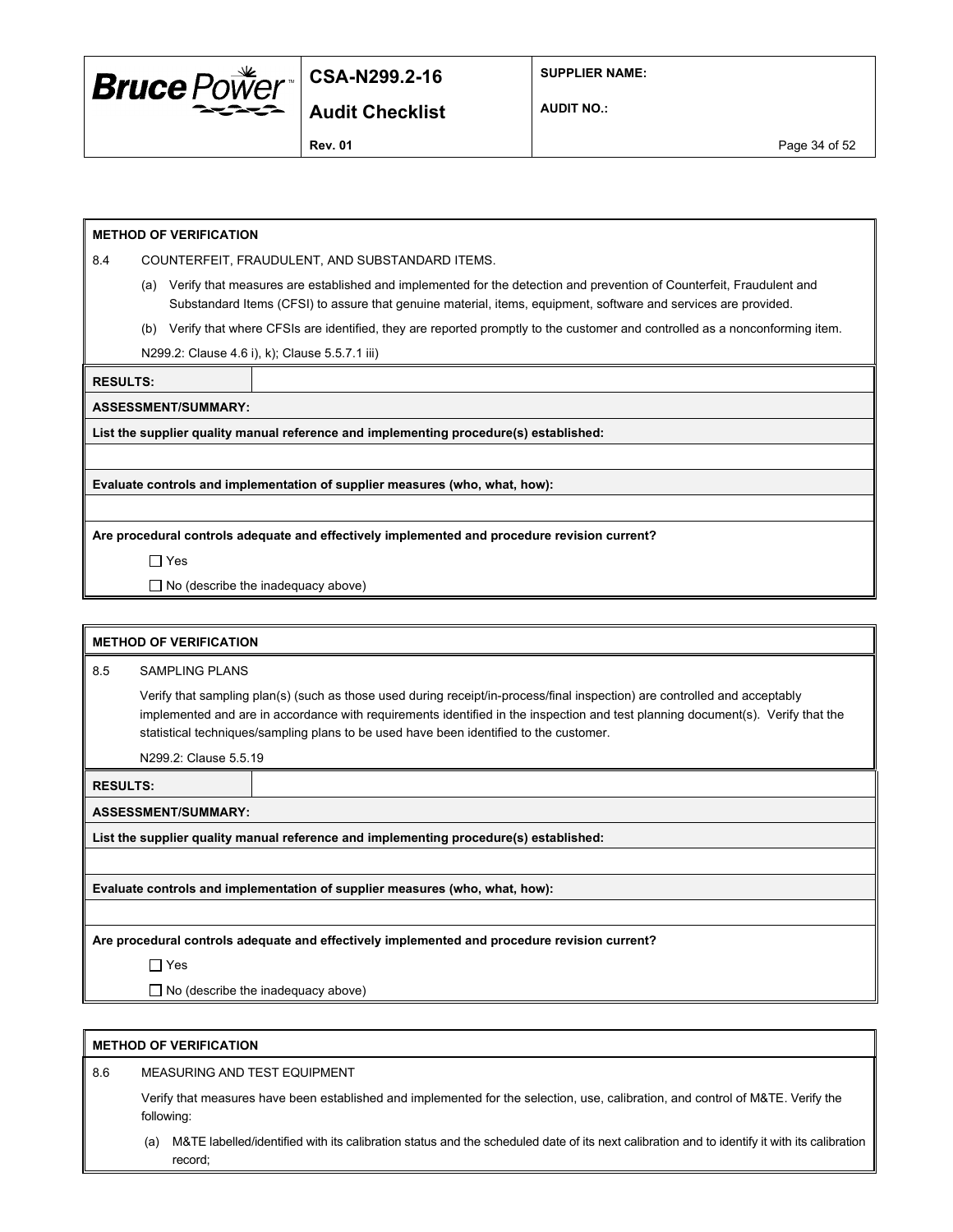

**SUPPLIER NAME:**

**Audit Checklist**

**AUDIT NO.:**

**Rev. 01** Page 34 of 52

#### **METHOD OF VERIFICATION**

8.4 COUNTERFEIT, FRAUDULENT, AND SUBSTANDARD ITEMS.

- (a) Verify that measures are established and implemented for the detection and prevention of Counterfeit, Fraudulent and Substandard Items (CFSI) to assure that genuine material, items, equipment, software and services are provided.
- (b) Verify that where CFSIs are identified, they are reported promptly to the customer and controlled as a nonconforming item.

N299.2: Clause 4.6 i), k); Clause 5.5.7.1 iii)

**RESULTS:**

**ASSESSMENT/SUMMARY:**

**List the supplier quality manual reference and implementing procedure(s) established:**

**Evaluate controls and implementation of supplier measures (who, what, how):**

**Are procedural controls adequate and effectively implemented and procedure revision current?**

Yes

 $\Box$  No (describe the inadequacy above)

|                                                                                              | <b>METHOD OF VERIFICATION</b>                                                                                                                                                                                                                                                                                                                           |                                                                                       |  |  |  |  |
|----------------------------------------------------------------------------------------------|---------------------------------------------------------------------------------------------------------------------------------------------------------------------------------------------------------------------------------------------------------------------------------------------------------------------------------------------------------|---------------------------------------------------------------------------------------|--|--|--|--|
| 8.5                                                                                          | <b>SAMPLING PLANS</b>                                                                                                                                                                                                                                                                                                                                   |                                                                                       |  |  |  |  |
|                                                                                              | Verify that sampling plan(s) (such as those used during receipt/in-process/final inspection) are controlled and acceptably<br>implemented and are in accordance with requirements identified in the inspection and test planning document(s). Verify that the<br>statistical techniques/sampling plans to be used have been identified to the customer. |                                                                                       |  |  |  |  |
|                                                                                              | N299.2: Clause 5.5.19                                                                                                                                                                                                                                                                                                                                   |                                                                                       |  |  |  |  |
| <b>RESULTS:</b>                                                                              |                                                                                                                                                                                                                                                                                                                                                         |                                                                                       |  |  |  |  |
|                                                                                              | <b>ASSESSMENT/SUMMARY:</b>                                                                                                                                                                                                                                                                                                                              |                                                                                       |  |  |  |  |
|                                                                                              |                                                                                                                                                                                                                                                                                                                                                         | List the supplier quality manual reference and implementing procedure(s) established: |  |  |  |  |
|                                                                                              |                                                                                                                                                                                                                                                                                                                                                         |                                                                                       |  |  |  |  |
|                                                                                              | Evaluate controls and implementation of supplier measures (who, what, how):                                                                                                                                                                                                                                                                             |                                                                                       |  |  |  |  |
|                                                                                              |                                                                                                                                                                                                                                                                                                                                                         |                                                                                       |  |  |  |  |
| Are procedural controls adequate and effectively implemented and procedure revision current? |                                                                                                                                                                                                                                                                                                                                                         |                                                                                       |  |  |  |  |
|                                                                                              | $\Box$ Yes                                                                                                                                                                                                                                                                                                                                              |                                                                                       |  |  |  |  |
|                                                                                              | $\Box$ No (describe the inadequacy above)                                                                                                                                                                                                                                                                                                               |                                                                                       |  |  |  |  |

#### **METHOD OF VERIFICATION**

8.6 MEASURING AND TEST EQUIPMENT

Verify that measures have been established and implemented for the selection, use, calibration, and control of M&TE. Verify the following:

(a) M&TE labelled/identified with its calibration status and the scheduled date of its next calibration and to identify it with its calibration record;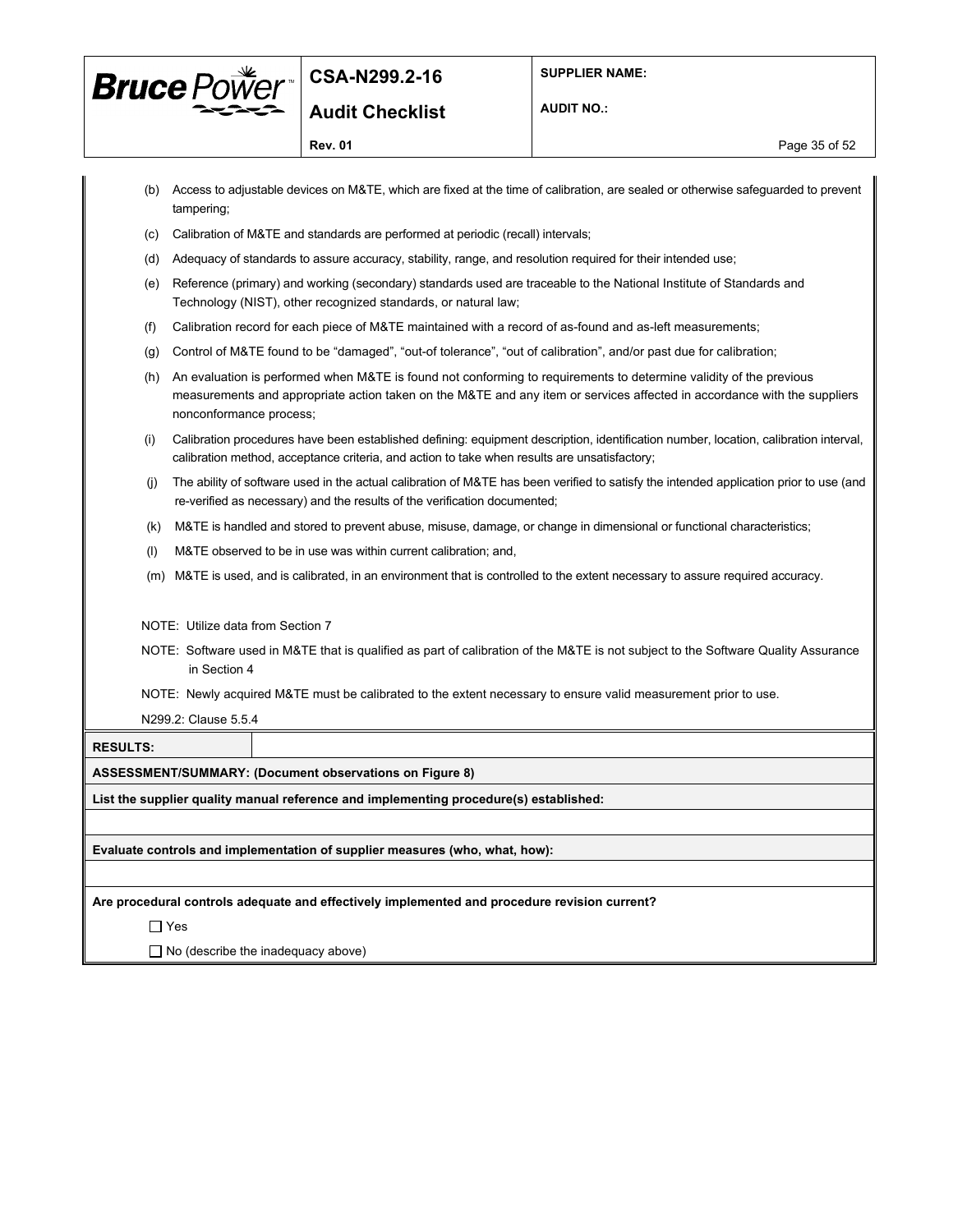

**AUDIT NO.:**

**Rev. 01 Page 35 of 52** 

|                                           | tampering;                        | (b) Access to adjustable devices on M&TE, which are fixed at the time of calibration, are sealed or otherwise safeguarded to prevent                                                                                                           |  |  |  |  |  |
|-------------------------------------------|-----------------------------------|------------------------------------------------------------------------------------------------------------------------------------------------------------------------------------------------------------------------------------------------|--|--|--|--|--|
| (c)                                       |                                   | Calibration of M&TE and standards are performed at periodic (recall) intervals;                                                                                                                                                                |  |  |  |  |  |
| (d)                                       |                                   | Adequacy of standards to assure accuracy, stability, range, and resolution required for their intended use;                                                                                                                                    |  |  |  |  |  |
| (e)                                       |                                   | Reference (primary) and working (secondary) standards used are traceable to the National Institute of Standards and<br>Technology (NIST), other recognized standards, or natural law;                                                          |  |  |  |  |  |
| (f)                                       |                                   | Calibration record for each piece of M&TE maintained with a record of as-found and as-left measurements;                                                                                                                                       |  |  |  |  |  |
| (g)                                       |                                   | Control of M&TE found to be "damaged", "out-of tolerance", "out of calibration", and/or past due for calibration;                                                                                                                              |  |  |  |  |  |
| (h)                                       | nonconformance process;           | An evaluation is performed when M&TE is found not conforming to requirements to determine validity of the previous<br>measurements and appropriate action taken on the M&TE and any item or services affected in accordance with the suppliers |  |  |  |  |  |
| (i)                                       |                                   | Calibration procedures have been established defining: equipment description, identification number, location, calibration interval,<br>calibration method, acceptance criteria, and action to take when results are unsatisfactory;           |  |  |  |  |  |
| (i)                                       |                                   | The ability of software used in the actual calibration of M&TE has been verified to satisfy the intended application prior to use (and<br>re-verified as necessary) and the results of the verification documented;                            |  |  |  |  |  |
| (k)                                       |                                   | M&TE is handled and stored to prevent abuse, misuse, damage, or change in dimensional or functional characteristics;                                                                                                                           |  |  |  |  |  |
| (1)                                       |                                   | M&TE observed to be in use was within current calibration; and,                                                                                                                                                                                |  |  |  |  |  |
| (m)                                       |                                   | M&TE is used, and is calibrated, in an environment that is controlled to the extent necessary to assure required accuracy.                                                                                                                     |  |  |  |  |  |
|                                           | NOTE: Utilize data from Section 7 |                                                                                                                                                                                                                                                |  |  |  |  |  |
|                                           | in Section 4                      | NOTE: Software used in M&TE that is qualified as part of calibration of the M&TE is not subject to the Software Quality Assurance                                                                                                              |  |  |  |  |  |
|                                           |                                   | NOTE: Newly acquired M&TE must be calibrated to the extent necessary to ensure valid measurement prior to use.                                                                                                                                 |  |  |  |  |  |
|                                           | N299.2: Clause 5.5.4              |                                                                                                                                                                                                                                                |  |  |  |  |  |
| <b>RESULTS:</b>                           |                                   |                                                                                                                                                                                                                                                |  |  |  |  |  |
|                                           |                                   | ASSESSMENT/SUMMARY: (Document observations on Figure 8)                                                                                                                                                                                        |  |  |  |  |  |
|                                           |                                   | List the supplier quality manual reference and implementing procedure(s) established:                                                                                                                                                          |  |  |  |  |  |
|                                           |                                   |                                                                                                                                                                                                                                                |  |  |  |  |  |
|                                           |                                   | Evaluate controls and implementation of supplier measures (who, what, how):                                                                                                                                                                    |  |  |  |  |  |
|                                           |                                   |                                                                                                                                                                                                                                                |  |  |  |  |  |
|                                           |                                   | Are procedural controls adequate and effectively implemented and procedure revision current?                                                                                                                                                   |  |  |  |  |  |
|                                           | $\Box$ Yes                        |                                                                                                                                                                                                                                                |  |  |  |  |  |
| $\Box$ No (describe the inadequacy above) |                                   |                                                                                                                                                                                                                                                |  |  |  |  |  |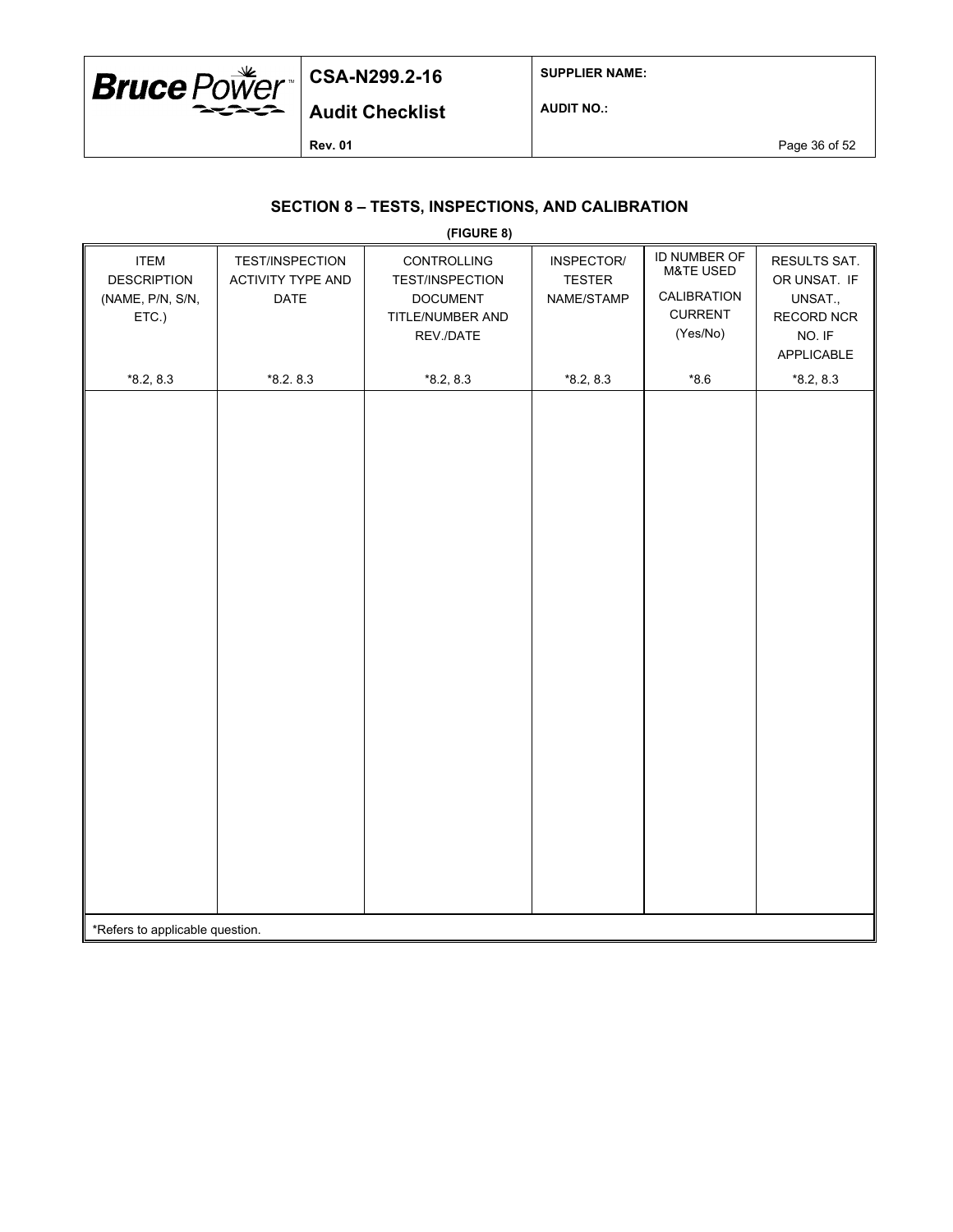

**SUPPLIER NAME:**

**Audit Checklist**

**AUDIT NO.:**

**Rev. 01 Page 36 of 52** 

## **SECTION 8 – TESTS, INSPECTIONS, AND CALIBRATION**

|                                                                |                                                     | (FIGURE 8)                                                                                |                                           |                                                                                   |                                                                               |
|----------------------------------------------------------------|-----------------------------------------------------|-------------------------------------------------------------------------------------------|-------------------------------------------|-----------------------------------------------------------------------------------|-------------------------------------------------------------------------------|
| <b>ITEM</b><br><b>DESCRIPTION</b><br>(NAME, P/N, S/N,<br>ETC.) | TEST/INSPECTION<br><b>ACTIVITY TYPE AND</b><br>DATE | CONTROLLING<br><b>TEST/INSPECTION</b><br><b>DOCUMENT</b><br>TITLE/NUMBER AND<br>REV./DATE | INSPECTOR/<br><b>TESTER</b><br>NAME/STAMP | ID NUMBER OF<br><b>M&amp;TE USED</b><br>CALIBRATION<br><b>CURRENT</b><br>(Yes/No) | RESULTS SAT.<br>OR UNSAT. IF<br>UNSAT.,<br>RECORD NCR<br>NO. IF<br>APPLICABLE |
| $*8.2, 8.3$                                                    | $*8.2.8.3$                                          | $*8.2, 8.3$                                                                               | $*8.2, 8.3$                               | $*8.6$                                                                            | $*8.2, 8.3$                                                                   |
|                                                                |                                                     |                                                                                           |                                           |                                                                                   |                                                                               |
| *Refers to applicable question.                                |                                                     |                                                                                           |                                           |                                                                                   |                                                                               |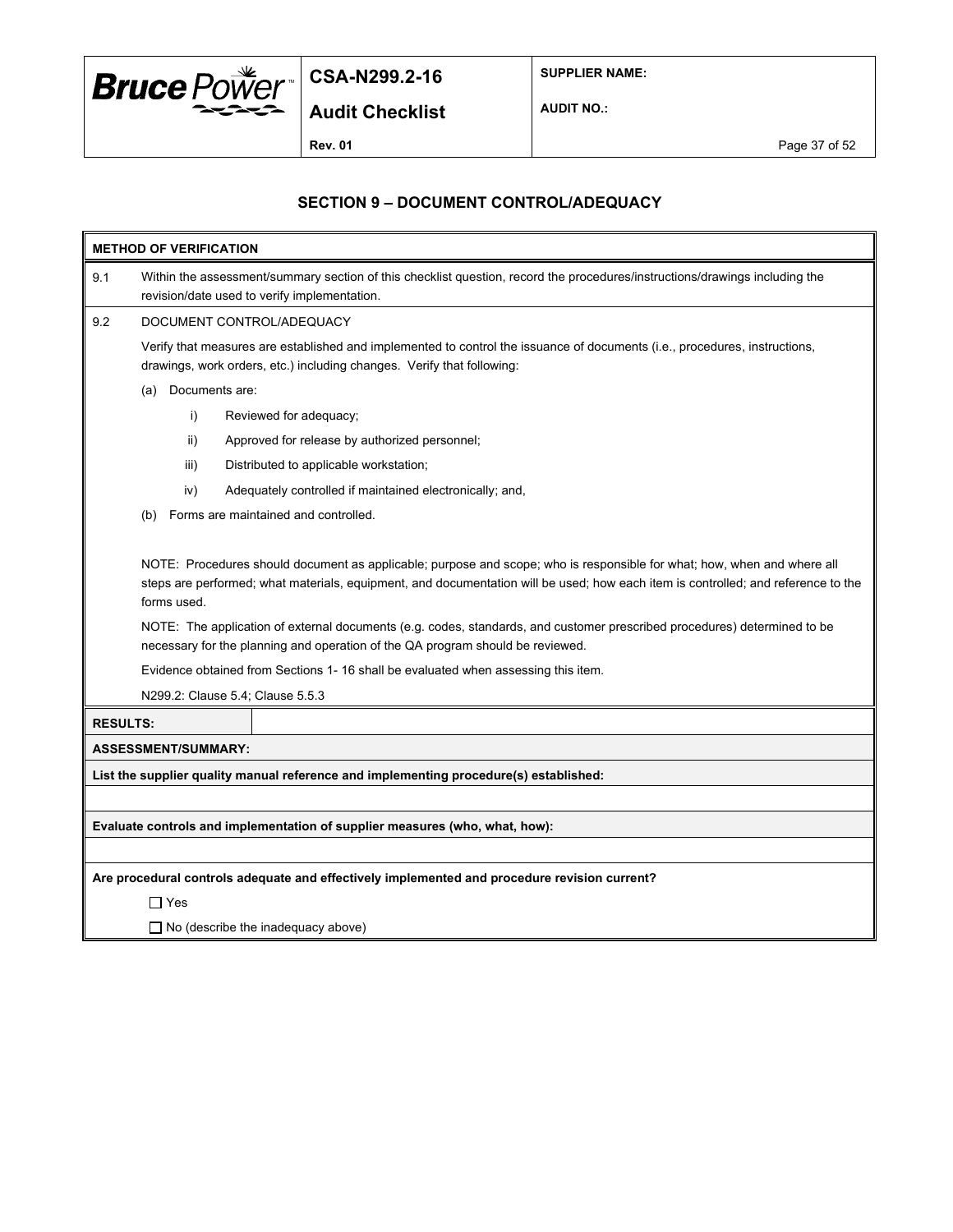

**SUPPLIER NAME:**

**AUDIT NO.:**

## **SECTION 9 – DOCUMENT CONTROL/ADEQUACY**

| <b>METHOD OF VERIFICATION</b> |                                                                                                                                                                                                                                                                                                                                                                                                                                                                                                                                                                                                                     |                                                                                                                                                                                                      |  |  |  |  |  |
|-------------------------------|---------------------------------------------------------------------------------------------------------------------------------------------------------------------------------------------------------------------------------------------------------------------------------------------------------------------------------------------------------------------------------------------------------------------------------------------------------------------------------------------------------------------------------------------------------------------------------------------------------------------|------------------------------------------------------------------------------------------------------------------------------------------------------------------------------------------------------|--|--|--|--|--|
| 9.1                           | Within the assessment/summary section of this checklist question, record the procedures/instructions/drawings including the<br>revision/date used to verify implementation.                                                                                                                                                                                                                                                                                                                                                                                                                                         |                                                                                                                                                                                                      |  |  |  |  |  |
| 9.2                           |                                                                                                                                                                                                                                                                                                                                                                                                                                                                                                                                                                                                                     | DOCUMENT CONTROL/ADEQUACY                                                                                                                                                                            |  |  |  |  |  |
|                               |                                                                                                                                                                                                                                                                                                                                                                                                                                                                                                                                                                                                                     | Verify that measures are established and implemented to control the issuance of documents (i.e., procedures, instructions,<br>drawings, work orders, etc.) including changes. Verify that following: |  |  |  |  |  |
|                               | (a)                                                                                                                                                                                                                                                                                                                                                                                                                                                                                                                                                                                                                 | Documents are:                                                                                                                                                                                       |  |  |  |  |  |
|                               | i)                                                                                                                                                                                                                                                                                                                                                                                                                                                                                                                                                                                                                  | Reviewed for adequacy;                                                                                                                                                                               |  |  |  |  |  |
|                               | ii)                                                                                                                                                                                                                                                                                                                                                                                                                                                                                                                                                                                                                 | Approved for release by authorized personnel;                                                                                                                                                        |  |  |  |  |  |
|                               | iii)                                                                                                                                                                                                                                                                                                                                                                                                                                                                                                                                                                                                                | Distributed to applicable workstation;                                                                                                                                                               |  |  |  |  |  |
|                               | iv)                                                                                                                                                                                                                                                                                                                                                                                                                                                                                                                                                                                                                 | Adequately controlled if maintained electronically; and,                                                                                                                                             |  |  |  |  |  |
|                               | (b)                                                                                                                                                                                                                                                                                                                                                                                                                                                                                                                                                                                                                 | Forms are maintained and controlled.                                                                                                                                                                 |  |  |  |  |  |
|                               | NOTE: Procedures should document as applicable; purpose and scope; who is responsible for what; how, when and where all<br>steps are performed; what materials, equipment, and documentation will be used; how each item is controlled; and reference to the<br>forms used.<br>NOTE: The application of external documents (e.g. codes, standards, and customer prescribed procedures) determined to be<br>necessary for the planning and operation of the QA program should be reviewed.<br>Evidence obtained from Sections 1- 16 shall be evaluated when assessing this item.<br>N299.2: Clause 5.4; Clause 5.5.3 |                                                                                                                                                                                                      |  |  |  |  |  |
| <b>RESULTS:</b>               |                                                                                                                                                                                                                                                                                                                                                                                                                                                                                                                                                                                                                     |                                                                                                                                                                                                      |  |  |  |  |  |
|                               | <b>ASSESSMENT/SUMMARY:</b>                                                                                                                                                                                                                                                                                                                                                                                                                                                                                                                                                                                          |                                                                                                                                                                                                      |  |  |  |  |  |
|                               |                                                                                                                                                                                                                                                                                                                                                                                                                                                                                                                                                                                                                     | List the supplier quality manual reference and implementing procedure(s) established:                                                                                                                |  |  |  |  |  |
|                               |                                                                                                                                                                                                                                                                                                                                                                                                                                                                                                                                                                                                                     |                                                                                                                                                                                                      |  |  |  |  |  |
|                               |                                                                                                                                                                                                                                                                                                                                                                                                                                                                                                                                                                                                                     | Evaluate controls and implementation of supplier measures (who, what, how):                                                                                                                          |  |  |  |  |  |
|                               |                                                                                                                                                                                                                                                                                                                                                                                                                                                                                                                                                                                                                     |                                                                                                                                                                                                      |  |  |  |  |  |
|                               |                                                                                                                                                                                                                                                                                                                                                                                                                                                                                                                                                                                                                     | Are procedural controls adequate and effectively implemented and procedure revision current?                                                                                                         |  |  |  |  |  |
|                               | ∏ Yes                                                                                                                                                                                                                                                                                                                                                                                                                                                                                                                                                                                                               |                                                                                                                                                                                                      |  |  |  |  |  |
|                               | $\Box$ No (describe the inadequacy above)                                                                                                                                                                                                                                                                                                                                                                                                                                                                                                                                                                           |                                                                                                                                                                                                      |  |  |  |  |  |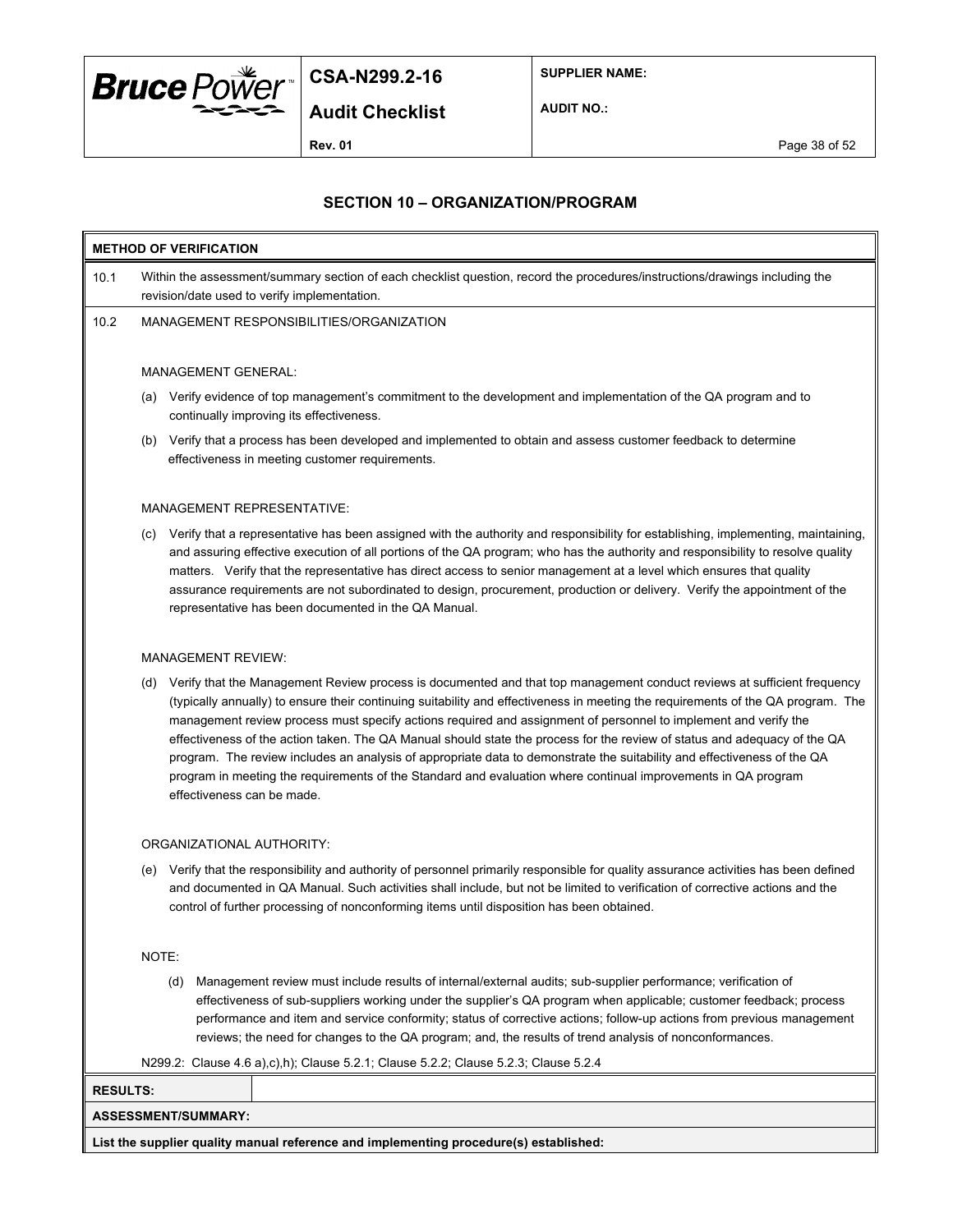

**SUPPLIER NAME:**

**Audit Checklist**

**AUDIT NO.:**

**Rev. 01** Page 38 of 52

### **SECTION 10 – ORGANIZATION/PROGRAM**

# **METHOD OF VERIFICATION** 10.1 Within the assessment/summary section of each checklist question, record the procedures/instructions/drawings including the revision/date used to verify implementation. 10.2 MANAGEMENT RESPONSIBILITIES/ORGANIZATION MANAGEMENT GENERAL:

- (a) Verify evidence of top management's commitment to the development and implementation of the QA program and to continually improving its effectiveness.
- (b) Verify that a process has been developed and implemented to obtain and assess customer feedback to determine effectiveness in meeting customer requirements.

#### MANAGEMENT REPRESENTATIVE:

(c) Verify that a representative has been assigned with the authority and responsibility for establishing, implementing, maintaining, and assuring effective execution of all portions of the QA program; who has the authority and responsibility to resolve quality matters. Verify that the representative has direct access to senior management at a level which ensures that quality assurance requirements are not subordinated to design, procurement, production or delivery. Verify the appointment of the representative has been documented in the QA Manual.

#### MANAGEMENT REVIEW:

(d) Verify that the Management Review process is documented and that top management conduct reviews at sufficient frequency (typically annually) to ensure their continuing suitability and effectiveness in meeting the requirements of the QA program. The management review process must specify actions required and assignment of personnel to implement and verify the effectiveness of the action taken. The QA Manual should state the process for the review of status and adequacy of the QA program. The review includes an analysis of appropriate data to demonstrate the suitability and effectiveness of the QA program in meeting the requirements of the Standard and evaluation where continual improvements in QA program effectiveness can be made.

#### ORGANIZATIONAL AUTHORITY:

(e) Verify that the responsibility and authority of personnel primarily responsible for quality assurance activities has been defined and documented in QA Manual. Such activities shall include, but not be limited to verification of corrective actions and the control of further processing of nonconforming items until disposition has been obtained.

NOTE:

(d) Management review must include results of internal/external audits; sub-supplier performance; verification of effectiveness of sub-suppliers working under the supplier's QA program when applicable; customer feedback; process performance and item and service conformity; status of corrective actions; follow-up actions from previous management reviews; the need for changes to the QA program; and, the results of trend analysis of nonconformances.

N299.2: Clause 4.6 a),c),h); Clause 5.2.1; Clause 5.2.2; Clause 5.2.3; Clause 5.2.4

# **RESULTS: ASSESSMENT/SUMMARY:**

**List the supplier quality manual reference and implementing procedure(s) established:**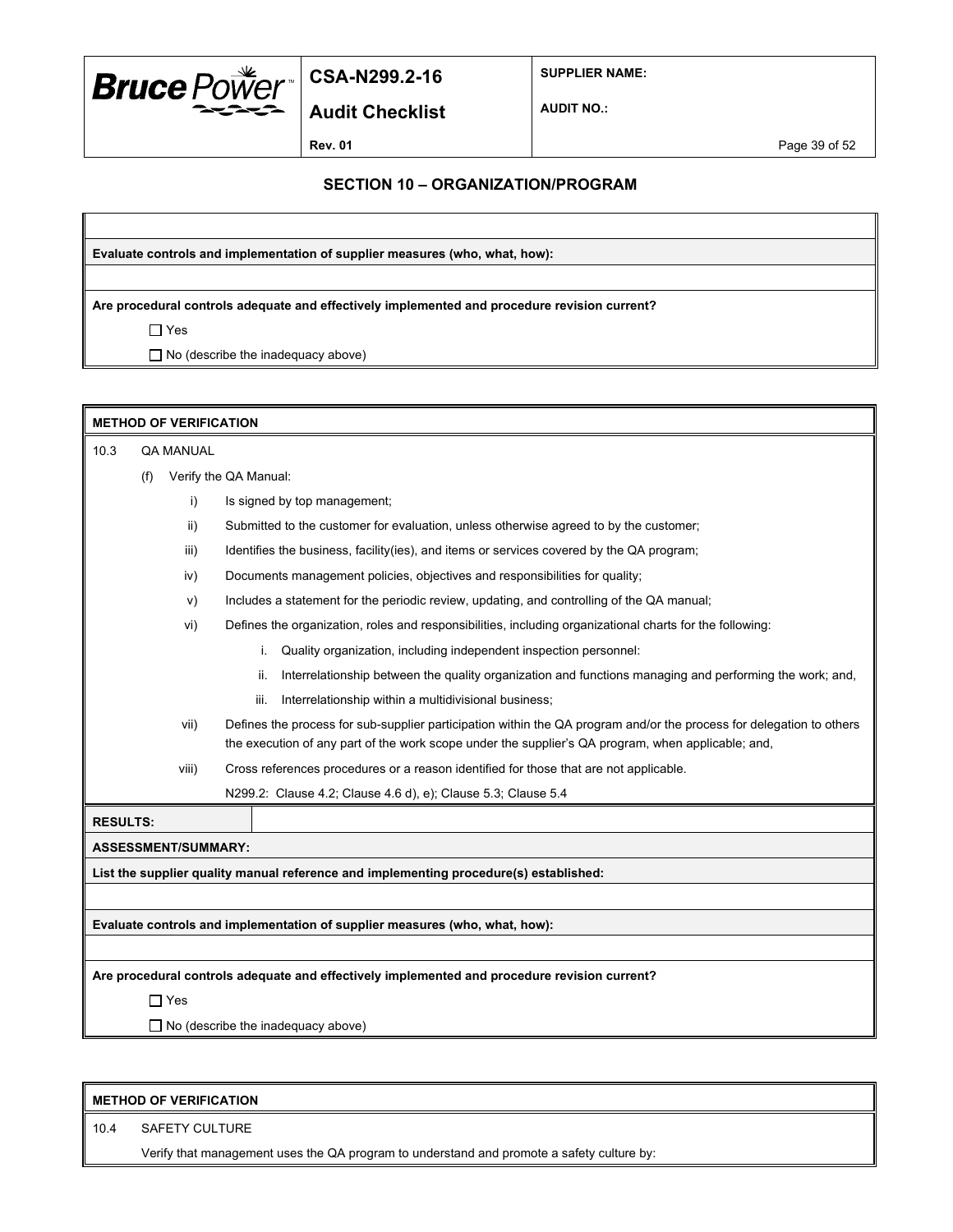

**SUPPLIER NAME:**

**Audit Checklist**

**AUDIT NO.:**

**Rev. 01** Page 39 of 52

#### **SECTION 10 – ORGANIZATION/PROGRAM**

**Evaluate controls and implementation of supplier measures (who, what, how):**

**Are procedural controls adequate and effectively implemented and procedure revision current?**

 $\Box$  Yes

□ No (describe the inadequacy above)

| <b>METHOD OF VERIFICATION</b> |     |                            |                                                                                                                                                                                                                            |  |  |  |
|-------------------------------|-----|----------------------------|----------------------------------------------------------------------------------------------------------------------------------------------------------------------------------------------------------------------------|--|--|--|
| 10.3                          |     | <b>QA MANUAL</b>           |                                                                                                                                                                                                                            |  |  |  |
|                               | (f) |                            | Verify the QA Manual:                                                                                                                                                                                                      |  |  |  |
|                               |     | i)                         | Is signed by top management;                                                                                                                                                                                               |  |  |  |
|                               |     | $\mathsf{ii}$              | Submitted to the customer for evaluation, unless otherwise agreed to by the customer;                                                                                                                                      |  |  |  |
|                               |     | iii)                       | Identifies the business, facility(ies), and items or services covered by the QA program;                                                                                                                                   |  |  |  |
|                               |     | iv)                        | Documents management policies, objectives and responsibilities for quality;                                                                                                                                                |  |  |  |
|                               |     | V)                         | Includes a statement for the periodic review, updating, and controlling of the QA manual;                                                                                                                                  |  |  |  |
|                               |     | vi)                        | Defines the organization, roles and responsibilities, including organizational charts for the following:                                                                                                                   |  |  |  |
|                               |     |                            | Quality organization, including independent inspection personnel:<br>i.                                                                                                                                                    |  |  |  |
|                               |     |                            | Interrelationship between the quality organization and functions managing and performing the work; and,<br>ii.                                                                                                             |  |  |  |
|                               |     |                            | Interrelationship within a multidivisional business;<br>iii.                                                                                                                                                               |  |  |  |
|                               |     | vii)                       | Defines the process for sub-supplier participation within the QA program and/or the process for delegation to others<br>the execution of any part of the work scope under the supplier's QA program, when applicable; and, |  |  |  |
|                               |     | viii)                      | Cross references procedures or a reason identified for those that are not applicable.                                                                                                                                      |  |  |  |
|                               |     |                            | N299.2: Clause 4.2; Clause 4.6 d), e); Clause 5.3; Clause 5.4                                                                                                                                                              |  |  |  |
| <b>RESULTS:</b>               |     |                            |                                                                                                                                                                                                                            |  |  |  |
|                               |     | <b>ASSESSMENT/SUMMARY:</b> |                                                                                                                                                                                                                            |  |  |  |
|                               |     |                            | List the supplier quality manual reference and implementing procedure(s) established:                                                                                                                                      |  |  |  |
|                               |     |                            |                                                                                                                                                                                                                            |  |  |  |
|                               |     |                            | Evaluate controls and implementation of supplier measures (who, what, how):                                                                                                                                                |  |  |  |
|                               |     |                            |                                                                                                                                                                                                                            |  |  |  |
|                               |     |                            | Are procedural controls adequate and effectively implemented and procedure revision current?                                                                                                                               |  |  |  |
|                               |     | $\Box$ Yes                 |                                                                                                                                                                                                                            |  |  |  |
|                               |     |                            | $\Box$ No (describe the inadequacy above)                                                                                                                                                                                  |  |  |  |
|                               |     |                            |                                                                                                                                                                                                                            |  |  |  |

|      | <b>METHOD OF VERIFICATION</b>                                                             |  |  |
|------|-------------------------------------------------------------------------------------------|--|--|
| 10.4 | SAFETY CULTURE                                                                            |  |  |
|      | Verify that management uses the QA program to understand and promote a safety culture by: |  |  |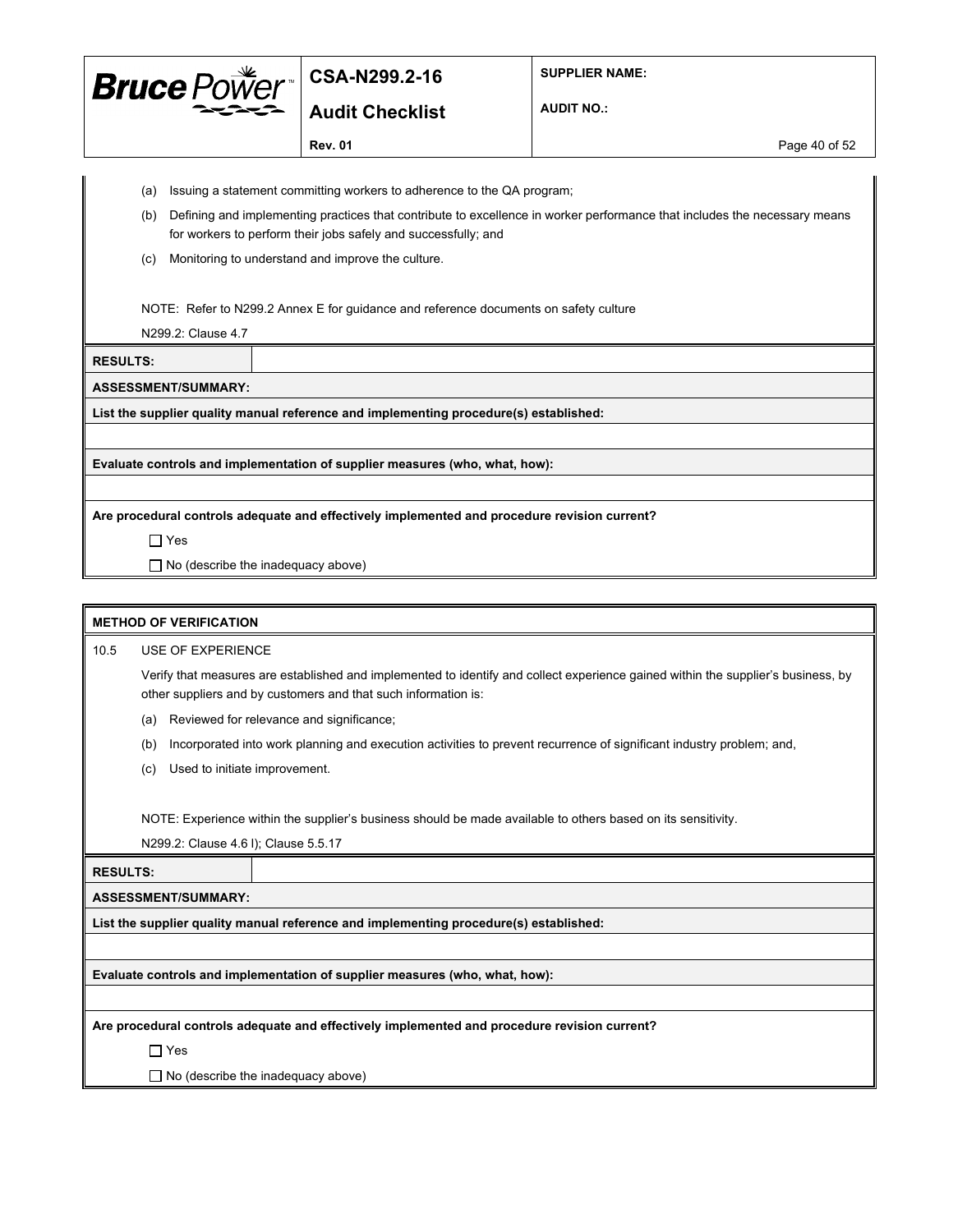

**Audit Checklist**

**SUPPLIER NAME:**

**AUDIT NO.:**

**Rev. 01 Page 40 of 52** 

- 
- (a) Issuing a statement committing workers to adherence to the QA program;
- (b) Defining and implementing practices that contribute to excellence in worker performance that includes the necessary means for workers to perform their jobs safely and successfully; and
- (c) Monitoring to understand and improve the culture.

NOTE: Refer to N299.2 Annex E for guidance and reference documents on safety culture

N299.2: Clause 4.7

**RESULTS:**

**ASSESSMENT/SUMMARY:**

**List the supplier quality manual reference and implementing procedure(s) established:**

**Evaluate controls and implementation of supplier measures (who, what, how):**

**Are procedural controls adequate and effectively implemented and procedure revision current?**

Yes

□ No (describe the inadequacy above)

#### **METHOD OF VERIFICATION**

10.5 USE OF EXPERIENCE

Verify that measures are established and implemented to identify and collect experience gained within the supplier's business, by other suppliers and by customers and that such information is:

- (a) Reviewed for relevance and significance;
- (b) Incorporated into work planning and execution activities to prevent recurrence of significant industry problem; and,
- (c) Used to initiate improvement.

NOTE: Experience within the supplier's business should be made available to others based on its sensitivity.

N299.2: Clause 4.6 l); Clause 5.5.17

**RESULTS:**

**ASSESSMENT/SUMMARY:**

**List the supplier quality manual reference and implementing procedure(s) established:**

**Evaluate controls and implementation of supplier measures (who, what, how):**

**Are procedural controls adequate and effectively implemented and procedure revision current?**

Yes

 $\Box$  No (describe the inadequacy above)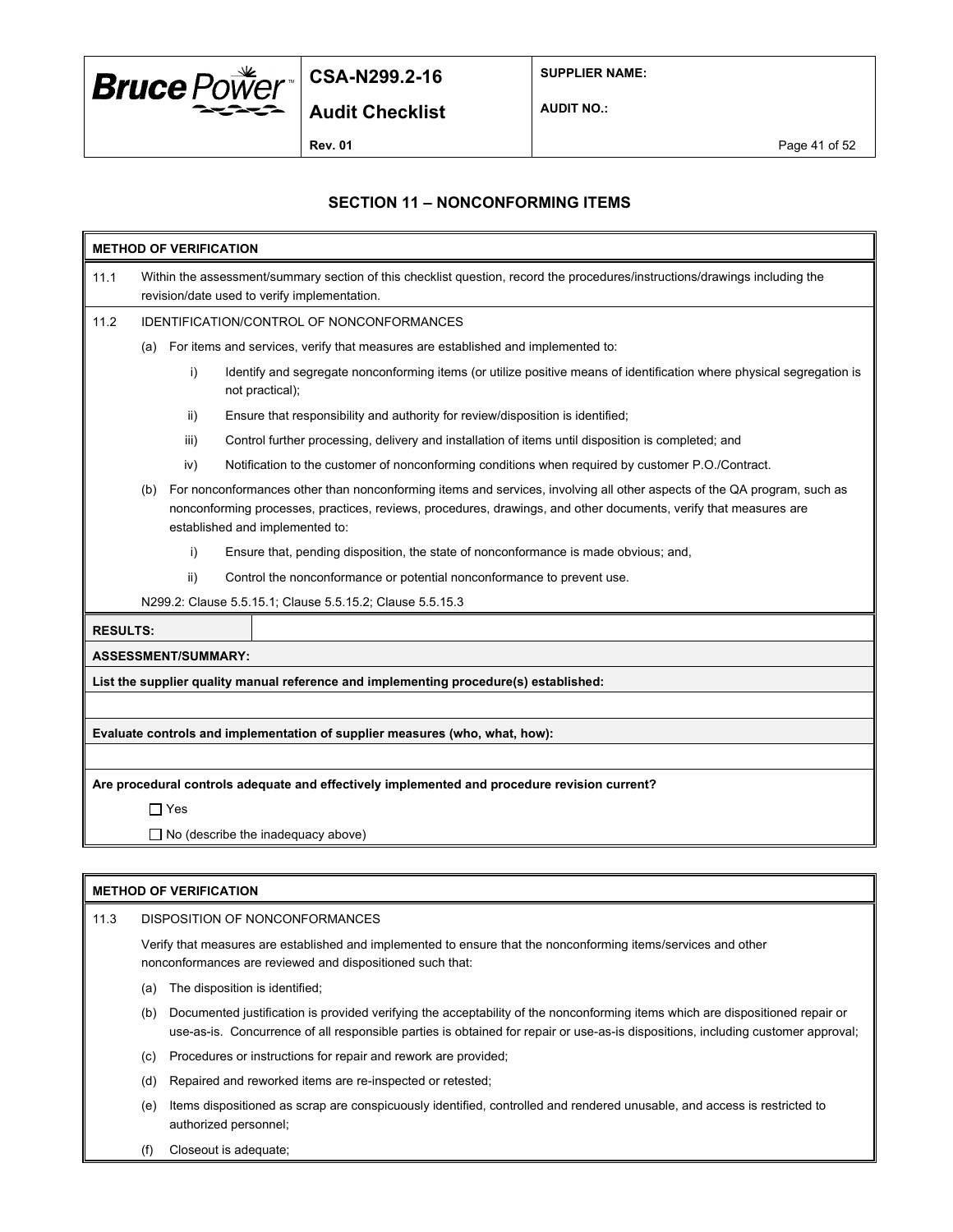

**SUPPLIER NAME:**

**AUDIT NO.:**

**Rev. 01** Page 41 of 52

### **SECTION 11 – NONCONFORMING ITEMS**

| <b>METHOD OF VERIFICATION</b>                                                                                                                              |                                                                                                                                                                             |                                                                                                                         |                                                                                                                                          |  |  |  |
|------------------------------------------------------------------------------------------------------------------------------------------------------------|-----------------------------------------------------------------------------------------------------------------------------------------------------------------------------|-------------------------------------------------------------------------------------------------------------------------|------------------------------------------------------------------------------------------------------------------------------------------|--|--|--|
| 11.1                                                                                                                                                       | Within the assessment/summary section of this checklist question, record the procedures/instructions/drawings including the<br>revision/date used to verify implementation. |                                                                                                                         |                                                                                                                                          |  |  |  |
| 11.2                                                                                                                                                       |                                                                                                                                                                             |                                                                                                                         | <b>IDENTIFICATION/CONTROL OF NONCONFORMANCES</b>                                                                                         |  |  |  |
|                                                                                                                                                            | (a)                                                                                                                                                                         |                                                                                                                         | For items and services, verify that measures are established and implemented to:                                                         |  |  |  |
|                                                                                                                                                            |                                                                                                                                                                             | i)                                                                                                                      | Identify and segregate nonconforming items (or utilize positive means of identification where physical segregation is<br>not practical); |  |  |  |
|                                                                                                                                                            |                                                                                                                                                                             | ii)                                                                                                                     | Ensure that responsibility and authority for review/disposition is identified;                                                           |  |  |  |
|                                                                                                                                                            |                                                                                                                                                                             | iii)                                                                                                                    | Control further processing, delivery and installation of items until disposition is completed; and                                       |  |  |  |
|                                                                                                                                                            |                                                                                                                                                                             | iv)                                                                                                                     | Notification to the customer of nonconforming conditions when required by customer P.O./Contract.                                        |  |  |  |
| (b)<br>nonconforming processes, practices, reviews, procedures, drawings, and other documents, verify that measures are<br>established and implemented to: |                                                                                                                                                                             | For nonconformances other than nonconforming items and services, involving all other aspects of the QA program, such as |                                                                                                                                          |  |  |  |
|                                                                                                                                                            |                                                                                                                                                                             | i)                                                                                                                      | Ensure that, pending disposition, the state of nonconformance is made obvious; and,                                                      |  |  |  |
|                                                                                                                                                            |                                                                                                                                                                             | ii)                                                                                                                     | Control the nonconformance or potential nonconformance to prevent use.                                                                   |  |  |  |
| N299.2: Clause 5.5.15.1; Clause 5.5.15.2; Clause 5.5.15.3                                                                                                  |                                                                                                                                                                             |                                                                                                                         |                                                                                                                                          |  |  |  |
| <b>RESULTS:</b>                                                                                                                                            |                                                                                                                                                                             |                                                                                                                         |                                                                                                                                          |  |  |  |
|                                                                                                                                                            |                                                                                                                                                                             | <b>ASSESSMENT/SUMMARY:</b>                                                                                              |                                                                                                                                          |  |  |  |
|                                                                                                                                                            |                                                                                                                                                                             |                                                                                                                         | List the supplier quality manual reference and implementing procedure(s) established:                                                    |  |  |  |
|                                                                                                                                                            |                                                                                                                                                                             |                                                                                                                         |                                                                                                                                          |  |  |  |
|                                                                                                                                                            | Evaluate controls and implementation of supplier measures (who, what, how):                                                                                                 |                                                                                                                         |                                                                                                                                          |  |  |  |
|                                                                                                                                                            |                                                                                                                                                                             |                                                                                                                         |                                                                                                                                          |  |  |  |
| Are procedural controls adequate and effectively implemented and procedure revision current?                                                               |                                                                                                                                                                             |                                                                                                                         |                                                                                                                                          |  |  |  |
|                                                                                                                                                            | $\Box$ Yes                                                                                                                                                                  |                                                                                                                         |                                                                                                                                          |  |  |  |
|                                                                                                                                                            | $\Box$ No (describe the inadequacy above)                                                                                                                                   |                                                                                                                         |                                                                                                                                          |  |  |  |
|                                                                                                                                                            |                                                                                                                                                                             |                                                                                                                         |                                                                                                                                          |  |  |  |
|                                                                                                                                                            |                                                                                                                                                                             |                                                                                                                         |                                                                                                                                          |  |  |  |

#### **METHOD OF VERIFICATION**

11.3 DISPOSITION OF NONCONFORMANCES Verify that measures are established and implemented to ensure that the nonconforming items/services and other nonconformances are reviewed and dispositioned such that:

(a) The disposition is identified;

(b) Documented justification is provided verifying the acceptability of the nonconforming items which are dispositioned repair or use-as-is. Concurrence of all responsible parties is obtained for repair or use-as-is dispositions, including customer approval;

- (c) Procedures or instructions for repair and rework are provided;
- (d) Repaired and reworked items are re-inspected or retested;
- (e) Items dispositioned as scrap are conspicuously identified, controlled and rendered unusable, and access is restricted to authorized personnel;
- (f) Closeout is adequate;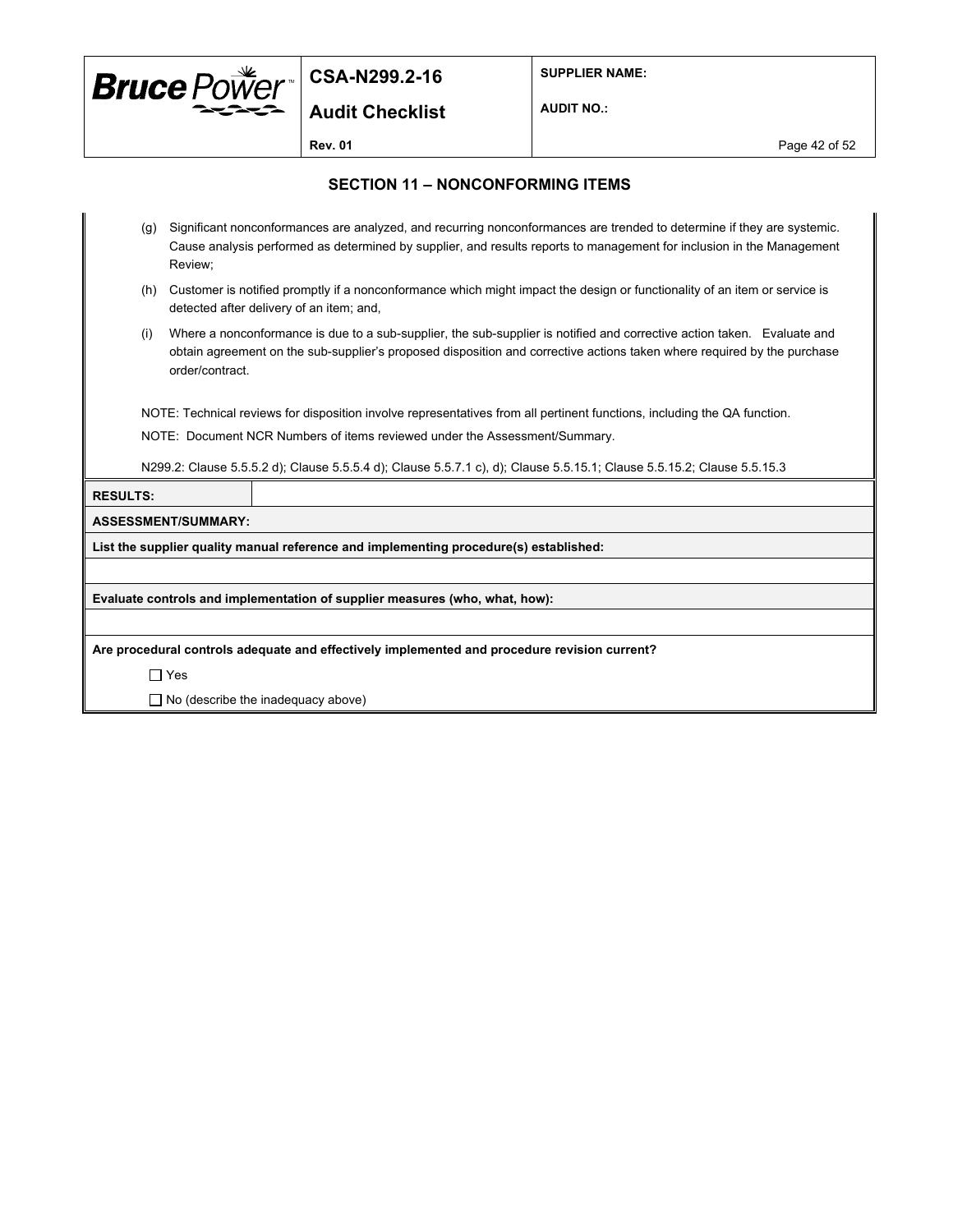

**SUPPLIER NAME:**

**Audit Checklist**

**AUDIT NO.:**

**Rev. 01** Page 42 of 52

#### **SECTION 11 – NONCONFORMING ITEMS**

- (g) Significant nonconformances are analyzed, and recurring nonconformances are trended to determine if they are systemic. Cause analysis performed as determined by supplier, and results reports to management for inclusion in the Management Review;
- (h) Customer is notified promptly if a nonconformance which might impact the design or functionality of an item or service is detected after delivery of an item; and,
- (i) Where a nonconformance is due to a sub-supplier, the sub-supplier is notified and corrective action taken. Evaluate and obtain agreement on the sub-supplier's proposed disposition and corrective actions taken where required by the purchase order/contract.

NOTE: Technical reviews for disposition involve representatives from all pertinent functions, including the QA function.

NOTE: Document NCR Numbers of items reviewed under the Assessment/Summary.

N299.2: Clause 5.5.5.2 d); Clause 5.5.5.4 d); Clause 5.5.7.1 c), d); Clause 5.5.15.1; Clause 5.5.15.2; Clause 5.5.15.3

**RESULTS:**

#### **ASSESSMENT/SUMMARY:**

**List the supplier quality manual reference and implementing procedure(s) established:**

**Evaluate controls and implementation of supplier measures (who, what, how):**

**Are procedural controls adequate and effectively implemented and procedure revision current?**

Yes

 $\Box$  No (describe the inadequacy above)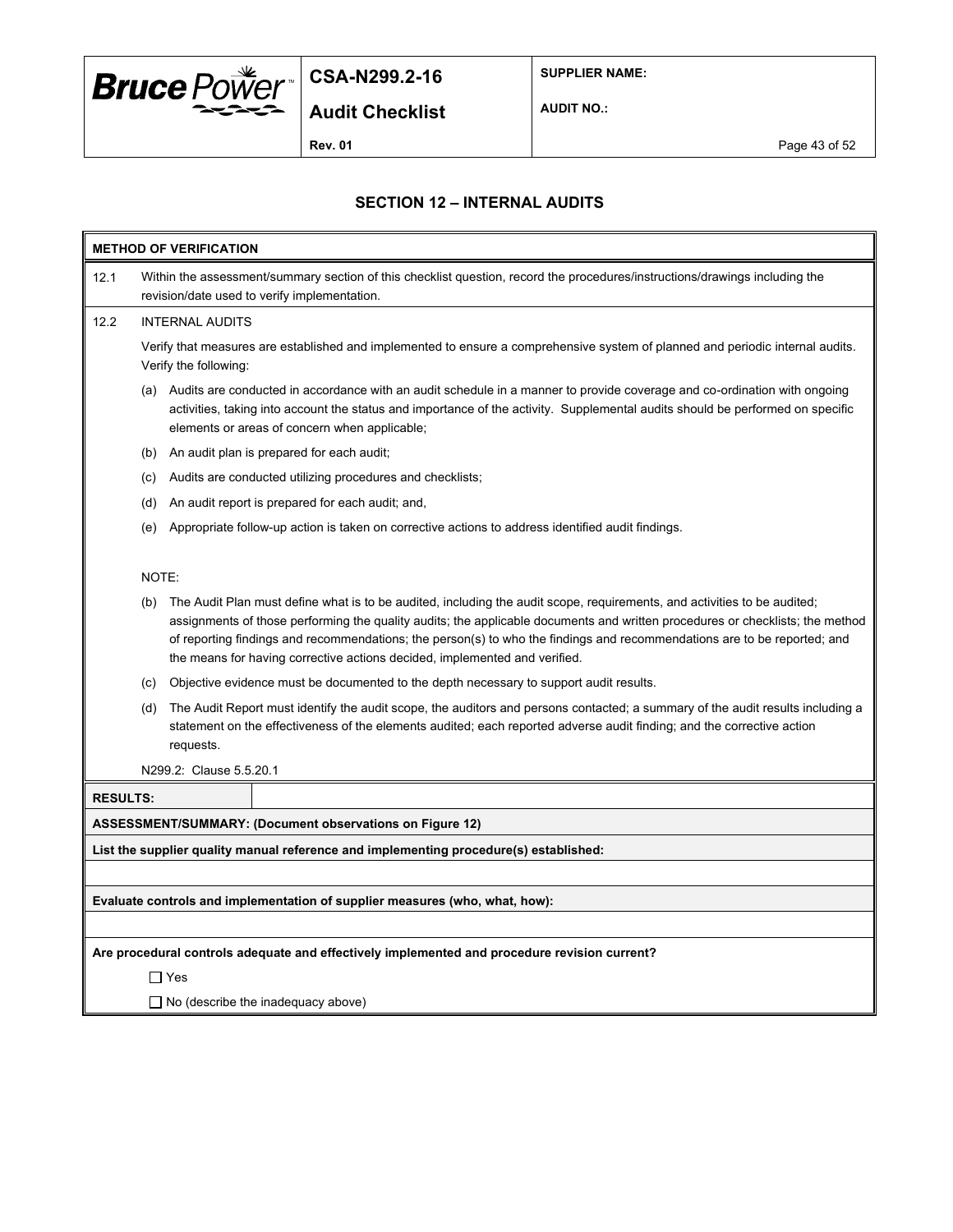

**SUPPLIER NAME:**

**AUDIT NO.:**

**Rev. 01** Page 43 of 52

### **SECTION 12 – INTERNAL AUDITS**

| <b>METHOD OF VERIFICATION</b> |                                                                                                                                                                             |                                                                                                                                                                                                                                                                                                                                                                                                                                                                     |  |  |  |
|-------------------------------|-----------------------------------------------------------------------------------------------------------------------------------------------------------------------------|---------------------------------------------------------------------------------------------------------------------------------------------------------------------------------------------------------------------------------------------------------------------------------------------------------------------------------------------------------------------------------------------------------------------------------------------------------------------|--|--|--|
| 12.1                          | Within the assessment/summary section of this checklist question, record the procedures/instructions/drawings including the<br>revision/date used to verify implementation. |                                                                                                                                                                                                                                                                                                                                                                                                                                                                     |  |  |  |
| 12.2                          |                                                                                                                                                                             | <b>INTERNAL AUDITS</b>                                                                                                                                                                                                                                                                                                                                                                                                                                              |  |  |  |
|                               |                                                                                                                                                                             | Verify that measures are established and implemented to ensure a comprehensive system of planned and periodic internal audits.<br>Verify the following:                                                                                                                                                                                                                                                                                                             |  |  |  |
|                               |                                                                                                                                                                             | (a) Audits are conducted in accordance with an audit schedule in a manner to provide coverage and co-ordination with ongoing<br>activities, taking into account the status and importance of the activity. Supplemental audits should be performed on specific<br>elements or areas of concern when applicable;                                                                                                                                                     |  |  |  |
|                               | (b)                                                                                                                                                                         | An audit plan is prepared for each audit;                                                                                                                                                                                                                                                                                                                                                                                                                           |  |  |  |
|                               | (C)                                                                                                                                                                         | Audits are conducted utilizing procedures and checklists;                                                                                                                                                                                                                                                                                                                                                                                                           |  |  |  |
|                               | (d)                                                                                                                                                                         | An audit report is prepared for each audit; and,                                                                                                                                                                                                                                                                                                                                                                                                                    |  |  |  |
|                               | (e)                                                                                                                                                                         | Appropriate follow-up action is taken on corrective actions to address identified audit findings.                                                                                                                                                                                                                                                                                                                                                                   |  |  |  |
|                               | NOTE:                                                                                                                                                                       |                                                                                                                                                                                                                                                                                                                                                                                                                                                                     |  |  |  |
|                               | (b)                                                                                                                                                                         | The Audit Plan must define what is to be audited, including the audit scope, requirements, and activities to be audited;<br>assignments of those performing the quality audits; the applicable documents and written procedures or checklists; the method<br>of reporting findings and recommendations; the person(s) to who the findings and recommendations are to be reported; and<br>the means for having corrective actions decided, implemented and verified. |  |  |  |
|                               | (c)                                                                                                                                                                         | Objective evidence must be documented to the depth necessary to support audit results.                                                                                                                                                                                                                                                                                                                                                                              |  |  |  |
|                               | (d)                                                                                                                                                                         | The Audit Report must identify the audit scope, the auditors and persons contacted; a summary of the audit results including a<br>statement on the effectiveness of the elements audited; each reported adverse audit finding; and the corrective action<br>requests.                                                                                                                                                                                               |  |  |  |
|                               |                                                                                                                                                                             | N299.2: Clause 5.5.20.1                                                                                                                                                                                                                                                                                                                                                                                                                                             |  |  |  |
| <b>RESULTS:</b>               |                                                                                                                                                                             |                                                                                                                                                                                                                                                                                                                                                                                                                                                                     |  |  |  |
|                               |                                                                                                                                                                             | <b>ASSESSMENT/SUMMARY: (Document observations on Figure 12)</b>                                                                                                                                                                                                                                                                                                                                                                                                     |  |  |  |
|                               |                                                                                                                                                                             | List the supplier quality manual reference and implementing procedure(s) established:                                                                                                                                                                                                                                                                                                                                                                               |  |  |  |
|                               |                                                                                                                                                                             |                                                                                                                                                                                                                                                                                                                                                                                                                                                                     |  |  |  |
|                               |                                                                                                                                                                             | Evaluate controls and implementation of supplier measures (who, what, how):                                                                                                                                                                                                                                                                                                                                                                                         |  |  |  |
|                               |                                                                                                                                                                             |                                                                                                                                                                                                                                                                                                                                                                                                                                                                     |  |  |  |
|                               |                                                                                                                                                                             | Are procedural controls adequate and effectively implemented and procedure revision current?                                                                                                                                                                                                                                                                                                                                                                        |  |  |  |
|                               | $\Box$ Yes                                                                                                                                                                  |                                                                                                                                                                                                                                                                                                                                                                                                                                                                     |  |  |  |
|                               | $\Box$ No (describe the inadequacy above)                                                                                                                                   |                                                                                                                                                                                                                                                                                                                                                                                                                                                                     |  |  |  |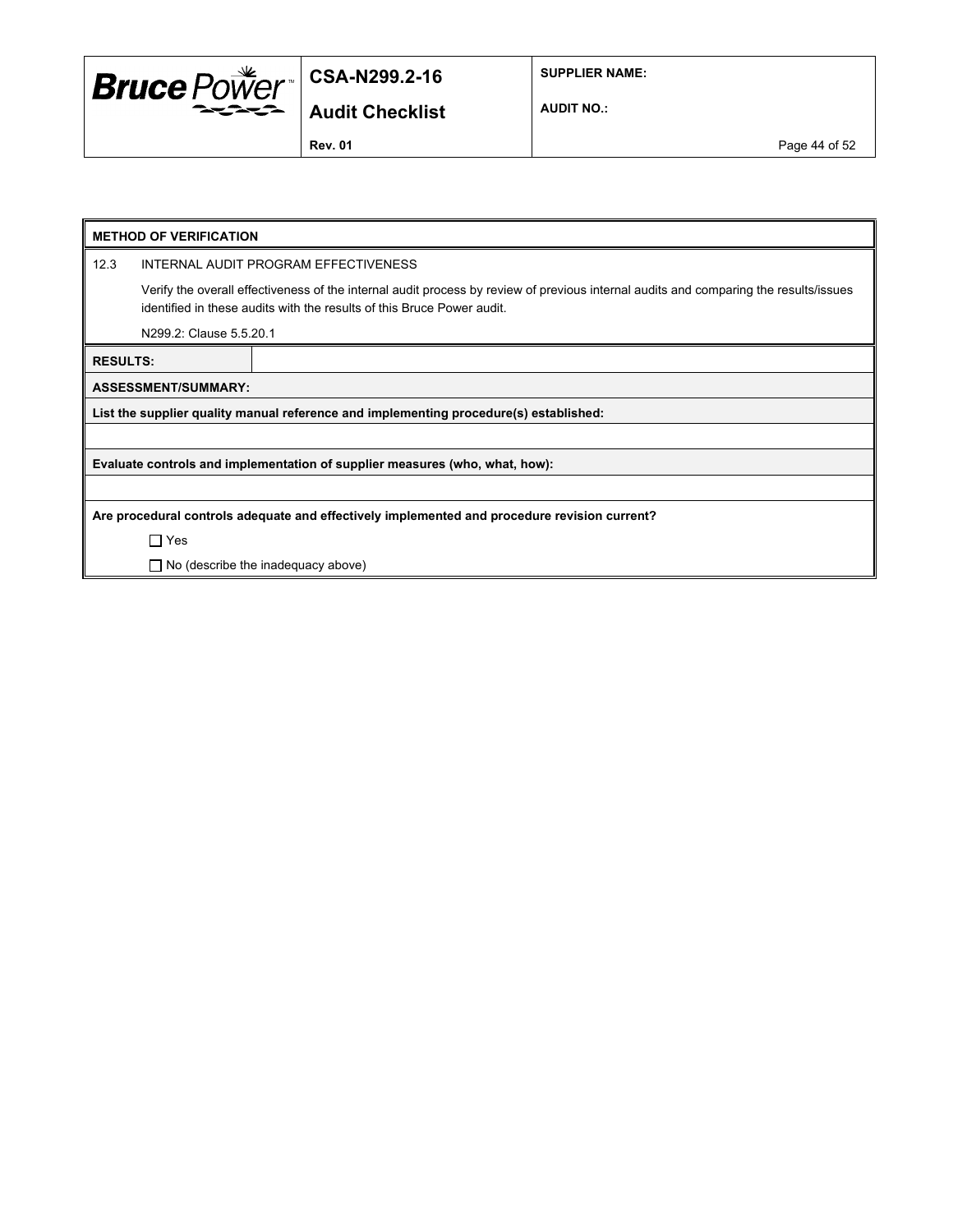

**SUPPLIER NAME:**

**Audit Checklist**

**AUDIT NO.:**

**Rev. 01** Page 44 of 52

| <b>METHOD OF VERIFICATION</b>                                                                |                                                                                                                                                                                                                 |                                                                                       |  |  |
|----------------------------------------------------------------------------------------------|-----------------------------------------------------------------------------------------------------------------------------------------------------------------------------------------------------------------|---------------------------------------------------------------------------------------|--|--|
| 12.3                                                                                         | INTERNAL AUDIT PROGRAM EFFECTIVENESS                                                                                                                                                                            |                                                                                       |  |  |
|                                                                                              | Verify the overall effectiveness of the internal audit process by review of previous internal audits and comparing the results/issues<br>identified in these audits with the results of this Bruce Power audit. |                                                                                       |  |  |
|                                                                                              | N299.2: Clause 5.5.20.1                                                                                                                                                                                         |                                                                                       |  |  |
| <b>RESULTS:</b>                                                                              |                                                                                                                                                                                                                 |                                                                                       |  |  |
|                                                                                              | <b>ASSESSMENT/SUMMARY:</b>                                                                                                                                                                                      |                                                                                       |  |  |
|                                                                                              |                                                                                                                                                                                                                 | List the supplier quality manual reference and implementing procedure(s) established: |  |  |
|                                                                                              |                                                                                                                                                                                                                 |                                                                                       |  |  |
| Evaluate controls and implementation of supplier measures (who, what, how):                  |                                                                                                                                                                                                                 |                                                                                       |  |  |
|                                                                                              |                                                                                                                                                                                                                 |                                                                                       |  |  |
| Are procedural controls adequate and effectively implemented and procedure revision current? |                                                                                                                                                                                                                 |                                                                                       |  |  |
|                                                                                              | $\Box$ Yes                                                                                                                                                                                                      |                                                                                       |  |  |
|                                                                                              | $\Box$ No (describe the inadequacy above)                                                                                                                                                                       |                                                                                       |  |  |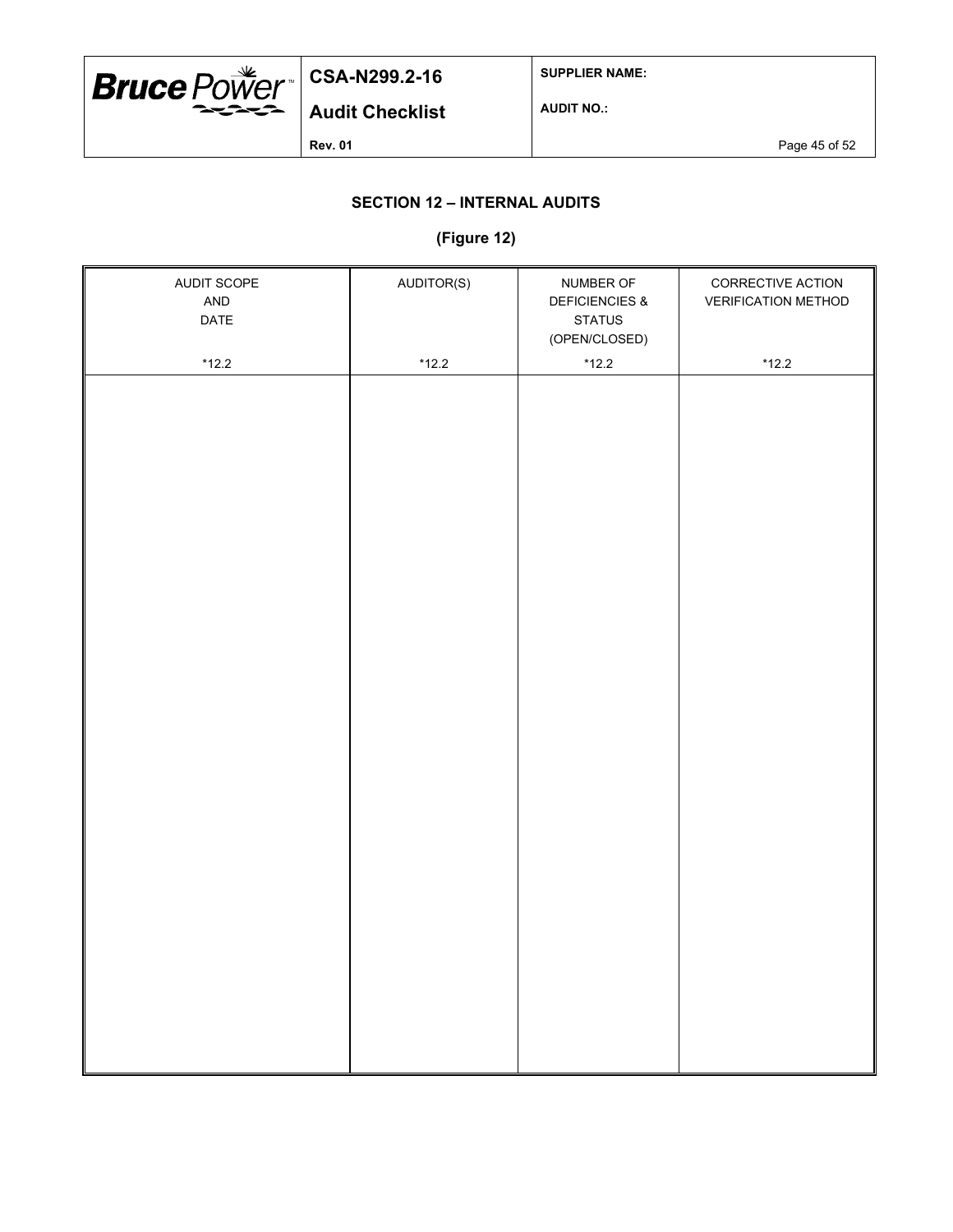

**SUPPLIER NAME:**

**AUDIT NO.:**

**Rev. 01 Page 45 of 52** 

## **SECTION 12 – INTERNAL AUDITS**

### **(Figure 12)**

| AUDIT SCOPE<br>AND<br>DATE | AUDITOR(S) | NUMBER OF<br><b>DEFICIENCIES &amp;</b><br><b>STATUS</b><br>(OPEN/CLOSED) | CORRECTIVE ACTION<br><b>VERIFICATION METHOD</b> |
|----------------------------|------------|--------------------------------------------------------------------------|-------------------------------------------------|
|                            |            |                                                                          |                                                 |
| $*12.2$                    | $*12.2$    | $*12.2$                                                                  | $*12.2$                                         |
|                            |            |                                                                          |                                                 |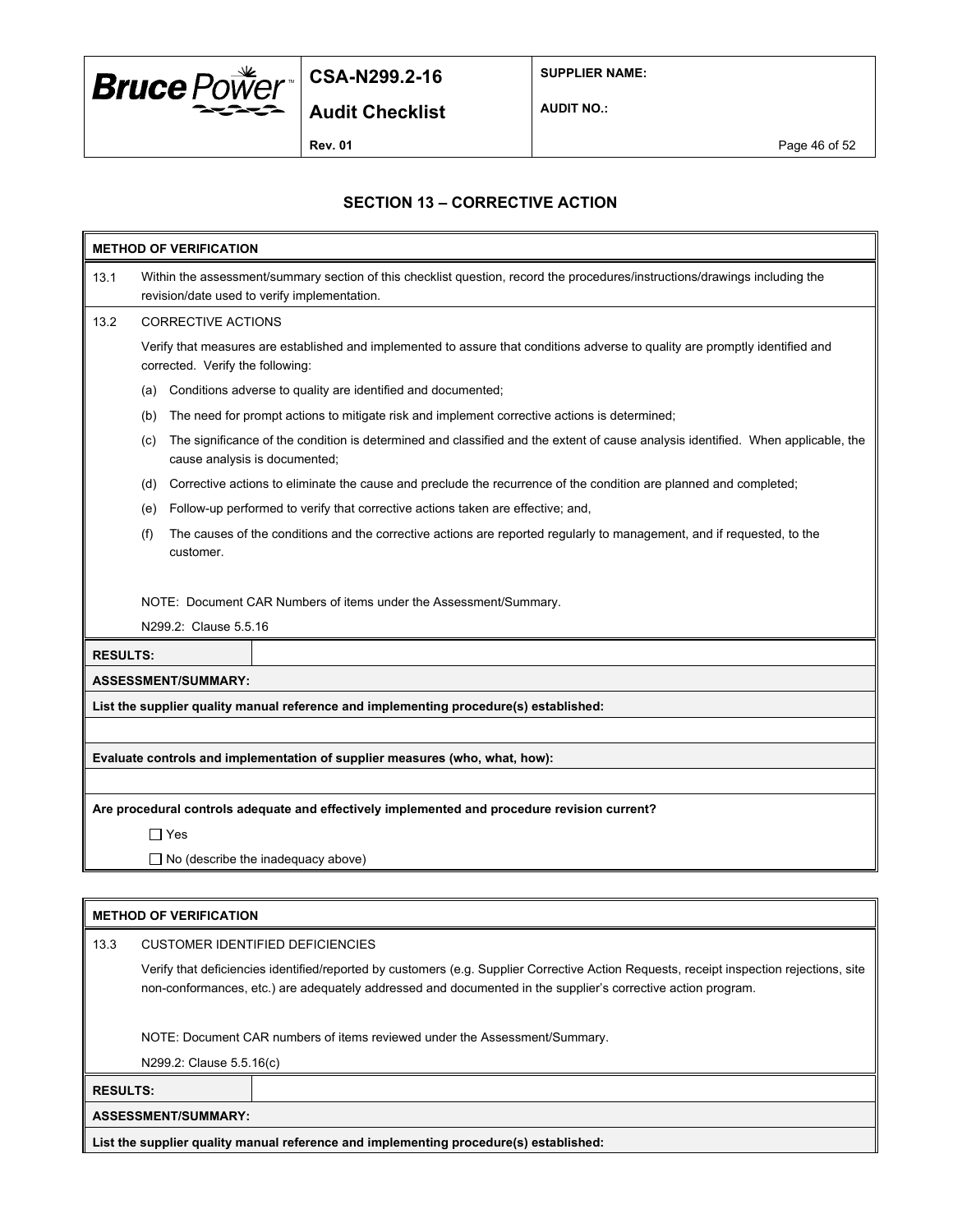

**SUPPLIER NAME:**

**AUDIT NO.:**

**Rev. 01 Page 46 of 52** 

## **SECTION 13 – CORRECTIVE ACTION**

| <b>METHOD OF VERIFICATION</b> |                                                                                                                                                                             |  |  |  |
|-------------------------------|-----------------------------------------------------------------------------------------------------------------------------------------------------------------------------|--|--|--|
| 13.1                          | Within the assessment/summary section of this checklist question, record the procedures/instructions/drawings including the<br>revision/date used to verify implementation. |  |  |  |
| 13.2                          | <b>CORRECTIVE ACTIONS</b>                                                                                                                                                   |  |  |  |
|                               | Verify that measures are established and implemented to assure that conditions adverse to quality are promptly identified and<br>corrected. Verify the following:           |  |  |  |
|                               | Conditions adverse to quality are identified and documented;<br>(a)                                                                                                         |  |  |  |
|                               | The need for prompt actions to mitigate risk and implement corrective actions is determined;<br>(b)                                                                         |  |  |  |
|                               | The significance of the condition is determined and classified and the extent of cause analysis identified. When applicable, the<br>(c)<br>cause analysis is documented;    |  |  |  |
|                               | Corrective actions to eliminate the cause and preclude the recurrence of the condition are planned and completed;<br>(d)                                                    |  |  |  |
|                               | Follow-up performed to verify that corrective actions taken are effective; and,<br>(e)                                                                                      |  |  |  |
|                               | The causes of the conditions and the corrective actions are reported regularly to management, and if requested, to the<br>(f)<br>customer.                                  |  |  |  |
|                               | NOTE: Document CAR Numbers of items under the Assessment/Summary.                                                                                                           |  |  |  |
|                               | N299.2: Clause 5.5.16                                                                                                                                                       |  |  |  |
|                               | <b>RESULTS:</b>                                                                                                                                                             |  |  |  |
|                               | <b>ASSESSMENT/SUMMARY:</b>                                                                                                                                                  |  |  |  |
|                               | List the supplier quality manual reference and implementing procedure(s) established:                                                                                       |  |  |  |
|                               |                                                                                                                                                                             |  |  |  |
|                               | Evaluate controls and implementation of supplier measures (who, what, how):                                                                                                 |  |  |  |
|                               |                                                                                                                                                                             |  |  |  |
|                               | Are procedural controls adequate and effectively implemented and procedure revision current?                                                                                |  |  |  |
|                               | ∏ Yes                                                                                                                                                                       |  |  |  |
|                               | $\Box$ No (describe the inadequacy above)                                                                                                                                   |  |  |  |
|                               |                                                                                                                                                                             |  |  |  |

| <b>METHOD OF VERIFICATION</b>                                              |                                                                                       |                                                                                                                                                                                                                                                          |  |  |  |
|----------------------------------------------------------------------------|---------------------------------------------------------------------------------------|----------------------------------------------------------------------------------------------------------------------------------------------------------------------------------------------------------------------------------------------------------|--|--|--|
| 13.3                                                                       | <b>CUSTOMER IDENTIFIED DEFICIENCIES</b>                                               |                                                                                                                                                                                                                                                          |  |  |  |
|                                                                            |                                                                                       | Verify that deficiencies identified/reported by customers (e.g. Supplier Corrective Action Requests, receipt inspection rejections, site<br>non-conformances, etc.) are adequately addressed and documented in the supplier's corrective action program. |  |  |  |
| NOTE: Document CAR numbers of items reviewed under the Assessment/Summary. |                                                                                       |                                                                                                                                                                                                                                                          |  |  |  |
|                                                                            | N299.2: Clause 5.5.16(c)                                                              |                                                                                                                                                                                                                                                          |  |  |  |
|                                                                            | <b>RESULTS:</b>                                                                       |                                                                                                                                                                                                                                                          |  |  |  |
|                                                                            | <b>ASSESSMENT/SUMMARY:</b>                                                            |                                                                                                                                                                                                                                                          |  |  |  |
|                                                                            | List the supplier quality manual reference and implementing procedure(s) established: |                                                                                                                                                                                                                                                          |  |  |  |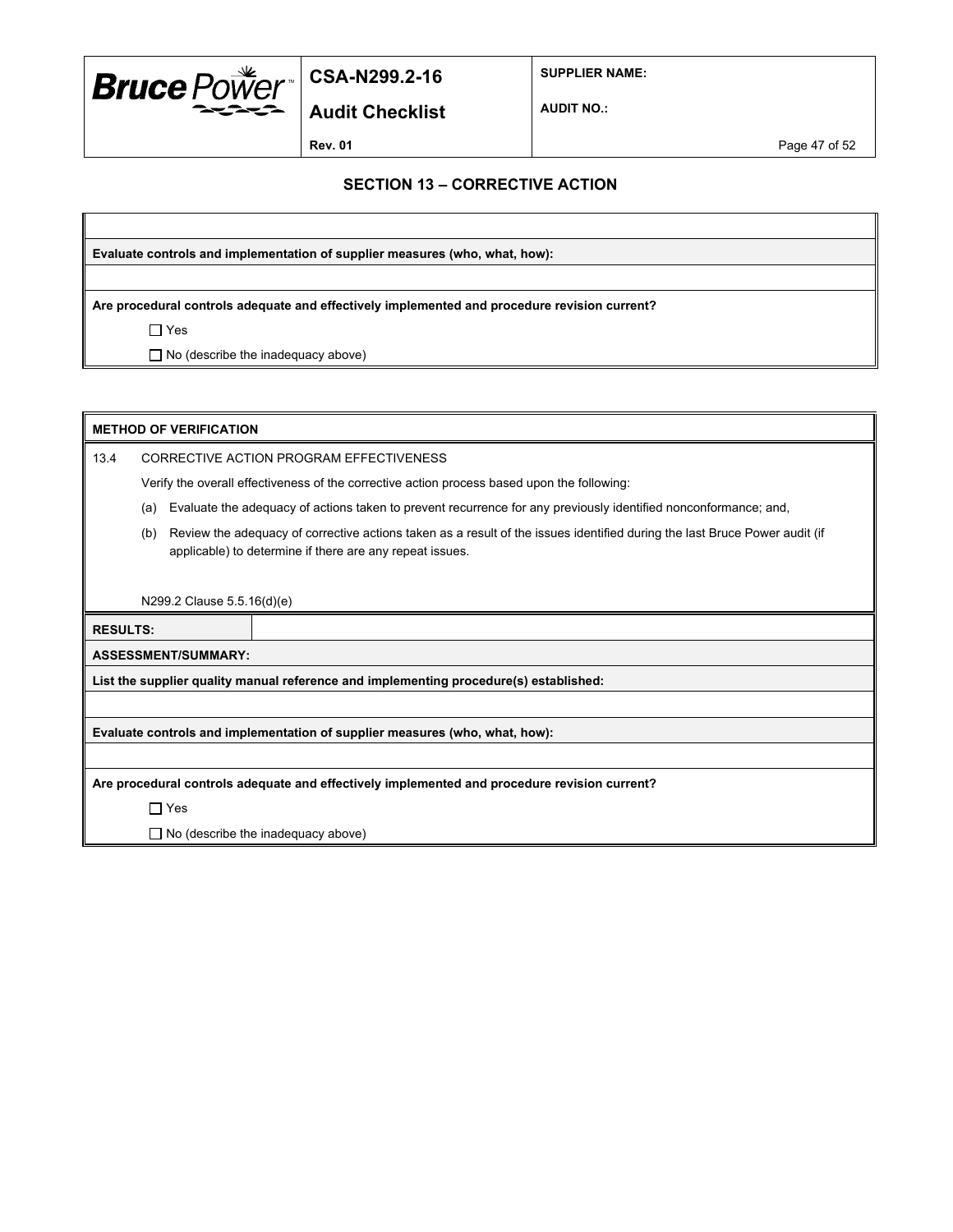

**SUPPLIER NAME:**

**Audit Checklist**

**AUDIT NO.:**

**Rev. 01** Page 47 of 52

### **SECTION 13 – CORRECTIVE ACTION**

**Evaluate controls and implementation of supplier measures (who, what, how):**

**Are procedural controls adequate and effectively implemented and procedure revision current?**

 $\Box$  Yes

□ No (describe the inadequacy above)

| <b>METHOD OF VERIFICATION</b>                                                                                                                                                                 |                                                                                              |                                                                                                                 |  |
|-----------------------------------------------------------------------------------------------------------------------------------------------------------------------------------------------|----------------------------------------------------------------------------------------------|-----------------------------------------------------------------------------------------------------------------|--|
| 13.4                                                                                                                                                                                          | CORRECTIVE ACTION PROGRAM EFFECTIVENESS                                                      |                                                                                                                 |  |
|                                                                                                                                                                                               |                                                                                              | Verify the overall effectiveness of the corrective action process based upon the following:                     |  |
|                                                                                                                                                                                               | (a)                                                                                          | Evaluate the adequacy of actions taken to prevent recurrence for any previously identified nonconformance; and, |  |
| Review the adequacy of corrective actions taken as a result of the issues identified during the last Bruce Power audit (if<br>(b)<br>applicable) to determine if there are any repeat issues. |                                                                                              |                                                                                                                 |  |
|                                                                                                                                                                                               |                                                                                              |                                                                                                                 |  |
|                                                                                                                                                                                               | N299.2 Clause 5.5.16(d)(e)                                                                   |                                                                                                                 |  |
|                                                                                                                                                                                               | <b>RESULTS:</b>                                                                              |                                                                                                                 |  |
|                                                                                                                                                                                               | <b>ASSESSMENT/SUMMARY:</b>                                                                   |                                                                                                                 |  |
|                                                                                                                                                                                               | List the supplier quality manual reference and implementing procedure(s) established:        |                                                                                                                 |  |
|                                                                                                                                                                                               |                                                                                              |                                                                                                                 |  |
|                                                                                                                                                                                               | Evaluate controls and implementation of supplier measures (who, what, how):                  |                                                                                                                 |  |
|                                                                                                                                                                                               |                                                                                              |                                                                                                                 |  |
|                                                                                                                                                                                               | Are procedural controls adequate and effectively implemented and procedure revision current? |                                                                                                                 |  |
|                                                                                                                                                                                               | $\Box$ Yes                                                                                   |                                                                                                                 |  |
|                                                                                                                                                                                               | $\Box$ No (describe the inadequacy above)                                                    |                                                                                                                 |  |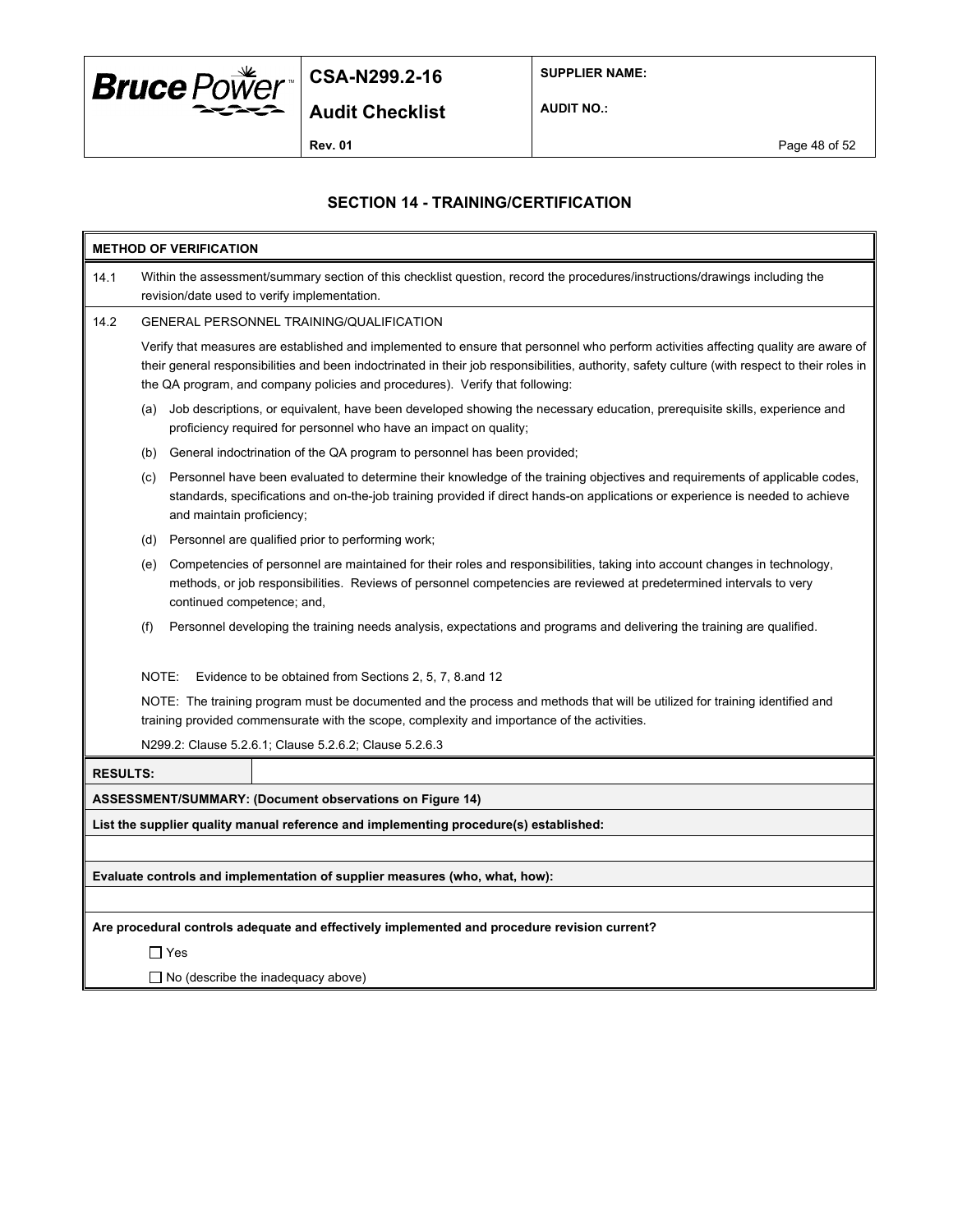

**SUPPLIER NAME:**

**Audit Checklist**

**AUDIT NO.:**

**Rev. 01 Page 48 of 52** 

### **SECTION 14 - TRAINING/CERTIFICATION**

| <b>METHOD OF VERIFICATION</b>                                               |                                                                                                                                                                                                                                                                                                  |                                                                                                                                                                                                                                                                                                                                                                       |  |  |  |
|-----------------------------------------------------------------------------|--------------------------------------------------------------------------------------------------------------------------------------------------------------------------------------------------------------------------------------------------------------------------------------------------|-----------------------------------------------------------------------------------------------------------------------------------------------------------------------------------------------------------------------------------------------------------------------------------------------------------------------------------------------------------------------|--|--|--|
| 14.1                                                                        | Within the assessment/summary section of this checklist question, record the procedures/instructions/drawings including the<br>revision/date used to verify implementation.                                                                                                                      |                                                                                                                                                                                                                                                                                                                                                                       |  |  |  |
| 14.2                                                                        | GENERAL PERSONNEL TRAINING/QUALIFICATION                                                                                                                                                                                                                                                         |                                                                                                                                                                                                                                                                                                                                                                       |  |  |  |
|                                                                             |                                                                                                                                                                                                                                                                                                  | Verify that measures are established and implemented to ensure that personnel who perform activities affecting quality are aware of<br>their general responsibilities and been indoctrinated in their job responsibilities, authority, safety culture (with respect to their roles in<br>the QA program, and company policies and procedures). Verify that following: |  |  |  |
|                                                                             | (a)                                                                                                                                                                                                                                                                                              | Job descriptions, or equivalent, have been developed showing the necessary education, prerequisite skills, experience and<br>proficiency required for personnel who have an impact on quality;                                                                                                                                                                        |  |  |  |
|                                                                             | (b)                                                                                                                                                                                                                                                                                              | General indoctrination of the QA program to personnel has been provided;                                                                                                                                                                                                                                                                                              |  |  |  |
|                                                                             | Personnel have been evaluated to determine their knowledge of the training objectives and requirements of applicable codes,<br>(c)<br>standards, specifications and on-the-job training provided if direct hands-on applications or experience is needed to achieve<br>and maintain proficiency; |                                                                                                                                                                                                                                                                                                                                                                       |  |  |  |
|                                                                             | (d)                                                                                                                                                                                                                                                                                              | Personnel are qualified prior to performing work;                                                                                                                                                                                                                                                                                                                     |  |  |  |
|                                                                             | Competencies of personnel are maintained for their roles and responsibilities, taking into account changes in technology,<br>(e)<br>methods, or job responsibilities. Reviews of personnel competencies are reviewed at predetermined intervals to very<br>continued competence; and,            |                                                                                                                                                                                                                                                                                                                                                                       |  |  |  |
|                                                                             | (f)<br>Personnel developing the training needs analysis, expectations and programs and delivering the training are qualified.                                                                                                                                                                    |                                                                                                                                                                                                                                                                                                                                                                       |  |  |  |
|                                                                             | NOTE:                                                                                                                                                                                                                                                                                            | Evidence to be obtained from Sections 2, 5, 7, 8 and 12                                                                                                                                                                                                                                                                                                               |  |  |  |
|                                                                             | NOTE: The training program must be documented and the process and methods that will be utilized for training identified and<br>training provided commensurate with the scope, complexity and importance of the activities.                                                                       |                                                                                                                                                                                                                                                                                                                                                                       |  |  |  |
|                                                                             |                                                                                                                                                                                                                                                                                                  | N299.2: Clause 5.2.6.1; Clause 5.2.6.2; Clause 5.2.6.3                                                                                                                                                                                                                                                                                                                |  |  |  |
| <b>RESULTS:</b>                                                             |                                                                                                                                                                                                                                                                                                  |                                                                                                                                                                                                                                                                                                                                                                       |  |  |  |
|                                                                             |                                                                                                                                                                                                                                                                                                  | ASSESSMENT/SUMMARY: (Document observations on Figure 14)                                                                                                                                                                                                                                                                                                              |  |  |  |
|                                                                             |                                                                                                                                                                                                                                                                                                  | List the supplier quality manual reference and implementing procedure(s) established:                                                                                                                                                                                                                                                                                 |  |  |  |
|                                                                             |                                                                                                                                                                                                                                                                                                  |                                                                                                                                                                                                                                                                                                                                                                       |  |  |  |
| Evaluate controls and implementation of supplier measures (who, what, how): |                                                                                                                                                                                                                                                                                                  |                                                                                                                                                                                                                                                                                                                                                                       |  |  |  |
|                                                                             |                                                                                                                                                                                                                                                                                                  |                                                                                                                                                                                                                                                                                                                                                                       |  |  |  |
|                                                                             |                                                                                                                                                                                                                                                                                                  | Are procedural controls adequate and effectively implemented and procedure revision current?                                                                                                                                                                                                                                                                          |  |  |  |
|                                                                             | $\Box$ Yes                                                                                                                                                                                                                                                                                       |                                                                                                                                                                                                                                                                                                                                                                       |  |  |  |
|                                                                             | $\Box$ No (describe the inadequacy above)                                                                                                                                                                                                                                                        |                                                                                                                                                                                                                                                                                                                                                                       |  |  |  |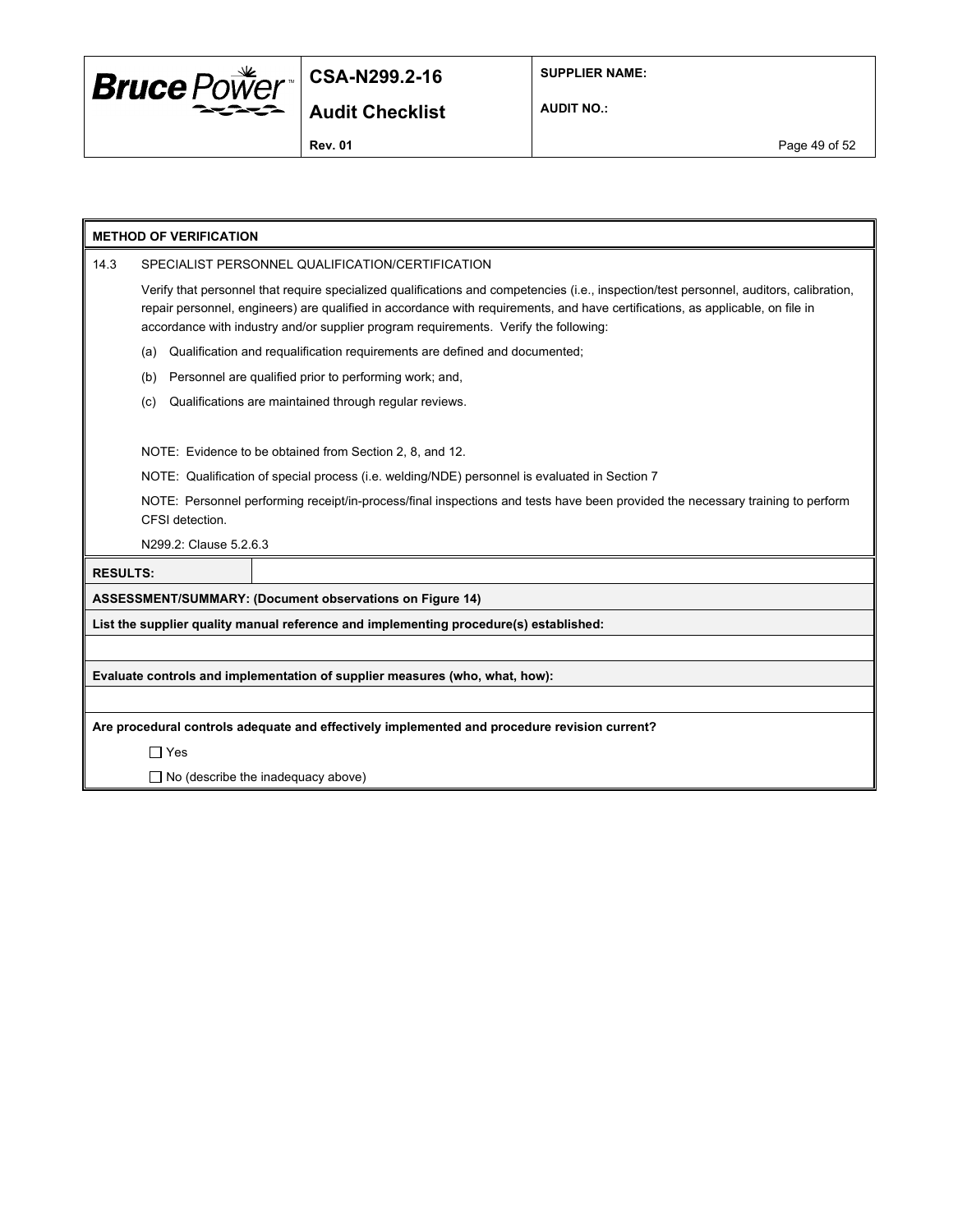

**SUPPLIER NAME:**

**AUDIT NO.:**

**Rev. 01 Page 49 of 52** 

|                 | <b>METHOD OF VERIFICATION</b>                                                                                                                                                                                                                                                                                                                                     |  |  |  |
|-----------------|-------------------------------------------------------------------------------------------------------------------------------------------------------------------------------------------------------------------------------------------------------------------------------------------------------------------------------------------------------------------|--|--|--|
| 14.3            | SPECIALIST PERSONNEL QUALIFICATION/CERTIFICATION                                                                                                                                                                                                                                                                                                                  |  |  |  |
|                 | Verify that personnel that require specialized qualifications and competencies (i.e., inspection/test personnel, auditors, calibration,<br>repair personnel, engineers) are qualified in accordance with requirements, and have certifications, as applicable, on file in<br>accordance with industry and/or supplier program requirements. Verify the following: |  |  |  |
|                 | Qualification and requalification requirements are defined and documented;<br>(a)                                                                                                                                                                                                                                                                                 |  |  |  |
|                 | Personnel are qualified prior to performing work; and,<br>(b)                                                                                                                                                                                                                                                                                                     |  |  |  |
|                 | Qualifications are maintained through regular reviews.<br>(c)                                                                                                                                                                                                                                                                                                     |  |  |  |
|                 |                                                                                                                                                                                                                                                                                                                                                                   |  |  |  |
|                 | NOTE: Evidence to be obtained from Section 2, 8, and 12.                                                                                                                                                                                                                                                                                                          |  |  |  |
|                 | NOTE: Qualification of special process (i.e. welding/NDE) personnel is evaluated in Section 7                                                                                                                                                                                                                                                                     |  |  |  |
|                 | NOTE: Personnel performing receipt/in-process/final inspections and tests have been provided the necessary training to perform<br>CFSI detection.                                                                                                                                                                                                                 |  |  |  |
|                 | N299.2: Clause 5.2.6.3                                                                                                                                                                                                                                                                                                                                            |  |  |  |
| <b>RESULTS:</b> |                                                                                                                                                                                                                                                                                                                                                                   |  |  |  |
|                 | <b>ASSESSMENT/SUMMARY: (Document observations on Figure 14)</b>                                                                                                                                                                                                                                                                                                   |  |  |  |
|                 | List the supplier quality manual reference and implementing procedure(s) established:                                                                                                                                                                                                                                                                             |  |  |  |
|                 |                                                                                                                                                                                                                                                                                                                                                                   |  |  |  |
|                 | Evaluate controls and implementation of supplier measures (who, what, how):                                                                                                                                                                                                                                                                                       |  |  |  |
|                 |                                                                                                                                                                                                                                                                                                                                                                   |  |  |  |
|                 | Are procedural controls adequate and effectively implemented and procedure revision current?                                                                                                                                                                                                                                                                      |  |  |  |
|                 | $\sqcap$ Yes                                                                                                                                                                                                                                                                                                                                                      |  |  |  |
|                 | $\Box$ No (describe the inadequacy above)                                                                                                                                                                                                                                                                                                                         |  |  |  |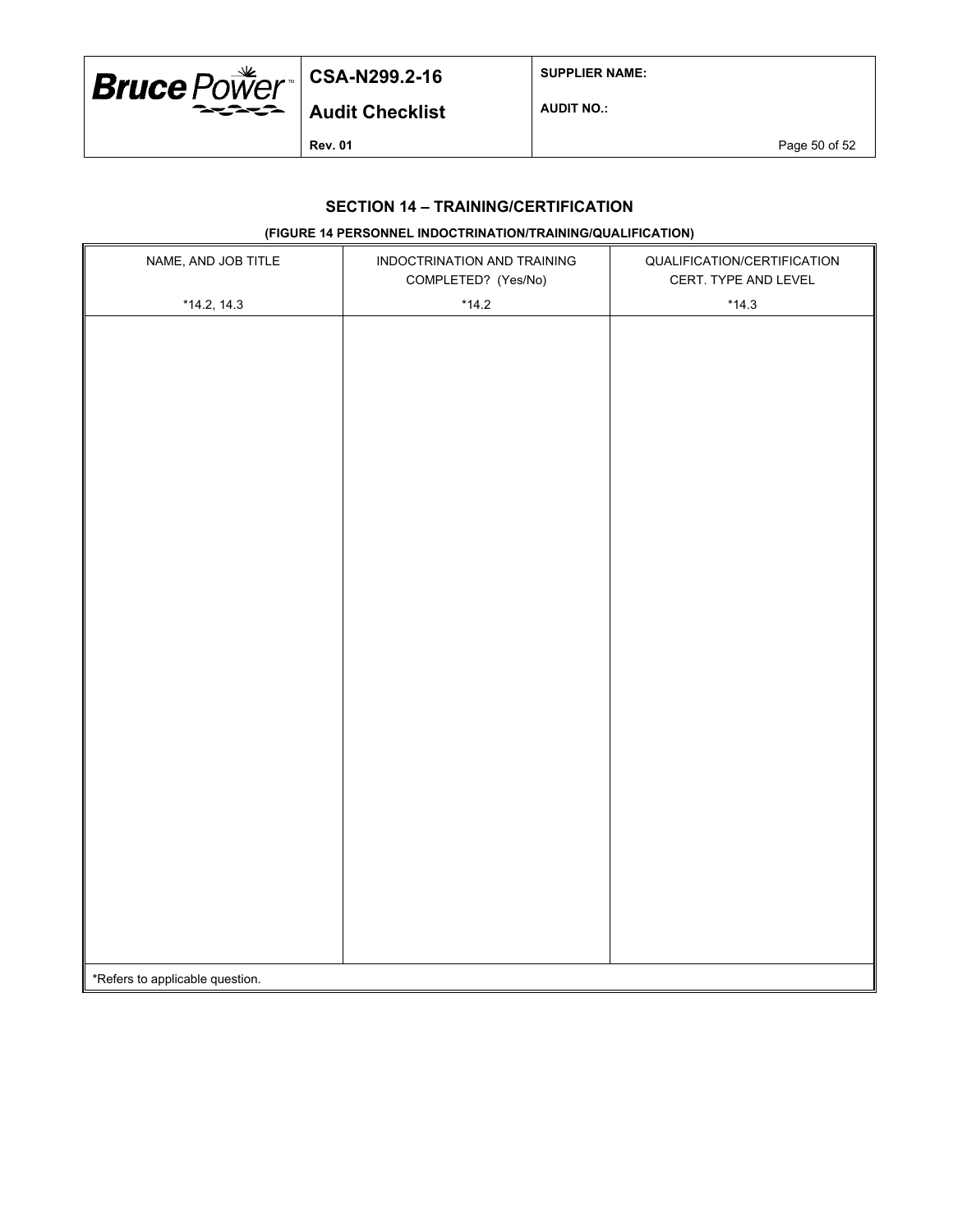

**SUPPLIER NAME:**

**Audit Checklist**

**AUDIT NO.:**

**Rev. 01** Page 50 of 52

### **SECTION 14 – TRAINING/CERTIFICATION**

## **(FIGURE 14 PERSONNEL INDOCTRINATION/TRAINING/QUALIFICATION)**

| NAME, AND JOB TITLE             | INDOCTRINATION AND TRAINING<br>COMPLETED? (Yes/No) | QUALIFICATION/CERTIFICATION<br>CERT. TYPE AND LEVEL |  |  |
|---------------------------------|----------------------------------------------------|-----------------------------------------------------|--|--|
| $*14.2, 14.3$                   | $*14.2$                                            | $*14.3$                                             |  |  |
|                                 |                                                    |                                                     |  |  |
|                                 |                                                    |                                                     |  |  |
|                                 |                                                    |                                                     |  |  |
|                                 |                                                    |                                                     |  |  |
|                                 |                                                    |                                                     |  |  |
|                                 |                                                    |                                                     |  |  |
|                                 |                                                    |                                                     |  |  |
|                                 |                                                    |                                                     |  |  |
|                                 |                                                    |                                                     |  |  |
|                                 |                                                    |                                                     |  |  |
|                                 |                                                    |                                                     |  |  |
|                                 |                                                    |                                                     |  |  |
|                                 |                                                    |                                                     |  |  |
|                                 |                                                    |                                                     |  |  |
|                                 |                                                    |                                                     |  |  |
|                                 |                                                    |                                                     |  |  |
|                                 |                                                    |                                                     |  |  |
|                                 |                                                    |                                                     |  |  |
|                                 |                                                    |                                                     |  |  |
|                                 |                                                    |                                                     |  |  |
|                                 |                                                    |                                                     |  |  |
|                                 |                                                    |                                                     |  |  |
|                                 |                                                    |                                                     |  |  |
|                                 |                                                    |                                                     |  |  |
|                                 |                                                    |                                                     |  |  |
|                                 |                                                    |                                                     |  |  |
|                                 |                                                    |                                                     |  |  |
| *Refers to applicable question. |                                                    |                                                     |  |  |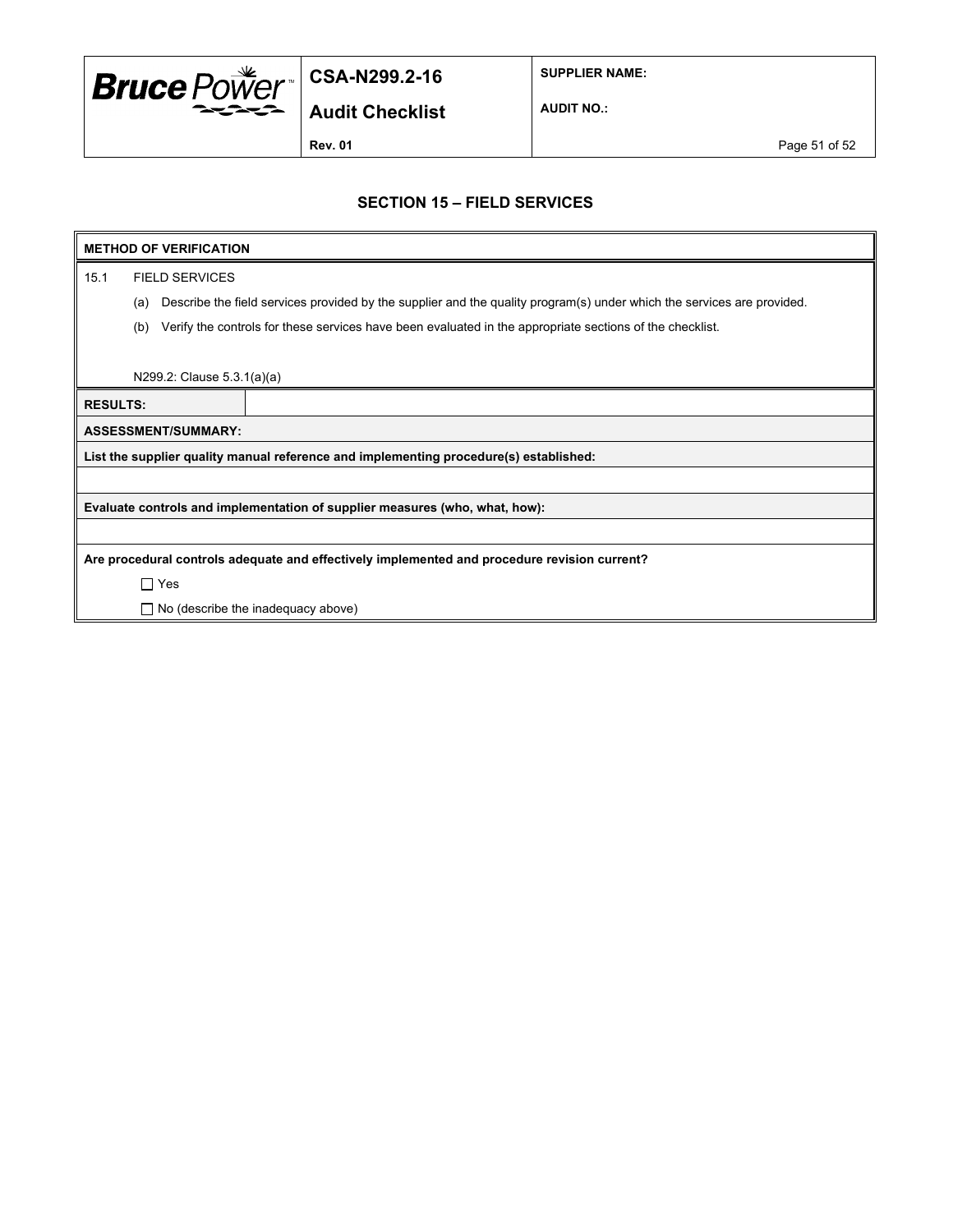

**SUPPLIER NAME:**

**Audit Checklist**

**AUDIT NO.:**

**Rev. 01 Page 51 of 52** 

### **SECTION 15 – FIELD SERVICES**

# **METHOD OF VERIFICATION**

15.1 FIELD SERVICES

(a) Describe the field services provided by the supplier and the quality program(s) under which the services are provided.

(b) Verify the controls for these services have been evaluated in the appropriate sections of the checklist.

N299.2: Clause 5.3.1(a)(a)

| $11200.E.$ Oldubo 0.0. $10/10$ |                                                                                              |  |  |  |  |
|--------------------------------|----------------------------------------------------------------------------------------------|--|--|--|--|
| <b>RESULTS:</b>                |                                                                                              |  |  |  |  |
| <b>ASSESSMENT/SUMMARY:</b>     |                                                                                              |  |  |  |  |
|                                | List the supplier quality manual reference and implementing procedure(s) established:        |  |  |  |  |
|                                |                                                                                              |  |  |  |  |
|                                | Evaluate controls and implementation of supplier measures (who, what, how):                  |  |  |  |  |
|                                |                                                                                              |  |  |  |  |
|                                | Are procedural controls adequate and effectively implemented and procedure revision current? |  |  |  |  |
| $\Box$ Yes                     |                                                                                              |  |  |  |  |
|                                | $\Box$ No (describe the inadequacy above)                                                    |  |  |  |  |